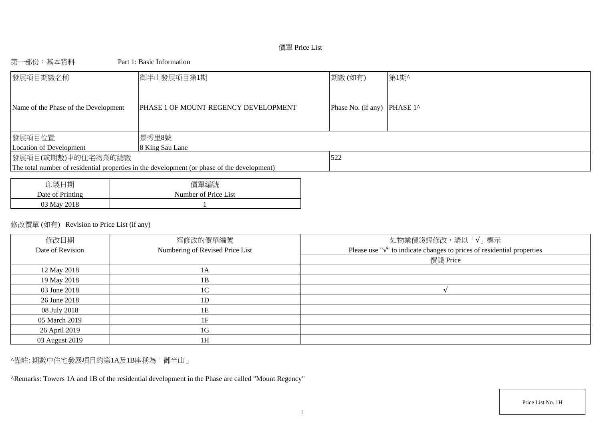# 價單 Price List

# 第一部份:基本資料 Part 1: Basic Information

| 發展項目期數名稱                             | 御半山發展項目第1期                                                                                  | 期數(如有)                       | 第1期^ |
|--------------------------------------|---------------------------------------------------------------------------------------------|------------------------------|------|
| Name of the Phase of the Development | <b>PHASE 1 OF MOUNT REGENCY DEVELOPMENT</b>                                                 | Phase No. (if any)  PHASE 1^ |      |
| 發展項目位置                               | 景秀里8號                                                                                       |                              |      |
| Location of Development              | 8 King Sau Lane                                                                             |                              |      |
| 發展項目(或期數)中的住宅物業的總數                   |                                                                                             | 522                          |      |
|                                      | The total number of residential properties in the development (or phase of the development) |                              |      |
|                                      |                                                                                             |                              |      |
| 了出生儿 一开口                             | /用 甲 /后 叶                                                                                   |                              |      |

| 印製日期             | 價單編號                 |
|------------------|----------------------|
| Date of Printing | Number of Price List |
| 03 May 2018      |                      |

# 修改價單 (如有) Revision to Price List (if any)

| 修改日期<br>Date of Revision | 經修改的價單編號<br>Numbering of Revised Price List | 如物業價錢經修改,請以「√」標示<br>Please use " $\sqrt{ }$ " to indicate changes to prices of residential properties |
|--------------------------|---------------------------------------------|-------------------------------------------------------------------------------------------------------|
|                          |                                             | 價錢 Price                                                                                              |
| 12 May 2018              | 1А                                          |                                                                                                       |
| 19 May 2018              | 1B                                          |                                                                                                       |
| 03 June 2018             | 1 <sup>C</sup>                              |                                                                                                       |
| 26 June 2018             | 1D                                          |                                                                                                       |
| 08 July 2018             | 1Ε                                          |                                                                                                       |
| 05 March 2019            | 1F                                          |                                                                                                       |
| 26 April 2019            | 1G                                          |                                                                                                       |
| 03 August 2019           | 1 <sup>F</sup>                              |                                                                                                       |

^備註: 期數中住宅發展項目的第1A及1B座稱為「御半山」

^Remarks: Towers 1A and 1B of the residential development in the Phase are called "Mount Regency"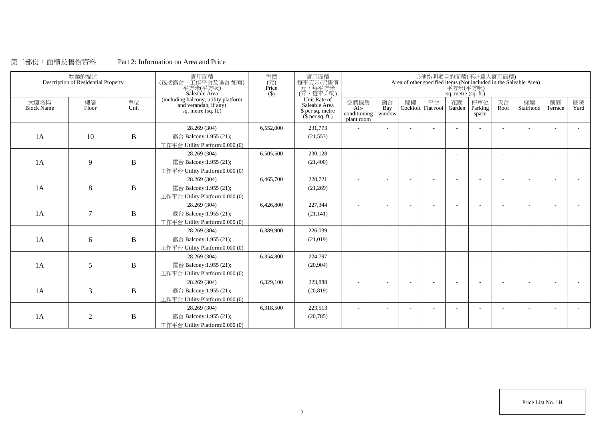# 第二部份:面積及售價資料 Part 2: Information on Area and Price

|                           | 物業的描述<br>Description of Residential Property |              | 實用面積<br>(包括露台,工作平台及陽台如有)<br>平方米(平方呎)<br>Saleable Area                                | 售價<br>$(\vec{\pi})$<br>Price<br>$($)$ | 實用面積<br>每平方米/呎售價<br>元,每平方米<br>(元,每平方呎)                                        |                                              |                          |    |    | 平方米(平方呎)<br>sq. metre (sq. ft.) | 其他指明項目的面積(不計算入實用面積)     |            | Area of other specified items (Not included in the Saleable Area) |                          |            |
|---------------------------|----------------------------------------------|--------------|--------------------------------------------------------------------------------------|---------------------------------------|-------------------------------------------------------------------------------|----------------------------------------------|--------------------------|----|----|---------------------------------|-------------------------|------------|-------------------------------------------------------------------|--------------------------|------------|
| 大廈名稱<br><b>Block Name</b> | 樓層<br>Floor                                  | 單位<br>Unit   | (including balcony, utility platform<br>and verandah, if any)<br>sq. metre (sq. ft.) |                                       | Unit Rate of<br>Saleable Area<br>\$ per sq. metre<br>$(\bar{\S}$ per sq. ft.) | 空調機房<br>$Air-$<br>conditioning<br>plant room | 窗台<br>Bay<br>window      | 閣樓 | 平台 | 花園<br>Cockloft Flat roof Garden | 停車位<br>Parking<br>space | 天台<br>Roof | 梯屋<br>Stairhood                                                   | 前庭<br>Terrace            | 庭院<br>Yard |
|                           |                                              |              | 28.269 (304)                                                                         | 6,552,000                             | 231,773                                                                       |                                              |                          |    |    |                                 |                         |            |                                                                   |                          |            |
| 1A                        | 10                                           | $\bf{B}$     | 露台 Balcony:1.955 (21);                                                               |                                       | (21, 553)                                                                     |                                              |                          |    |    |                                 |                         |            |                                                                   |                          |            |
|                           |                                              |              | 工作平台 Utility Platform:0.000 (0)                                                      |                                       |                                                                               |                                              |                          |    |    |                                 |                         |            |                                                                   |                          |            |
|                           |                                              |              | 28.269 (304)                                                                         | 6,505,500                             | 230,128                                                                       | $\sim$                                       | $\overline{\phantom{a}}$ |    |    |                                 |                         | ÷          |                                                                   | $\overline{\phantom{a}}$ |            |
| 1A                        | 9                                            | $\, {\bf B}$ | 露台 Balcony:1.955 (21);                                                               |                                       | (21,400)                                                                      |                                              |                          |    |    |                                 |                         |            |                                                                   |                          |            |
|                           |                                              |              | 工作平台 Utility Platform:0.000 (0)                                                      |                                       |                                                                               |                                              |                          |    |    |                                 |                         |            |                                                                   |                          |            |
|                           |                                              |              | 28.269 (304)                                                                         | 6,465,700                             | 228,721                                                                       |                                              |                          |    |    |                                 |                         |            |                                                                   |                          |            |
| 1A                        | 8                                            | $\, {\bf B}$ | 露台 Balcony:1.955 (21);                                                               |                                       | (21,269)                                                                      |                                              |                          |    |    |                                 |                         |            |                                                                   |                          |            |
|                           |                                              |              | 工作平台 Utility Platform:0.000 (0)                                                      |                                       |                                                                               |                                              |                          |    |    |                                 |                         |            |                                                                   |                          |            |
|                           |                                              |              | 28.269 (304)                                                                         | 6,426,800                             | 227,344                                                                       |                                              |                          |    |    |                                 |                         |            |                                                                   |                          |            |
| 1A                        | $\overline{7}$                               | $\, {\bf B}$ | 露台 Balcony:1.955 (21);                                                               |                                       | (21, 141)                                                                     |                                              |                          |    |    |                                 |                         |            |                                                                   |                          |            |
|                           |                                              |              | 工作平台 Utility Platform:0.000 (0)                                                      |                                       |                                                                               |                                              |                          |    |    |                                 |                         |            |                                                                   |                          |            |
|                           |                                              |              | 28.269 (304)                                                                         | 6,389,900                             | 226,039                                                                       | $\overline{\phantom{a}}$                     |                          |    |    |                                 |                         |            |                                                                   |                          |            |
| 1A                        | 6                                            | $\, {\bf B}$ | 露台 Balcony:1.955 (21);                                                               |                                       | (21,019)                                                                      |                                              |                          |    |    |                                 |                         |            |                                                                   |                          |            |
|                           |                                              |              | 工作平台 Utility Platform:0.000 (0)                                                      |                                       |                                                                               |                                              |                          |    |    |                                 |                         |            |                                                                   |                          |            |
|                           |                                              |              | 28.269 (304)                                                                         | 6,354,800                             | 224,797                                                                       |                                              |                          |    |    |                                 |                         |            |                                                                   |                          |            |
| 1A                        | 5                                            | $\, {\bf B}$ | 露台 Balcony:1.955 (21);                                                               |                                       | (20,904)                                                                      |                                              |                          |    |    |                                 |                         |            |                                                                   |                          |            |
|                           |                                              |              | 工作平台 Utility Platform: 0.000 (0)                                                     |                                       |                                                                               |                                              |                          |    |    |                                 |                         |            |                                                                   |                          |            |
|                           |                                              |              | 28.269 (304)                                                                         | 6,329,100                             | 223,888                                                                       |                                              |                          |    |    |                                 |                         |            |                                                                   |                          |            |
| 1A                        | 3                                            | $\, {\bf B}$ | 露台 Balcony:1.955 (21);                                                               |                                       | (20, 819)                                                                     |                                              |                          |    |    |                                 |                         |            |                                                                   |                          |            |
|                           |                                              |              | 工作平台 Utility Platform:0.000 (0)                                                      |                                       |                                                                               |                                              |                          |    |    |                                 |                         |            |                                                                   |                          |            |
|                           |                                              |              | 28.269 (304)                                                                         | 6,318,500                             | 223,513                                                                       |                                              |                          |    |    |                                 |                         |            |                                                                   |                          |            |
| 1A                        | $\overline{2}$                               | B            | 露台 Balcony:1.955 (21);                                                               |                                       | (20, 785)                                                                     |                                              |                          |    |    |                                 |                         |            |                                                                   |                          |            |
|                           |                                              |              | 工作平台 Utility Platform:0.000 (0)                                                      |                                       |                                                                               |                                              |                          |    |    |                                 |                         |            |                                                                   |                          |            |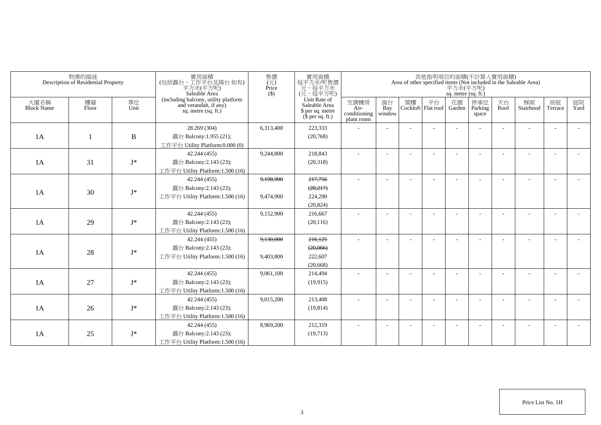|                           | 物業的描述<br>Description of Residential Property |                | 實用面積<br>(包括露台,工作平台及陽台如有)<br>平方米(平方呎)<br>Saleable Area                                | 售價<br>(元)<br>Price<br>$($ \$) | 實用面積<br>每平方米/呎售價<br>元,每平方米<br>(元,每平方呎)                                |                                            |                          |                             | 平方米(平方呎)<br>sq. metre (sq. ft.) | 其他指明項目的面積(不計算入實用面積)      |            | Area of other specified items (Not included in the Saleable Area) |                          |            |
|---------------------------|----------------------------------------------|----------------|--------------------------------------------------------------------------------------|-------------------------------|-----------------------------------------------------------------------|--------------------------------------------|--------------------------|-----------------------------|---------------------------------|--------------------------|------------|-------------------------------------------------------------------|--------------------------|------------|
| 大廈名稱<br><b>Block Name</b> | 樓層<br>Floor                                  | 單位<br>Unit     | (including balcony, utility platform<br>and verandah, if any)<br>sq. metre (sq. ft.) |                               | Unit Rate of<br>Saleable Area<br>\$ per sq. metre<br>$$$ per sq. ft.) | 空調機房<br>Air-<br>conditioning<br>plant room | 窗台<br>Bay<br>window      | 閣樓 平台<br>Cockloft Flat roof | 花園<br>Garden                    | 停車位<br>Parking<br>space  | 天台<br>Roof | 梯屋<br>Stairhood                                                   | 前庭<br>Terrace            | 庭院<br>Yard |
|                           |                                              |                | 28.269 (304)                                                                         | 6,313,400                     | 223,333                                                               |                                            |                          |                             |                                 |                          |            |                                                                   | $\overline{a}$           |            |
| 1A                        |                                              | $\, {\bf B}$   | 露台 Balcony:1.955 (21);                                                               |                               | (20,768)                                                              |                                            |                          |                             |                                 |                          |            |                                                                   |                          |            |
|                           |                                              |                | 工作平台 Utility Platform:0.000 (0)                                                      |                               |                                                                       |                                            |                          |                             |                                 |                          |            |                                                                   |                          |            |
|                           |                                              |                | 42.244 (455)                                                                         | 9,244,800                     | 218,843                                                               | $\sim$                                     |                          |                             |                                 |                          |            |                                                                   | L,                       |            |
| 1A                        | 31                                           | $\mathbf{J}^*$ | 露台 Balcony:2.143 (23);                                                               |                               | (20,318)                                                              |                                            |                          |                             |                                 |                          |            |                                                                   |                          |            |
|                           |                                              |                | 工作平台 Utility Platform:1.500 (16)                                                     |                               |                                                                       |                                            |                          |                             |                                 |                          |            |                                                                   |                          |            |
|                           |                                              |                | 42.244 (455)                                                                         | 9,198,900                     | 217,756                                                               | $\sim$                                     |                          |                             |                                 |                          |            |                                                                   |                          |            |
| 1A                        | 30                                           | $J^*$          | 露台 Balcony:2.143 (23);                                                               |                               | (20,217)                                                              |                                            |                          |                             |                                 |                          |            |                                                                   |                          |            |
|                           |                                              |                | 工作平台 Utility Platform:1.500 (16)                                                     | 9.474.900                     | 224,290                                                               |                                            |                          |                             |                                 |                          |            |                                                                   |                          |            |
|                           |                                              |                |                                                                                      |                               | (20, 824)                                                             |                                            |                          |                             |                                 |                          |            |                                                                   |                          |            |
|                           |                                              |                | 42.244 (455)                                                                         | 9,152,900                     | 216,667                                                               |                                            |                          |                             |                                 |                          |            |                                                                   |                          |            |
| 1A                        | 29                                           | $J^*$          | 露台 Balcony:2.143 (23);                                                               |                               | (20, 116)                                                             |                                            |                          |                             |                                 |                          |            |                                                                   |                          |            |
|                           |                                              |                | 工作平台 Utility Platform:1.500 (16)                                                     |                               |                                                                       |                                            |                          |                             |                                 |                          |            |                                                                   |                          |            |
|                           |                                              |                | 42.244 (455)                                                                         | 9,130,000                     | 216,125                                                               | ٠                                          |                          |                             |                                 |                          |            |                                                                   |                          |            |
| 1A                        | 28                                           | $\mathbf{J}^*$ | 露台 Balcony:2.143 (23);                                                               |                               | (20,066)                                                              |                                            |                          |                             |                                 |                          |            |                                                                   |                          |            |
|                           |                                              |                | 工作平台 Utility Platform: 1.500 (16)                                                    | 9,403,800                     | 222,607                                                               |                                            |                          |                             |                                 |                          |            |                                                                   |                          |            |
|                           |                                              |                |                                                                                      |                               | (20,668)                                                              |                                            |                          |                             |                                 |                          |            |                                                                   |                          |            |
|                           |                                              |                | 42.244 (455)                                                                         | 9,061,100                     | 214,494                                                               |                                            |                          |                             |                                 |                          |            |                                                                   | $\sim$                   |            |
| 1A                        | 27                                           | $J^*$          | 露台 Balcony:2.143 (23);                                                               |                               | (19, 915)                                                             |                                            |                          |                             |                                 |                          |            |                                                                   |                          |            |
|                           |                                              |                | 工作平台 Utility Platform:1.500 (16)                                                     |                               |                                                                       |                                            |                          |                             |                                 |                          |            |                                                                   |                          |            |
|                           |                                              |                | 42.244 (455)                                                                         | 9,015,200                     | 213,408                                                               | $\sim$                                     | $\overline{\phantom{a}}$ |                             |                                 | <b>1</b>                 |            | $\sim$                                                            | $\blacksquare$           |            |
| 1A                        | 26                                           | $J^*$          | 露台 Balcony:2.143 (23);                                                               |                               | (19, 814)                                                             |                                            |                          |                             |                                 |                          |            |                                                                   |                          |            |
|                           |                                              |                | 工作平台 Utility Platform:1.500 (16)                                                     |                               |                                                                       |                                            |                          |                             |                                 |                          |            |                                                                   |                          |            |
|                           |                                              |                | 42.244 (455)                                                                         | 8,969,200                     | 212,319                                                               | $\overline{\phantom{a}}$                   |                          |                             |                                 | $\overline{\phantom{a}}$ |            |                                                                   | $\overline{\phantom{a}}$ |            |
| 1A                        | 25                                           | $J^*$          | 露台 Balcony:2.143 (23);                                                               |                               | (19,713)                                                              |                                            |                          |                             |                                 |                          |            |                                                                   |                          |            |
|                           |                                              |                | 工作平台 Utility Platform:1.500 (16)                                                     |                               |                                                                       |                                            |                          |                             |                                 |                          |            |                                                                   |                          |            |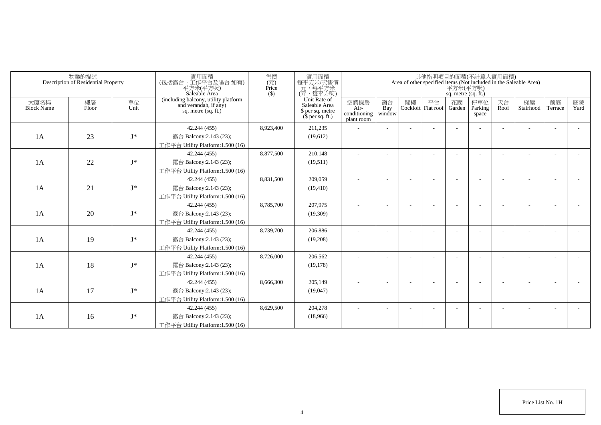|                           | 物業的描述<br>Description of Residential Property |            | 實用面積<br>(包括露台,工作平台及陽台如有)<br>平方米(平方呎)<br>Saleable Area                                  | 售價<br>$(\vec{\pi})$<br>Price<br>$($ \$) | 實用面積<br>每平方米/呎售價<br>一元,每平方米<br>(元,每平方呎)                               |                                            |                          |    |                          | 平方米(平方呎)<br>sq. metre (sq. ft.) | 其他指明項目的面積(不計算入實用面積)     |            | Area of other specified items (Not included in the Saleable Area) |                          |            |
|---------------------------|----------------------------------------------|------------|----------------------------------------------------------------------------------------|-----------------------------------------|-----------------------------------------------------------------------|--------------------------------------------|--------------------------|----|--------------------------|---------------------------------|-------------------------|------------|-------------------------------------------------------------------|--------------------------|------------|
| 大廈名稱<br><b>Block Name</b> | 樓層<br>Floor                                  | 單位<br>Unit | (including balcony, utility platform<br>and verandah, if any)<br>sq. metre $(sq, ft.)$ |                                         | Unit Rate of<br>Saleable Area<br>\$ per sq. metre<br>$$$ per sq. ft.) | 空調機房<br>Air-<br>conditioning<br>plant room | 窗台<br>Bay<br>window      | 閣樓 | 平台<br>Cockloft Flat roof | 花園<br>Garden                    | 停車位<br>Parking<br>space | 天台<br>Roof | 梯屋<br>Stairhood                                                   | 前庭<br>Terrace            | 庭院<br>Yard |
|                           |                                              |            | 42.244 (455)                                                                           | 8,923,400                               | 211,235                                                               |                                            |                          |    |                          |                                 |                         |            |                                                                   |                          |            |
| 1A                        | 23                                           | $I^*$      | 露台 Balcony:2.143 (23);                                                                 |                                         | (19,612)                                                              |                                            |                          |    |                          |                                 |                         |            |                                                                   |                          |            |
|                           |                                              |            | 工作平台 Utility Platform:1.500 (16)                                                       |                                         |                                                                       |                                            |                          |    |                          |                                 |                         |            |                                                                   |                          |            |
|                           |                                              |            | 42.244 (455)                                                                           | 8,877,500                               | 210,148                                                               |                                            |                          |    |                          |                                 |                         |            |                                                                   |                          |            |
| 1A                        | 22                                           | $I^*$      | 露台 Balcony:2.143 (23);                                                                 |                                         | (19,511)                                                              |                                            |                          |    |                          |                                 |                         |            |                                                                   |                          |            |
|                           |                                              |            | 工作平台 Utility Platform:1.500 (16)                                                       |                                         |                                                                       |                                            |                          |    |                          |                                 |                         |            |                                                                   |                          |            |
|                           |                                              |            | 42.244 (455)                                                                           | 8,831,500                               | 209,059                                                               | ٠                                          | $\overline{\phantom{a}}$ |    |                          |                                 |                         |            |                                                                   |                          |            |
| 1A                        | 21                                           | $J^*$      | 露台 Balcony:2.143 (23);                                                                 |                                         | (19, 410)                                                             |                                            |                          |    |                          |                                 |                         |            |                                                                   |                          |            |
|                           |                                              |            | 工作平台 Utility Platform: 1.500 (16)                                                      |                                         |                                                                       |                                            |                          |    |                          |                                 |                         |            |                                                                   |                          |            |
|                           |                                              |            | 42.244 (455)                                                                           | 8,785,700                               | 207,975                                                               |                                            |                          |    |                          |                                 |                         |            |                                                                   |                          |            |
| 1A                        | 20                                           | $J^*$      | 露台 Balcony:2.143 (23);                                                                 |                                         | (19,309)                                                              |                                            |                          |    |                          |                                 |                         |            |                                                                   |                          |            |
|                           |                                              |            | 工作平台 Utility Platform:1.500 (16)                                                       |                                         |                                                                       |                                            |                          |    |                          |                                 |                         |            |                                                                   |                          |            |
|                           |                                              |            | 42.244 (455)                                                                           | 8,739,700                               | 206,886                                                               |                                            |                          |    |                          |                                 |                         |            |                                                                   |                          |            |
| 1A                        | 19                                           | $J^*$      | 露台 Balcony:2.143 (23);                                                                 |                                         | (19,208)                                                              |                                            |                          |    |                          |                                 |                         |            |                                                                   |                          |            |
|                           |                                              |            | 工作平台 Utility Platform: 1.500 (16)                                                      |                                         |                                                                       |                                            |                          |    |                          |                                 |                         |            |                                                                   |                          |            |
|                           |                                              |            | 42.244 (455)                                                                           | 8,726,000                               | 206,562                                                               |                                            |                          |    |                          |                                 |                         |            |                                                                   |                          |            |
| 1A                        | 18                                           | $J^*$      | 露台 Balcony:2.143 (23);                                                                 |                                         | (19, 178)                                                             |                                            |                          |    |                          |                                 |                         |            |                                                                   |                          |            |
|                           |                                              |            | 工作平台 Utility Platform:1.500 (16)                                                       |                                         |                                                                       |                                            |                          |    |                          |                                 |                         |            |                                                                   |                          |            |
|                           |                                              |            | 42.244 (455)                                                                           | 8,666,300                               | 205,149                                                               |                                            |                          |    |                          |                                 |                         |            |                                                                   | $\overline{\phantom{a}}$ |            |
| 1A                        | 17                                           | $J^*$      | 露台 Balcony:2.143 (23);                                                                 |                                         | (19,047)                                                              |                                            |                          |    |                          |                                 |                         |            |                                                                   |                          |            |
|                           |                                              |            | 工作平台 Utility Platform:1.500 (16)                                                       |                                         |                                                                       |                                            |                          |    |                          |                                 |                         |            |                                                                   |                          |            |
|                           |                                              |            | 42.244 (455)                                                                           | 8,629,500                               | 204,278                                                               |                                            |                          |    |                          |                                 |                         |            |                                                                   | <b>.</b>                 |            |
| 1A                        | 16                                           | $J^*$      | 露台 Balcony:2.143 (23);                                                                 |                                         | (18,966)                                                              |                                            |                          |    |                          |                                 |                         |            |                                                                   |                          |            |
|                           |                                              |            | 工作平台 Utility Platform:1.500 (16)                                                       |                                         |                                                                       |                                            |                          |    |                          |                                 |                         |            |                                                                   |                          |            |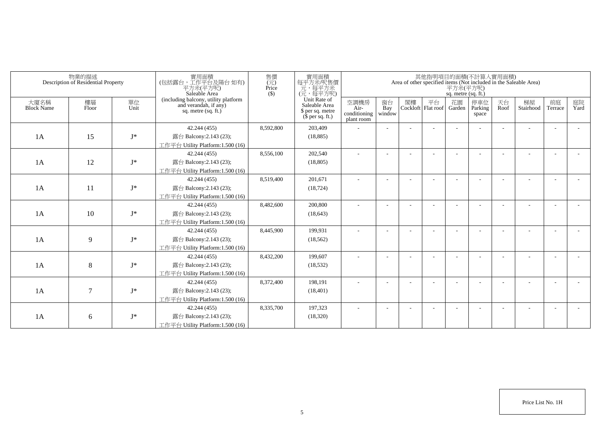|                           | 物業的描述<br>Description of Residential Property |            | 實用面積<br>(包括露台,工作平台及陽台 如有)<br>平方米(平方呎)<br>Saleable Area                                 | 售價<br>$\overline{(\overline{\tau}\overline{\tau})}$<br>Price<br>$($ \$ | 實用面積<br>每平方米/呎售價<br>元,每平方米<br>(元,每平方呎)                                |                                            |                          |    |                                     | 平方米(平方呎)<br>sq. metre (sq. ft.) | 其他指明項目的面積(不計算入實用面積)     |            | Area of other specified items (Not included in the Saleable Area) |                          |            |
|---------------------------|----------------------------------------------|------------|----------------------------------------------------------------------------------------|------------------------------------------------------------------------|-----------------------------------------------------------------------|--------------------------------------------|--------------------------|----|-------------------------------------|---------------------------------|-------------------------|------------|-------------------------------------------------------------------|--------------------------|------------|
| 大廈名稱<br><b>Block Name</b> | 樓層<br>Floor                                  | 單位<br>Unit | (including balcony, utility platform<br>and verandah, if any)<br>sq. metre $(sq, ft.)$ |                                                                        | Unit Rate of<br>Saleable Area<br>\$ per sq. metre<br>$$$ per sq. ft.) | 空調機房<br>Air-<br>conditioning<br>plant room | 窗台<br>Bay<br>window      | 閣樓 | 平台<br>Cockloft   Flat roof   Garden | 花園                              | 停車位<br>Parking<br>space | 天台<br>Roof | 梯屋<br>Stairhood                                                   | 前庭<br>Terrace            | 庭院<br>Yard |
|                           |                                              |            | 42.244 (455)                                                                           | 8,592,800                                                              | 203,409                                                               |                                            |                          |    |                                     |                                 |                         |            |                                                                   | ٠                        |            |
| 1A                        | 15                                           | $J^*$      | 露台 Balcony:2.143 (23);                                                                 |                                                                        | (18, 885)                                                             |                                            |                          |    |                                     |                                 |                         |            |                                                                   |                          |            |
|                           |                                              |            | 工作平台 Utility Platform: 1.500 (16)                                                      |                                                                        |                                                                       |                                            |                          |    |                                     |                                 |                         |            |                                                                   |                          |            |
|                           |                                              |            | 42.244 (455)                                                                           | 8,556,100                                                              | 202,540                                                               | ÷                                          | $\sim$                   |    |                                     |                                 |                         |            |                                                                   | $\overline{\phantom{a}}$ |            |
| 1A                        | 12                                           | $J^*$      | 露台 Balcony:2.143 (23);                                                                 |                                                                        | (18, 805)                                                             |                                            |                          |    |                                     |                                 |                         |            |                                                                   |                          |            |
|                           |                                              |            | 工作平台 Utility Platform:1.500 (16)                                                       |                                                                        |                                                                       |                                            |                          |    |                                     |                                 |                         |            |                                                                   |                          |            |
|                           |                                              |            | 42.244 (455)                                                                           | 8.519.400                                                              | 201.671                                                               | ÷                                          | $\overline{\phantom{a}}$ |    |                                     |                                 |                         |            |                                                                   |                          |            |
| 1A                        | 11                                           | $J^*$      | 露台 Balcony:2.143 (23);                                                                 |                                                                        | (18, 724)                                                             |                                            |                          |    |                                     |                                 |                         |            |                                                                   |                          |            |
|                           |                                              |            | 工作平台 Utility Platform: 1.500 (16)                                                      |                                                                        |                                                                       |                                            |                          |    |                                     |                                 |                         |            |                                                                   |                          |            |
|                           |                                              |            | 42.244 (455)                                                                           | 8,482,600                                                              | 200,800                                                               |                                            |                          |    |                                     |                                 |                         |            |                                                                   |                          |            |
| 1A                        | 10                                           | $J^*$      | 露台 Balcony:2.143 (23);                                                                 |                                                                        | (18, 643)                                                             |                                            |                          |    |                                     |                                 |                         |            |                                                                   |                          |            |
|                           |                                              |            | 工作平台 Utility Platform:1.500 (16)                                                       |                                                                        |                                                                       |                                            |                          |    |                                     |                                 |                         |            |                                                                   |                          |            |
|                           |                                              |            | 42.244 (455)                                                                           | 8,445,900                                                              | 199,931                                                               |                                            |                          |    |                                     |                                 |                         |            |                                                                   | ٠                        |            |
| 1A                        | 9                                            | $J^*$      | 露台 Balcony:2.143 (23);                                                                 |                                                                        | (18, 562)                                                             |                                            |                          |    |                                     |                                 |                         |            |                                                                   |                          |            |
|                           |                                              |            | 工作平台 Utility Platform:1.500 (16)                                                       |                                                                        |                                                                       |                                            |                          |    |                                     |                                 |                         |            |                                                                   |                          |            |
|                           |                                              |            | 42.244 (455)                                                                           | 8,432,200                                                              | 199,607                                                               |                                            |                          |    |                                     |                                 |                         |            |                                                                   |                          |            |
| 1A                        | 8                                            | $J^*$      | 露台 Balcony:2.143 (23);                                                                 |                                                                        | (18, 532)                                                             |                                            |                          |    |                                     |                                 |                         |            |                                                                   |                          |            |
|                           |                                              |            | 工作平台 Utility Platform:1.500 (16)                                                       |                                                                        |                                                                       |                                            |                          |    |                                     |                                 |                         |            |                                                                   |                          |            |
|                           |                                              |            | 42.244 (455)                                                                           | 8,372,400                                                              | 198.191                                                               | ÷                                          | $\overline{\phantom{a}}$ |    |                                     |                                 |                         |            |                                                                   | $\overline{\phantom{a}}$ |            |
| 1A                        | 7                                            | $J^*$      | 露台 Balcony:2.143 (23);                                                                 |                                                                        | (18, 401)                                                             |                                            |                          |    |                                     |                                 |                         |            |                                                                   |                          |            |
|                           |                                              |            | 工作平台 Utility Platform:1.500 (16)                                                       |                                                                        |                                                                       |                                            |                          |    |                                     |                                 |                         |            |                                                                   |                          |            |
|                           |                                              |            | 42.244 (455)                                                                           | 8,335,700                                                              | 197.323                                                               |                                            |                          |    |                                     |                                 |                         |            |                                                                   |                          |            |
| 1A                        | 6                                            | $J^*$      | 露台 Balcony:2.143 (23);                                                                 |                                                                        | (18,320)                                                              |                                            |                          |    |                                     |                                 |                         |            |                                                                   |                          |            |
|                           |                                              |            | 工作平台 Utility Platform: 1.500 (16)                                                      |                                                                        |                                                                       |                                            |                          |    |                                     |                                 |                         |            |                                                                   |                          |            |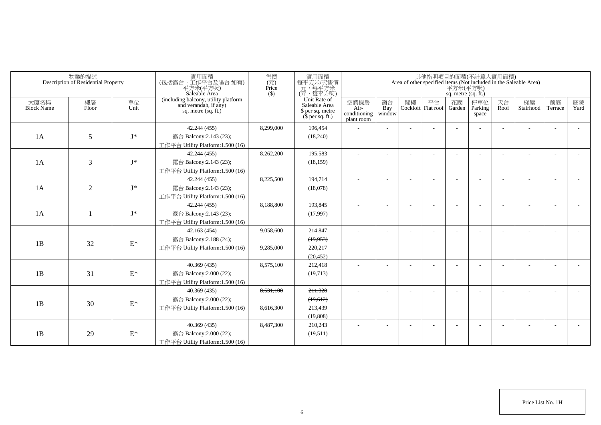|                           | 物業的描述<br>Description of Residential Property |                 | 實用面積<br>(包括露台,工作平台及陽台如有)<br>平方米(平方呎)<br>Saleable Area                                | 售價<br>(元)<br>Price<br>$($ \$) | 實用面積<br>每平方米/呎售價<br>元,每平方米<br>(元,每平方呎)                                |                                            |                     |                             | 平方米(平方呎)<br>sq. metre (sq. ft.) | 其他指明項目的面積(不計算入實用面積)      |            | Area of other specified items (Not included in the Saleable Area) |                          |            |
|---------------------------|----------------------------------------------|-----------------|--------------------------------------------------------------------------------------|-------------------------------|-----------------------------------------------------------------------|--------------------------------------------|---------------------|-----------------------------|---------------------------------|--------------------------|------------|-------------------------------------------------------------------|--------------------------|------------|
| 大廈名稱<br><b>Block Name</b> | 樓層<br>Floor                                  | 單位<br>Unit      | (including balcony, utility platform<br>and verandah, if any)<br>sq. metre (sq. ft.) |                               | Unit Rate of<br>Saleable Area<br>\$ per sq. metre<br>$$$ per sq. ft.) | 空調機房<br>Air-<br>conditioning<br>plant room | 窗台<br>Bay<br>window | 閣樓 平台<br>Cockloft Flat roof | 花園<br>Garden                    | 停車位<br>Parking<br>space  | 天台<br>Roof | 梯屋<br>Stairhood                                                   | 前庭<br>Terrace            | 庭院<br>Yard |
|                           |                                              |                 | 42.244 (455)                                                                         | 8,299,000                     | 196,454                                                               |                                            |                     |                             |                                 |                          |            |                                                                   | $\overline{\phantom{a}}$ |            |
| 1A                        | 5                                            | $\mathbf{J}^*$  | 露台 Balcony:2.143 (23);                                                               |                               | (18,240)                                                              |                                            |                     |                             |                                 |                          |            |                                                                   |                          |            |
|                           |                                              |                 | 工作平台 Utility Platform: 1.500 (16)                                                    |                               |                                                                       |                                            |                     |                             |                                 |                          |            |                                                                   |                          |            |
|                           |                                              |                 | 42.244 (455)                                                                         | 8,262,200                     | 195,583                                                               | $\sim$                                     |                     |                             |                                 |                          |            |                                                                   |                          |            |
| 1A                        | 3                                            | $\mathbf{J}^*$  | 露台 Balcony:2.143 (23);                                                               |                               | (18, 159)                                                             |                                            |                     |                             |                                 |                          |            |                                                                   |                          |            |
|                           |                                              |                 | 工作平台 Utility Platform:1.500 (16)                                                     |                               |                                                                       |                                            |                     |                             |                                 |                          |            |                                                                   |                          |            |
|                           |                                              |                 | 42.244 (455)                                                                         | 8,225,500                     | 194,714                                                               | $\sim$                                     |                     |                             |                                 |                          |            |                                                                   |                          |            |
| 1A                        | $\overline{2}$                               | $\mathbf{J}^*$  | 露台 Balcony:2.143 (23);                                                               |                               | (18,078)                                                              |                                            |                     |                             |                                 |                          |            |                                                                   |                          |            |
|                           |                                              |                 | 工作平台 Utility Platform:1.500 (16)                                                     |                               |                                                                       |                                            |                     |                             |                                 |                          |            |                                                                   |                          |            |
|                           |                                              |                 | 42.244 (455)                                                                         | 8,188,800                     | 193,845                                                               | $\sim$                                     |                     |                             |                                 |                          |            |                                                                   |                          |            |
| 1A                        |                                              | $J^*$           | 露台 Balcony:2.143 (23);                                                               |                               | (17,997)                                                              |                                            |                     |                             |                                 |                          |            |                                                                   |                          |            |
|                           |                                              |                 | 工作平台 Utility Platform: 1.500 (16)                                                    |                               |                                                                       |                                            |                     |                             |                                 |                          |            |                                                                   |                          |            |
|                           |                                              |                 | 42.163(454)                                                                          | 9,058,600                     | 214,847                                                               | ÷.                                         |                     |                             |                                 |                          |            |                                                                   |                          |            |
| 1B                        | 32                                           | $\mathcal{E}^*$ | 露台 Balcony: 2.188 (24);                                                              |                               | (19,953)                                                              |                                            |                     |                             |                                 |                          |            |                                                                   |                          |            |
|                           |                                              |                 | 工作平台 Utility Platform: 1.500 (16)                                                    | 9,285,000                     | 220,217                                                               |                                            |                     |                             |                                 |                          |            |                                                                   |                          |            |
|                           |                                              |                 |                                                                                      |                               | (20, 452)                                                             |                                            |                     |                             |                                 |                          |            |                                                                   |                          |            |
|                           |                                              |                 | 40.369(435)                                                                          | 8,575,100                     | 212,418                                                               |                                            |                     |                             |                                 |                          |            |                                                                   |                          |            |
| 1B                        | 31                                           | $\mathcal{E}^*$ | 露台 Balcony:2.000 (22);                                                               |                               | (19,713)                                                              |                                            |                     |                             |                                 |                          |            |                                                                   |                          |            |
|                           |                                              |                 | 工作平台 Utility Platform: 1.500 (16)                                                    |                               |                                                                       |                                            |                     |                             |                                 |                          |            |                                                                   |                          |            |
|                           |                                              |                 | 40.369(435)                                                                          | 8,531,100                     | 211,328                                                               |                                            |                     |                             |                                 |                          |            |                                                                   |                          |            |
| 1B                        | 30                                           | $\mathcal{E}^*$ | 露台 Balcony:2.000 (22);                                                               |                               | (19,612)                                                              |                                            |                     |                             |                                 |                          |            |                                                                   |                          |            |
|                           |                                              |                 | 工作平台 Utility Platform: 1.500 (16)                                                    | 8,616,300                     | 213,439                                                               |                                            |                     |                             |                                 |                          |            |                                                                   |                          |            |
|                           |                                              |                 |                                                                                      |                               | (19,808)                                                              |                                            |                     |                             |                                 |                          |            |                                                                   |                          |            |
|                           |                                              |                 | 40.369(435)                                                                          | 8,487,300                     | 210,243                                                               | $\overline{\phantom{a}}$                   |                     |                             |                                 | $\overline{\phantom{a}}$ |            |                                                                   | $\overline{\phantom{a}}$ |            |
| 1B                        | 29                                           | $\mathcal{E}^*$ | 露台 Balcony:2.000 (22);                                                               |                               | (19,511)                                                              |                                            |                     |                             |                                 |                          |            |                                                                   |                          |            |
|                           |                                              |                 | 工作平台 Utility Platform:1.500 (16)                                                     |                               |                                                                       |                                            |                     |                             |                                 |                          |            |                                                                   |                          |            |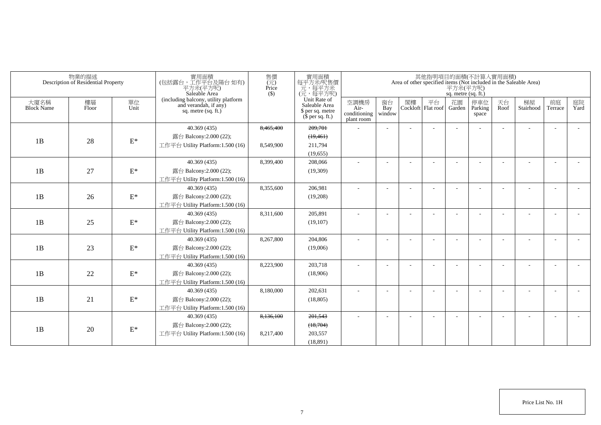|                           | 物業的描述<br>Description of Residential Property |                 | 實用面積<br>(包括露台,工作平台及陽台如有)<br>平方米(平方呎)<br>Saleable Area                                  | 售價<br>$(\vec{\pi})$<br>Price<br>$($ \$) | 實用面積<br>每平方米/呎售價<br>元,每平方米<br>(元,每平方呎)                                |                                            |                     |    |                          | sq. metre (sq. ft.) | 其他指明項目的面積(不計算入實用面積)     |            | Area of other specified items (Not included in the Saleable Area)<br>$\overrightarrow{\mathcal{F}}\vec{\mathcal{F}}\vec{\mathcal{F}}(\overrightarrow{\mathcal{F}}\vec{\mathcal{F}}\vec{\mathcal{F}})$ |               |            |
|---------------------------|----------------------------------------------|-----------------|----------------------------------------------------------------------------------------|-----------------------------------------|-----------------------------------------------------------------------|--------------------------------------------|---------------------|----|--------------------------|---------------------|-------------------------|------------|-------------------------------------------------------------------------------------------------------------------------------------------------------------------------------------------------------|---------------|------------|
| 大廈名稱<br><b>Block Name</b> | 樓層<br>Floor                                  | 單位<br>Unit      | (including balcony, utility platform<br>and verandah, if any)<br>sq. metre $(sq. ft.)$ |                                         | Unit Rate of<br>Saleable Area<br>\$ per sq. metre<br>$$$ per sq. ft.) | 空調機房<br>Air-<br>conditioning<br>plant room | 窗台<br>Bay<br>window | 閣樓 | 平台<br>Cockloft Flat roof | 花園<br>Garden        | 停車位<br>Parking<br>space | 天台<br>Roof | 梯屋<br>Stairhood                                                                                                                                                                                       | 前庭<br>Terrace | 庭院<br>Yard |
|                           |                                              |                 | 40.369(435)                                                                            | 8,465,400                               | 209,701                                                               |                                            |                     |    |                          |                     |                         |            |                                                                                                                                                                                                       |               |            |
| 1B                        | 28                                           | $\mathbf{E}^*$  | 露台 Balcony:2.000 (22);                                                                 |                                         | (19, 461)                                                             |                                            |                     |    |                          |                     |                         |            |                                                                                                                                                                                                       |               |            |
|                           |                                              |                 | 工作平台 Utility Platform: 1.500 (16)                                                      | 8.549.900                               | 211.794                                                               |                                            |                     |    |                          |                     |                         |            |                                                                                                                                                                                                       |               |            |
|                           |                                              |                 |                                                                                        |                                         | (19,655)                                                              |                                            |                     |    |                          |                     |                         |            |                                                                                                                                                                                                       |               |            |
|                           |                                              |                 | 40.369(435)                                                                            | 8,399,400                               | 208,066                                                               |                                            |                     |    |                          |                     |                         |            |                                                                                                                                                                                                       |               |            |
| 1B                        | 27                                           | $\mathcal{E}^*$ | 露台 Balcony:2.000 (22);                                                                 |                                         | (19,309)                                                              |                                            |                     |    |                          |                     |                         |            |                                                                                                                                                                                                       |               |            |
|                           |                                              |                 | 工作平台 Utility Platform:1.500 (16)                                                       |                                         |                                                                       |                                            |                     |    |                          |                     |                         |            |                                                                                                                                                                                                       |               |            |
|                           |                                              |                 | 40.369(435)                                                                            | 8,355,600                               | 206,981                                                               |                                            |                     |    |                          |                     |                         |            |                                                                                                                                                                                                       |               |            |
| 1B                        | 26                                           | $\mathrm{E}^*$  | 露台 Balcony:2.000 (22);                                                                 |                                         | (19,208)                                                              |                                            |                     |    |                          |                     |                         |            |                                                                                                                                                                                                       |               |            |
|                           |                                              |                 | 工作平台 Utility Platform:1.500 (16)                                                       |                                         |                                                                       |                                            |                     |    |                          |                     |                         |            |                                                                                                                                                                                                       |               |            |
|                           |                                              |                 | 40.369(435)                                                                            | 8.311.600                               | 205.891                                                               |                                            |                     |    |                          |                     |                         |            |                                                                                                                                                                                                       |               |            |
| 1B                        | 25                                           | $\mathrm{E}^*$  | 露台 Balcony:2.000 (22);                                                                 |                                         | (19,107)                                                              |                                            |                     |    |                          |                     |                         |            |                                                                                                                                                                                                       |               |            |
|                           |                                              |                 | 工作平台 Utility Platform:1.500 (16)                                                       |                                         |                                                                       |                                            |                     |    |                          |                     |                         |            |                                                                                                                                                                                                       |               |            |
|                           |                                              |                 | 40.369(435)                                                                            | 8.267.800                               | 204.806                                                               |                                            |                     |    |                          |                     |                         |            |                                                                                                                                                                                                       |               |            |
| 1B                        | 23                                           | $\mathcal{E}^*$ | 露台 Balcony:2.000 (22);                                                                 |                                         | (19,006)                                                              |                                            |                     |    |                          |                     |                         |            |                                                                                                                                                                                                       |               |            |
|                           |                                              |                 | 工作平台 Utility Platform: 1.500 (16)                                                      |                                         |                                                                       |                                            |                     |    |                          |                     |                         |            |                                                                                                                                                                                                       |               |            |
|                           |                                              |                 | 40.369(435)                                                                            | 8,223,900                               | 203.718                                                               |                                            |                     |    |                          |                     |                         |            |                                                                                                                                                                                                       |               |            |
| 1B                        | 22                                           | $\mathcal{E}^*$ | 露台 Balcony:2.000 (22);                                                                 |                                         | (18,906)                                                              |                                            |                     |    |                          |                     |                         |            |                                                                                                                                                                                                       |               |            |
|                           |                                              |                 | 工作平台 Utility Platform:1.500 (16)                                                       |                                         |                                                                       |                                            |                     |    |                          |                     |                         |            |                                                                                                                                                                                                       |               |            |
|                           |                                              |                 | 40.369(435)                                                                            | 8.180.000                               | 202.631                                                               |                                            |                     |    |                          |                     |                         |            |                                                                                                                                                                                                       |               |            |
| 1B                        | 21                                           | $\mathrm{E}^*$  | 露台 Balcony:2.000 (22);                                                                 |                                         | (18, 805)                                                             |                                            |                     |    |                          |                     |                         |            |                                                                                                                                                                                                       |               |            |
|                           |                                              |                 | 工作平台 Utility Platform:1.500 (16)                                                       |                                         |                                                                       |                                            |                     |    |                          |                     |                         |            |                                                                                                                                                                                                       |               |            |
|                           |                                              |                 | 40.369(435)                                                                            | 8,136,100                               | 201,543                                                               |                                            |                     |    |                          |                     |                         |            |                                                                                                                                                                                                       |               |            |
| 1B                        | 20                                           | $\mathcal{E}^*$ | 露台 Balcony:2.000 (22);                                                                 |                                         | (18,704)                                                              |                                            |                     |    |                          |                     |                         |            |                                                                                                                                                                                                       |               |            |
|                           |                                              |                 | 工作平台 Utility Platform:1.500 (16)                                                       | 8,217,400                               | 203,557                                                               |                                            |                     |    |                          |                     |                         |            |                                                                                                                                                                                                       |               |            |
|                           |                                              |                 |                                                                                        |                                         | (18.891)                                                              |                                            |                     |    |                          |                     |                         |            |                                                                                                                                                                                                       |               |            |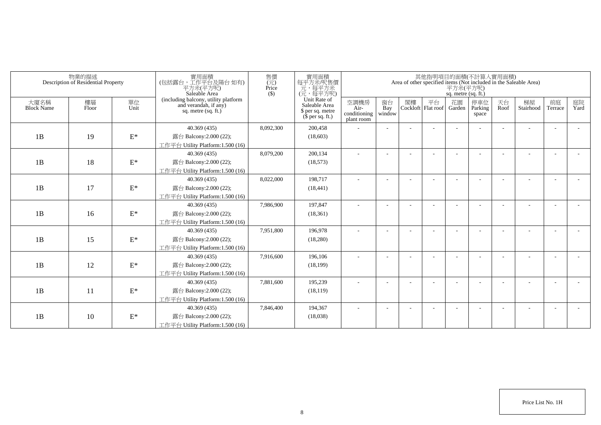|                           | 物業的描述<br>Description of Residential Property |                 | 實用面積<br>(包括露台,工作平台及陽台如有)<br>平方米(平方呎)<br>Saleable Area                                  | 售價<br>$(\vec{\pi})$<br>Price<br>$($ \$) | 實用面積<br>每平方米/呎售價<br>元,每平方米<br>(元,每平方呎)                                |                                            |                          |    |                          | 平方米(平方呎)<br>sq. metre (sq. ft.) | 其他指明項目的面積(不計算入實用面積)     |            | Area of other specified items (Not included in the Saleable Area) |                          |            |
|---------------------------|----------------------------------------------|-----------------|----------------------------------------------------------------------------------------|-----------------------------------------|-----------------------------------------------------------------------|--------------------------------------------|--------------------------|----|--------------------------|---------------------------------|-------------------------|------------|-------------------------------------------------------------------|--------------------------|------------|
| 大廈名稱<br><b>Block Name</b> | 樓層<br>Floor                                  | 單位<br>Unit      | (including balcony, utility platform<br>and verandah, if any)<br>sq. metre $(sq, ft.)$ |                                         | Unit Rate of<br>Saleable Area<br>\$ per sq. metre<br>$$$ per sq. ft.) | 空調機房<br>Air-<br>conditioning<br>plant room | 窗台<br>Bay<br>window      | 閣樓 | 平台<br>Cockloft Flat roof | 花園<br>Garden                    | 停車位<br>Parking<br>space | 天台<br>Roof | 梯屋<br>Stairhood                                                   | 前庭<br>Terrace            | 庭院<br>Yard |
|                           |                                              |                 | 40.369 (435)                                                                           | 8,092,300                               | 200,458                                                               |                                            |                          |    |                          |                                 |                         |            |                                                                   |                          |            |
| 1B                        | 19                                           | $\mathbf{E}^*$  | 露台 Balcony:2.000 (22);                                                                 |                                         | (18,603)                                                              |                                            |                          |    |                          |                                 |                         |            |                                                                   |                          |            |
|                           |                                              |                 | 工作平台 Utility Platform:1.500 (16)                                                       |                                         |                                                                       |                                            |                          |    |                          |                                 |                         |            |                                                                   |                          |            |
|                           |                                              |                 | 40.369(435)                                                                            | 8,079,200                               | 200,134                                                               |                                            |                          |    |                          |                                 |                         |            |                                                                   |                          |            |
| 1B                        | 18                                           | $\mathbf{E}^*$  | 露台 Balcony:2.000 (22);                                                                 |                                         | (18, 573)                                                             |                                            |                          |    |                          |                                 |                         |            |                                                                   |                          |            |
|                           |                                              |                 | 工作平台 Utility Platform:1.500 (16)                                                       |                                         |                                                                       |                                            |                          |    |                          |                                 |                         |            |                                                                   |                          |            |
|                           |                                              |                 | 40.369 (435)                                                                           | 8,022,000                               | 198,717                                                               | ٠                                          | $\overline{\phantom{a}}$ |    |                          |                                 |                         |            |                                                                   | $\overline{\phantom{a}}$ |            |
| 1B                        | 17                                           | $\mathbf{E}^*$  | 露台 Balcony:2.000 (22);                                                                 |                                         | (18, 441)                                                             |                                            |                          |    |                          |                                 |                         |            |                                                                   |                          |            |
|                           |                                              |                 | 工作平台 Utility Platform: 1.500 (16)                                                      |                                         |                                                                       |                                            |                          |    |                          |                                 |                         |            |                                                                   |                          |            |
|                           |                                              |                 | 40.369(435)                                                                            | 7,986,900                               | 197,847                                                               |                                            |                          |    |                          |                                 |                         |            |                                                                   |                          |            |
| 1B                        | 16                                           | $\mathbf{E}^*$  | 露台 Balcony: 2.000 (22);                                                                |                                         | (18, 361)                                                             |                                            |                          |    |                          |                                 |                         |            |                                                                   |                          |            |
|                           |                                              |                 | 工作平台 Utility Platform:1.500 (16)                                                       |                                         |                                                                       |                                            |                          |    |                          |                                 |                         |            |                                                                   |                          |            |
|                           |                                              |                 | 40.369 (435)                                                                           | 7,951,800                               | 196,978                                                               |                                            |                          |    |                          |                                 |                         |            |                                                                   |                          |            |
| 1B                        | 15                                           | $\mathbf{E}^*$  | 露台 Balcony: 2.000 (22);                                                                |                                         | (18,280)                                                              |                                            |                          |    |                          |                                 |                         |            |                                                                   |                          |            |
|                           |                                              |                 | 工作平台 Utility Platform: 1.500 (16)                                                      |                                         |                                                                       |                                            |                          |    |                          |                                 |                         |            |                                                                   |                          |            |
|                           |                                              |                 | 40.369(435)                                                                            | 7,916,600                               | 196,106                                                               |                                            |                          |    |                          |                                 |                         |            |                                                                   |                          |            |
| 1B                        | 12                                           | $\mathcal{E}^*$ | 露台 Balcony: 2.000 (22);                                                                |                                         | (18, 199)                                                             |                                            |                          |    |                          |                                 |                         |            |                                                                   |                          |            |
|                           |                                              |                 | 工作平台 Utility Platform:1.500 (16)                                                       |                                         |                                                                       |                                            |                          |    |                          |                                 |                         |            |                                                                   |                          |            |
|                           |                                              |                 | 40.369 (435)                                                                           | 7,881,600                               | 195,239                                                               |                                            |                          |    |                          |                                 |                         |            |                                                                   | $\overline{\phantom{a}}$ |            |
| 1B                        | 11                                           | $\mathbf{E}^*$  | 露台 Balcony: 2.000 (22);                                                                |                                         | (18, 119)                                                             |                                            |                          |    |                          |                                 |                         |            |                                                                   |                          |            |
|                           |                                              |                 | 工作平台 Utility Platform: 1.500 (16)                                                      |                                         |                                                                       |                                            |                          |    |                          |                                 |                         |            |                                                                   |                          |            |
|                           |                                              |                 | 40.369(435)                                                                            | 7,846,400                               | 194,367                                                               |                                            |                          |    |                          |                                 |                         |            |                                                                   |                          |            |
| 1B                        | 10                                           | $\mathcal{E}^*$ | 露台 Balcony: 2.000 (22);                                                                |                                         | (18,038)                                                              |                                            |                          |    |                          |                                 |                         |            |                                                                   |                          |            |
|                           |                                              |                 | 工作平台 Utility Platform:1.500 (16)                                                       |                                         |                                                                       |                                            |                          |    |                          |                                 |                         |            |                                                                   |                          |            |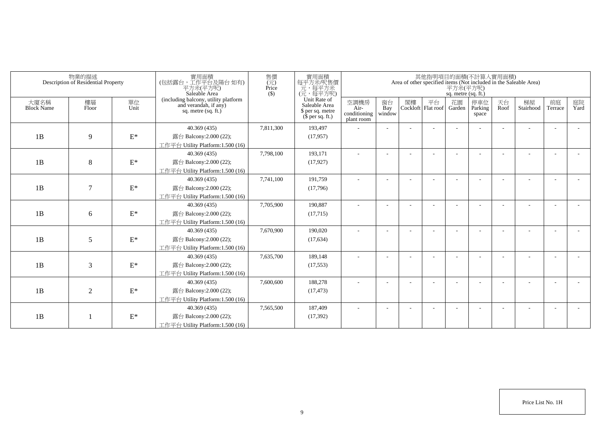|                           | 物業的描述<br>Description of Residential Property |                 | 實用面積<br>(包括露台,工作平台及陽台如有)<br>平方米(平方呎)<br>Saleable Area                                  | 售價<br>(元)<br>Price<br>$($ \$) | 實用面積<br>每平方米吧售價<br>元,每平方米<br>(元,每平方呎)                                 |                                            |                          |    |                          | 平方米(平方呎)<br>sq. metre (sq. ft.) | 其他指明項目的面積(不計算入實用面積)     |            | Area of other specified items (Not included in the Saleable Area) |               |            |
|---------------------------|----------------------------------------------|-----------------|----------------------------------------------------------------------------------------|-------------------------------|-----------------------------------------------------------------------|--------------------------------------------|--------------------------|----|--------------------------|---------------------------------|-------------------------|------------|-------------------------------------------------------------------|---------------|------------|
| 大廈名稱<br><b>Block Name</b> | 樓層<br>Floor                                  | 單位<br>Unit      | (including balcony, utility platform<br>and verandah, if any)<br>sq. metre $(sq, ft.)$ |                               | Unit Rate of<br>Saleable Area<br>\$ per sq. metre<br>$$$ per sq. ft.) | 空調機房<br>Air-<br>conditioning<br>plant room | 窗台<br>Bay<br>window      | 閣樓 | 平台<br>Cockloft Flat roof | 花園<br>Garden                    | 停車位<br>Parking<br>space | 天台<br>Roof | 梯屋<br>Stairhood                                                   | 前庭<br>Terrace | 庭院<br>Yard |
|                           |                                              |                 | 40.369 (435)                                                                           | 7,811,300                     | 193,497                                                               |                                            |                          |    |                          |                                 |                         |            |                                                                   |               |            |
| 1B                        | 9                                            | $\mathbf{E}^*$  | 露台 Balcony:2.000 (22);                                                                 |                               | (17, 957)                                                             |                                            |                          |    |                          |                                 |                         |            |                                                                   |               |            |
|                           |                                              |                 | 工作平台 Utility Platform:1.500 (16)                                                       |                               |                                                                       |                                            |                          |    |                          |                                 |                         |            |                                                                   |               |            |
|                           |                                              |                 | 40.369(435)                                                                            | 7,798,100                     | 193,171                                                               |                                            |                          |    |                          |                                 |                         |            |                                                                   |               |            |
| 1B                        | 8                                            | $\mathbf{E}^*$  | 露台 Balcony:2.000 (22);                                                                 |                               | (17, 927)                                                             |                                            |                          |    |                          |                                 |                         |            |                                                                   |               |            |
|                           |                                              |                 | 工作平台 Utility Platform:1.500 (16)                                                       |                               |                                                                       |                                            |                          |    |                          |                                 |                         |            |                                                                   |               |            |
|                           |                                              |                 | 40.369 (435)                                                                           | 7,741,100                     | 191,759                                                               | $\sim$                                     | $\overline{\phantom{a}}$ |    |                          |                                 |                         |            |                                                                   |               |            |
| 1B                        | $\tau$                                       | $\mathbf{E}^*$  | 露台 Balcony:2.000 (22);                                                                 |                               | (17,796)                                                              |                                            |                          |    |                          |                                 |                         |            |                                                                   |               |            |
|                           |                                              |                 | 工作平台 Utility Platform: 1.500 (16)                                                      |                               |                                                                       |                                            |                          |    |                          |                                 |                         |            |                                                                   |               |            |
|                           |                                              |                 | 40.369(435)                                                                            | 7,705,900                     | 190,887                                                               |                                            |                          |    |                          |                                 |                         |            |                                                                   |               |            |
| 1B                        | 6                                            | $\mathbf{E}^*$  | 露台 Balcony: 2.000 (22);                                                                |                               | (17,715)                                                              |                                            |                          |    |                          |                                 |                         |            |                                                                   |               |            |
|                           |                                              |                 | 工作平台 Utility Platform:1.500 (16)                                                       |                               |                                                                       |                                            |                          |    |                          |                                 |                         |            |                                                                   |               |            |
|                           |                                              |                 | 40.369 (435)                                                                           | 7,670,900                     | 190,020                                                               |                                            |                          |    |                          |                                 |                         |            |                                                                   |               |            |
| 1B                        | 5                                            | $\mathbf{E}^*$  | 露台 Balcony: 2.000 (22);                                                                |                               | (17, 634)                                                             |                                            |                          |    |                          |                                 |                         |            |                                                                   |               |            |
|                           |                                              |                 | 工作平台 Utility Platform: 1.500 (16)                                                      |                               |                                                                       |                                            |                          |    |                          |                                 |                         |            |                                                                   |               |            |
|                           |                                              |                 | 40.369 (435)                                                                           | 7,635,700                     | 189,148                                                               |                                            |                          |    |                          |                                 |                         |            |                                                                   |               |            |
| 1B                        | 3                                            | $\mathcal{E}^*$ | 露台 Balcony: 2.000 (22);                                                                |                               | (17, 553)                                                             |                                            |                          |    |                          |                                 |                         |            |                                                                   |               |            |
|                           |                                              |                 | 工作平台 Utility Platform:1.500 (16)                                                       |                               |                                                                       |                                            |                          |    |                          |                                 |                         |            |                                                                   |               |            |
|                           |                                              |                 | 40.369 (435)                                                                           | 7,600,600                     | 188,278                                                               |                                            |                          |    |                          |                                 |                         |            |                                                                   |               |            |
| 1B                        | $\overline{2}$                               | $\mathbf{E}^*$  | 露台 Balcony: 2.000 (22);                                                                |                               | (17, 473)                                                             |                                            |                          |    |                          |                                 |                         |            |                                                                   |               |            |
|                           |                                              |                 | 工作平台 Utility Platform: 1.500 (16)                                                      |                               |                                                                       |                                            |                          |    |                          |                                 |                         |            |                                                                   |               |            |
|                           |                                              |                 | 40.369(435)                                                                            | 7,565,500                     | 187,409                                                               |                                            |                          |    |                          |                                 |                         |            |                                                                   |               |            |
| 1B                        |                                              | $\mathbf{E}^*$  | 露台 Balcony: 2.000 (22);                                                                |                               | (17, 392)                                                             |                                            |                          |    |                          |                                 |                         |            |                                                                   |               |            |
|                           |                                              |                 | 工作平台 Utility Platform:1.500 (16)                                                       |                               |                                                                       |                                            |                          |    |                          |                                 |                         |            |                                                                   |               |            |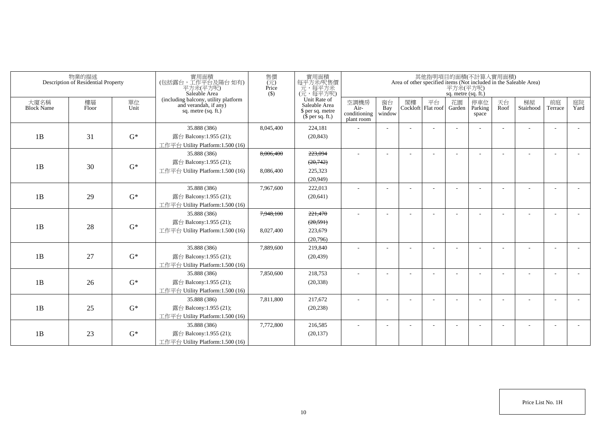|                           | 物業的描述<br>Description of Residential Property |            | 實用面積<br>(包括露台) 工作平台及陽台 如有)<br>平方米(平方呎)<br>Saleable Area                              | 售價<br>(元)<br>Price<br>$($ \$) | 實用面積<br>每平方米/呎售價<br>元,每平方米<br>(元,每平方呎)                                |                                            |                          |    |                          | sq. metre (sq. ft.) | 其他指明項目的面積(不計算入實用面積)      |            | Area of other specified items (Not included in the Saleable Area)<br>$\overline{P} \overline{f} \dot{\mathcal{H}} (\overline{P} \overline{f})$ |                          |                |
|---------------------------|----------------------------------------------|------------|--------------------------------------------------------------------------------------|-------------------------------|-----------------------------------------------------------------------|--------------------------------------------|--------------------------|----|--------------------------|---------------------|--------------------------|------------|------------------------------------------------------------------------------------------------------------------------------------------------|--------------------------|----------------|
| 大廈名稱<br><b>Block Name</b> | 樓層<br>Floor                                  | 單位<br>Unit | (including balcony, utility platform<br>and verandah, if any)<br>sq. metre (sq. ft.) |                               | Unit Rate of<br>Saleable Area<br>\$ per sq. metre<br>$$$ per sq. ft.) | 空調機房<br>Air-<br>conditioning<br>plant room | 窗台<br>Bay<br>window      | 閣樓 | 平台<br>Cockloft Flat roof | 花園<br>Garden        | 停車位<br>Parking<br>space  | 天台<br>Roof | 梯屋<br>Stairhood                                                                                                                                | 前庭<br>Terrace            | 庭院<br>Yard     |
|                           |                                              |            | 35.888 (386)                                                                         | 8,045,400                     | 224,181                                                               |                                            |                          |    |                          |                     |                          |            |                                                                                                                                                | $\overline{\phantom{a}}$ |                |
| 1B                        | 31                                           | $G^*$      | 露台 Balcony:1.955 (21);                                                               |                               | (20, 843)                                                             |                                            |                          |    |                          |                     |                          |            |                                                                                                                                                |                          |                |
|                           |                                              |            | 工作平台 Utility Platform:1.500 (16)                                                     |                               |                                                                       |                                            |                          |    |                          |                     |                          |            |                                                                                                                                                |                          |                |
|                           |                                              |            | 35.888 (386)                                                                         | 8,006,400                     | 223,094                                                               | $\sim$                                     |                          |    |                          |                     |                          |            |                                                                                                                                                | $\overline{\phantom{a}}$ |                |
| 1B                        | 30                                           | $G^*$      | 露台 Balcony:1.955 (21);                                                               |                               | (20,742)                                                              |                                            |                          |    |                          |                     |                          |            |                                                                                                                                                |                          |                |
|                           |                                              |            | 工作平台 Utility Platform: 1.500 (16)                                                    | 8,086,400                     | 225,323                                                               |                                            |                          |    |                          |                     |                          |            |                                                                                                                                                |                          |                |
|                           |                                              |            |                                                                                      |                               | (20,949)                                                              |                                            |                          |    |                          |                     |                          |            |                                                                                                                                                |                          |                |
|                           |                                              |            | 35.888 (386)                                                                         | 7,967,600                     | 222,013                                                               |                                            |                          |    |                          |                     |                          |            |                                                                                                                                                |                          |                |
| 1B                        | 29                                           | $G^*$      | 露台 Balcony:1.955 (21);                                                               |                               | (20, 641)                                                             |                                            |                          |    |                          |                     |                          |            |                                                                                                                                                |                          |                |
|                           |                                              |            | 工作平台 Utility Platform:1.500 (16)                                                     |                               |                                                                       |                                            |                          |    |                          |                     |                          |            |                                                                                                                                                |                          |                |
|                           |                                              |            | 35.888 (386)                                                                         | 7,948,100                     | 221,470                                                               |                                            |                          |    |                          |                     |                          |            |                                                                                                                                                |                          |                |
| 1B                        | 28                                           | $G^*$      | 露台 Balcony:1.955 (21);                                                               |                               | (20, 591)                                                             |                                            |                          |    |                          |                     |                          |            |                                                                                                                                                |                          |                |
|                           |                                              |            | 工作平台 Utility Platform: 1.500 (16)                                                    | 8,027,400                     | 223,679                                                               |                                            |                          |    |                          |                     |                          |            |                                                                                                                                                |                          |                |
|                           |                                              |            |                                                                                      |                               | (20,796)                                                              |                                            |                          |    |                          |                     |                          |            |                                                                                                                                                |                          |                |
|                           |                                              |            | 35.888 (386)                                                                         | 7,889,600                     | 219,840                                                               | $\sim$                                     |                          |    |                          |                     |                          |            |                                                                                                                                                | $\overline{\phantom{a}}$ |                |
| 1B                        | 27                                           | $G^*$      | 露台 Balcony:1.955 (21);                                                               |                               | (20, 439)                                                             |                                            |                          |    |                          |                     |                          |            |                                                                                                                                                |                          |                |
|                           |                                              |            | 工作平台 Utility Platform:1.500 (16)                                                     |                               |                                                                       |                                            |                          |    |                          |                     |                          |            |                                                                                                                                                |                          |                |
|                           |                                              |            | 35.888 (386)                                                                         | 7,850,600                     | 218,753                                                               | ÷                                          |                          |    |                          |                     |                          |            |                                                                                                                                                | ÷                        |                |
| 1B                        | 26                                           | $G^*$      | 露台 Balcony:1.955 (21);                                                               |                               | (20, 338)                                                             |                                            |                          |    |                          |                     |                          |            |                                                                                                                                                |                          |                |
|                           |                                              |            | 工作平台 Utility Platform: 1.500 (16)                                                    |                               |                                                                       |                                            |                          |    |                          |                     |                          |            |                                                                                                                                                |                          |                |
|                           |                                              |            | 35.888 (386)                                                                         | 7.811.800                     | 217,672                                                               | $\sim$                                     | $\overline{\phantom{a}}$ |    |                          |                     | $\overline{\phantom{a}}$ |            | $\sim$                                                                                                                                         | $\sim$                   | $\overline{a}$ |
| 1B                        | 25                                           | $G^*$      | 露台 Balcony:1.955 (21);                                                               |                               | (20, 238)                                                             |                                            |                          |    |                          |                     |                          |            |                                                                                                                                                |                          |                |
|                           |                                              |            | 工作平台 Utility Platform: 1.500 (16)                                                    |                               |                                                                       |                                            |                          |    |                          |                     |                          |            |                                                                                                                                                |                          |                |
|                           |                                              |            | 35.888 (386)                                                                         | 7,772,800                     | 216,585                                                               | $\overline{\phantom{a}}$                   |                          |    |                          |                     | $\overline{\phantom{a}}$ |            |                                                                                                                                                | $\overline{\phantom{a}}$ |                |
| 1B                        | 23                                           | $G^*$      | 露台 Balcony:1.955 (21);                                                               |                               | (20, 137)                                                             |                                            |                          |    |                          |                     |                          |            |                                                                                                                                                |                          |                |
|                           |                                              |            | 工作平台 Utility Platform:1.500 (16)                                                     |                               |                                                                       |                                            |                          |    |                          |                     |                          |            |                                                                                                                                                |                          |                |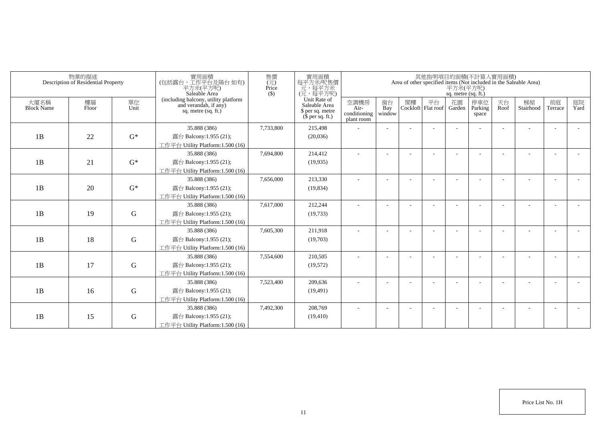|                           | 物業的描述<br>Description of Residential Property |             | 實用面積<br>(包括露台,工作平台及陽台 如有)<br>平方米(平方呎)<br>Saleable Area                                 | 售價<br>(元)<br>Price<br>$($ \$) | 實用面積<br>每平方米/呎售價<br>一元,每平方米<br>(元,每平方呎)                               |                                            |                          |    |                          | 平方米(平方呎)<br>sq. metre (sq. ft.) | 其他指明項目的面積(不計算入實用面積)     |            | Area of other specified items (Not included in the Saleable Area) |                          |            |
|---------------------------|----------------------------------------------|-------------|----------------------------------------------------------------------------------------|-------------------------------|-----------------------------------------------------------------------|--------------------------------------------|--------------------------|----|--------------------------|---------------------------------|-------------------------|------------|-------------------------------------------------------------------|--------------------------|------------|
| 大廈名稱<br><b>Block Name</b> | 樓層<br>Floor                                  | 單位<br>Unit  | (including balcony, utility platform<br>and verandah, if any)<br>sq. metre $(sq, ft.)$ |                               | Unit Rate of<br>Saleable Area<br>\$ per sq. metre<br>$$$ per sq. ft.) | 空調機房<br>Air-<br>conditioning<br>plant room | 窗台<br>Bay<br>window      | 閣樓 | 平台<br>Cockloft Flat roof | 花園<br>Garden                    | 停車位<br>Parking<br>space | 天台<br>Roof | 梯屋<br>Stairhood                                                   | 前庭<br>Terrace            | 庭院<br>Yard |
|                           |                                              |             | 35.888 (386)                                                                           | 7,733,800                     | 215,498                                                               |                                            |                          |    |                          |                                 |                         |            |                                                                   |                          |            |
| 1B                        | 22                                           | $G^*$       | 露台 Balcony:1.955 (21);                                                                 |                               | (20,036)                                                              |                                            |                          |    |                          |                                 |                         |            |                                                                   |                          |            |
|                           |                                              |             | 工作平台 Utility Platform:1.500 (16)                                                       |                               |                                                                       |                                            |                          |    |                          |                                 |                         |            |                                                                   |                          |            |
|                           |                                              |             | 35.888 (386)                                                                           | 7,694,800                     | 214,412                                                               |                                            |                          |    |                          |                                 |                         |            |                                                                   |                          |            |
| 1B                        | 21                                           | $G^*$       | 露台 Balcony:1.955 (21);                                                                 |                               | (19,935)                                                              |                                            |                          |    |                          |                                 |                         |            |                                                                   |                          |            |
|                           |                                              |             | 工作平台 Utility Platform:1.500 (16)                                                       |                               |                                                                       |                                            |                          |    |                          |                                 |                         |            |                                                                   |                          |            |
|                           |                                              |             | 35.888 (386)                                                                           | 7,656,000                     | 213,330                                                               | ٠                                          | $\overline{\phantom{a}}$ |    |                          |                                 |                         |            |                                                                   |                          |            |
| 1B                        | 20                                           | $G^*$       | 露台 Balcony:1.955 (21);                                                                 |                               | (19, 834)                                                             |                                            |                          |    |                          |                                 |                         |            |                                                                   |                          |            |
|                           |                                              |             | 工作平台 Utility Platform: 1.500 (16)                                                      |                               |                                                                       |                                            |                          |    |                          |                                 |                         |            |                                                                   |                          |            |
|                           |                                              |             | 35.888 (386)                                                                           | 7,617,000                     | 212,244                                                               |                                            |                          |    |                          |                                 |                         |            |                                                                   |                          |            |
| 1B                        | 19                                           | G           | 露台 Balcony:1.955 (21);                                                                 |                               | (19, 733)                                                             |                                            |                          |    |                          |                                 |                         |            |                                                                   |                          |            |
|                           |                                              |             | 工作平台 Utility Platform:1.500 (16)                                                       |                               |                                                                       |                                            |                          |    |                          |                                 |                         |            |                                                                   |                          |            |
|                           |                                              |             | 35.888 (386)                                                                           | 7,605,300                     | 211,918                                                               |                                            |                          |    |                          |                                 |                         |            |                                                                   |                          |            |
| 1B                        | 18                                           | $\mathbf G$ | 露台 Balcony:1.955 (21);                                                                 |                               | (19,703)                                                              |                                            |                          |    |                          |                                 |                         |            |                                                                   |                          |            |
|                           |                                              |             | 工作平台 Utility Platform: 1.500 (16)                                                      |                               |                                                                       |                                            |                          |    |                          |                                 |                         |            |                                                                   |                          |            |
|                           |                                              |             | 35.888 (386)                                                                           | 7,554,600                     | 210,505                                                               |                                            |                          |    |                          |                                 |                         |            |                                                                   |                          |            |
| 1B                        | 17                                           | G           | 露台 Balcony:1.955 (21);                                                                 |                               | (19,572)                                                              |                                            |                          |    |                          |                                 |                         |            |                                                                   |                          |            |
|                           |                                              |             | 工作平台 Utility Platform: 1.500 (16)                                                      |                               |                                                                       |                                            |                          |    |                          |                                 |                         |            |                                                                   |                          |            |
|                           |                                              |             | 35.888 (386)                                                                           | 7,523,400                     | 209,636                                                               |                                            |                          |    |                          |                                 |                         |            |                                                                   | $\overline{\phantom{a}}$ |            |
| 1B                        | 16                                           | ${\bf G}$   | 露台 Balcony:1.955 (21);                                                                 |                               | (19, 491)                                                             |                                            |                          |    |                          |                                 |                         |            |                                                                   |                          |            |
|                           |                                              |             | 工作平台 Utility Platform: 1.500 (16)<br>35.888 (386)                                      | 7,492,300                     | 208,769                                                               |                                            |                          |    |                          |                                 |                         |            |                                                                   |                          |            |
| 1B                        | 15                                           | G           | 露台 Balcony:1.955 (21);                                                                 |                               | (19, 410)                                                             |                                            |                          |    |                          |                                 |                         |            |                                                                   |                          |            |
|                           |                                              |             | 工作平台 Utility Platform:1.500 (16)                                                       |                               |                                                                       |                                            |                          |    |                          |                                 |                         |            |                                                                   |                          |            |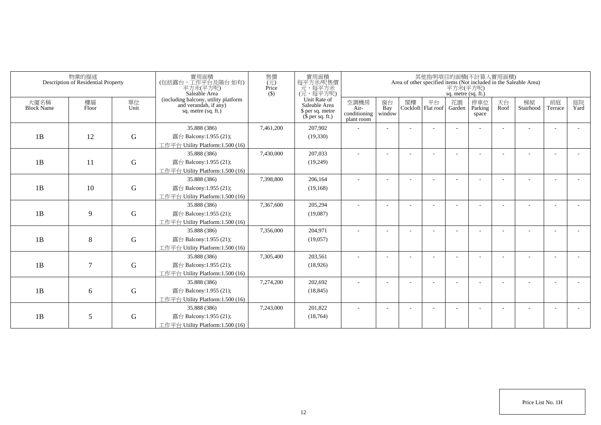|                           | 物業的描述<br>Description of Residential Property |             | 實用面積<br>(包括露台,工作平台及陽台 如有)<br>平方米(平方呎)<br>Saleable Area                                 | 售價<br>(元)<br>Price<br>$($ \$) | 實用面積<br>每平方米/呎售價<br>一元,每平方米<br>(元,每平方呎)                               |                                            |                          |    |                          | 平方米(平方呎)<br>sq. metre (sq. ft.) | 其他指明項目的面積(不計算入實用面積)     |            | Area of other specified items (Not included in the Saleable Area) |               |            |
|---------------------------|----------------------------------------------|-------------|----------------------------------------------------------------------------------------|-------------------------------|-----------------------------------------------------------------------|--------------------------------------------|--------------------------|----|--------------------------|---------------------------------|-------------------------|------------|-------------------------------------------------------------------|---------------|------------|
| 大廈名稱<br><b>Block Name</b> | 樓層<br>Floor                                  | 單位<br>Unit  | (including balcony, utility platform<br>and verandah, if any)<br>sq. metre $(sq, ft.)$ |                               | Unit Rate of<br>Saleable Area<br>\$ per sq. metre<br>$$$ per sq. ft.) | 空調機房<br>Air-<br>conditioning<br>plant room | 窗台<br>Bay<br>window      | 閣樓 | 平台<br>Cockloft Flat roof | 花園<br>Garden                    | 停車位<br>Parking<br>space | 天台<br>Roof | 梯屋<br>Stairhood                                                   | 前庭<br>Terrace | 庭院<br>Yard |
|                           |                                              |             | 35.888 (386)                                                                           | 7,461,200                     | 207,902                                                               |                                            |                          |    |                          |                                 |                         |            |                                                                   |               |            |
| 1B                        | 12                                           | $\mathbf G$ | 露台 Balcony:1.955 (21);                                                                 |                               | (19,330)                                                              |                                            |                          |    |                          |                                 |                         |            |                                                                   |               |            |
|                           |                                              |             | 工作平台 Utility Platform:1.500 (16)                                                       |                               |                                                                       |                                            |                          |    |                          |                                 |                         |            |                                                                   |               |            |
|                           |                                              |             | 35.888 (386)                                                                           | 7,430,000                     | 207,033                                                               |                                            |                          |    |                          |                                 |                         |            |                                                                   |               |            |
| 1B                        | 11                                           | $\mathbf G$ | 露台 Balcony:1.955 (21);                                                                 |                               | (19,249)                                                              |                                            |                          |    |                          |                                 |                         |            |                                                                   |               |            |
|                           |                                              |             | 工作平台 Utility Platform:1.500 (16)                                                       |                               |                                                                       |                                            |                          |    |                          |                                 |                         |            |                                                                   |               |            |
|                           |                                              |             | 35.888 (386)                                                                           | 7,398,800                     | 206,164                                                               | ٠                                          | $\overline{\phantom{a}}$ |    |                          |                                 |                         |            |                                                                   |               |            |
| 1B                        | 10                                           | $\mathbf G$ | 露台 Balcony:1.955 (21);                                                                 |                               | (19, 168)                                                             |                                            |                          |    |                          |                                 |                         |            |                                                                   |               |            |
|                           |                                              |             | 工作平台 Utility Platform: 1.500 (16)                                                      |                               |                                                                       |                                            |                          |    |                          |                                 |                         |            |                                                                   |               |            |
|                           |                                              |             | 35.888 (386)                                                                           | 7,367,600                     | 205,294                                                               |                                            |                          |    |                          |                                 |                         |            |                                                                   |               |            |
| 1B                        | 9                                            | G           | 露台 Balcony:1.955 (21);                                                                 |                               | (19,087)                                                              |                                            |                          |    |                          |                                 |                         |            |                                                                   |               |            |
|                           |                                              |             | 工作平台 Utility Platform:1.500 (16)                                                       |                               |                                                                       |                                            |                          |    |                          |                                 |                         |            |                                                                   |               |            |
|                           |                                              |             | 35.888 (386)                                                                           | 7,356,000                     | 204,971                                                               |                                            |                          |    |                          |                                 |                         |            |                                                                   |               |            |
| 1B                        | 8                                            | $\mathbf G$ | 露台 Balcony:1.955 (21);                                                                 |                               | (19,057)                                                              |                                            |                          |    |                          |                                 |                         |            |                                                                   |               |            |
|                           |                                              |             | 工作平台 Utility Platform: 1.500 (16)<br>35.888 (386)                                      | 7,305,400                     | 203,561                                                               |                                            |                          |    |                          |                                 |                         |            |                                                                   |               |            |
| 1B                        | 7                                            | G           | 露台 Balcony:1.955 (21);                                                                 |                               | (18,926)                                                              |                                            |                          |    |                          |                                 |                         |            |                                                                   |               |            |
|                           |                                              |             | 工作平台 Utility Platform:1.500 (16)                                                       |                               |                                                                       |                                            |                          |    |                          |                                 |                         |            |                                                                   |               |            |
|                           |                                              |             | 35.888 (386)                                                                           | 7,274,200                     | 202,692                                                               |                                            |                          |    |                          |                                 |                         |            |                                                                   |               |            |
| 1B                        | 6                                            | ${\bf G}$   | 露台 Balcony:1.955 (21);                                                                 |                               | (18, 845)                                                             |                                            |                          |    |                          |                                 |                         |            |                                                                   |               |            |
|                           |                                              |             | 工作平台 Utility Platform: 1.500 (16)                                                      |                               |                                                                       |                                            |                          |    |                          |                                 |                         |            |                                                                   |               |            |
|                           |                                              |             | 35.888 (386)                                                                           | 7,243,000                     | 201,822                                                               |                                            |                          |    |                          |                                 |                         |            |                                                                   |               |            |
| 1B                        | 5                                            | G           | 露台 Balcony:1.955 (21);                                                                 |                               | (18, 764)                                                             |                                            |                          |    |                          |                                 |                         |            |                                                                   |               |            |
|                           |                                              |             | 工作平台 Utility Platform:1.500 (16)                                                       |                               |                                                                       |                                            |                          |    |                          |                                 |                         |            |                                                                   |               |            |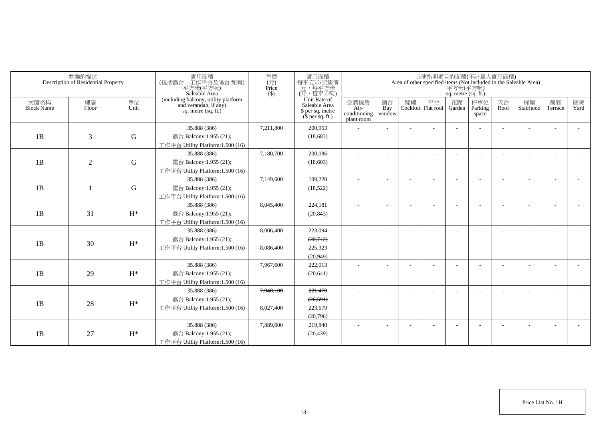| 物業的描述<br>Description of Residential Property |                |                | 實用面積<br>(包括露台,工作平台及陽台如有)<br>平方米(平方呎)<br>Saleable Area                                  | 售價<br>(元)<br>Price<br>$($ \$) | 實用面積<br>每平方米/呎售價<br>元,每平方米<br>(元,每平方呎)                                |                                            | 其他指明項目的面積(不計算入實用面積)<br>Area of other specified items (Not included in the Saleable Area)<br>$\overline{P}$ $\overline{\mathcal{H}}$ $\mathcal{H}(\overline{P})$<br>sq. metre (sq. ft.) |    |                            |              |                         |            |                 |                          |            |  |
|----------------------------------------------|----------------|----------------|----------------------------------------------------------------------------------------|-------------------------------|-----------------------------------------------------------------------|--------------------------------------------|----------------------------------------------------------------------------------------------------------------------------------------------------------------------------------------|----|----------------------------|--------------|-------------------------|------------|-----------------|--------------------------|------------|--|
| 大廈名稱<br><b>Block Name</b>                    | 樓層<br>Floor    | 單位<br>Unit     | (including balcony, utility platform<br>and verandah, if any)<br>sq. metre $(sq. ft.)$ |                               | Unit Rate of<br>Saleable Area<br>\$ per sq. metre<br>$$$ per sq. ft.) | 空調機房<br>Air-<br>conditioning<br>plant room | 窗台<br>Bay<br>window                                                                                                                                                                    | 閣樓 | 平台<br>Cockloft   Flat roof | 花園<br>Garden | 停車位<br>Parking<br>space | 天台<br>Roof | 梯屋<br>Stairhood | 前庭<br>Terrace            | 庭院<br>Yard |  |
|                                              |                |                | 35.888 (386)                                                                           | 7,211,800                     | 200,953                                                               |                                            |                                                                                                                                                                                        |    |                            |              |                         |            |                 |                          |            |  |
| 1B                                           | 3              | ${\bf G}$      | 露台 Balcony:1.955 (21);                                                                 |                               | (18,683)                                                              |                                            |                                                                                                                                                                                        |    |                            |              |                         |            |                 |                          |            |  |
|                                              |                |                | 工作平台 Utility Platform:1.500 (16)                                                       |                               |                                                                       |                                            |                                                                                                                                                                                        |    |                            |              |                         |            |                 |                          |            |  |
|                                              |                |                | 35.888 (386)                                                                           | 7,180,700                     | 200,086                                                               | ÷                                          |                                                                                                                                                                                        |    |                            |              |                         |            |                 |                          |            |  |
| 1B                                           | $\overline{2}$ | ${\bf G}$      | 露台 Balcony:1.955 (21);                                                                 |                               | (18,603)                                                              |                                            |                                                                                                                                                                                        |    |                            |              |                         |            |                 |                          |            |  |
|                                              |                |                | 工作平台 Utility Platform:1.500 (16)                                                       |                               |                                                                       |                                            |                                                                                                                                                                                        |    |                            |              |                         |            |                 |                          |            |  |
|                                              |                |                | 35.888 (386)                                                                           | 7,149,600                     | 199,220                                                               | $\sim$                                     |                                                                                                                                                                                        |    |                            |              |                         |            |                 |                          |            |  |
| 1B                                           |                | ${\bf G}$      | 露台 Balcony:1.955 (21);                                                                 |                               | (18, 522)                                                             |                                            |                                                                                                                                                                                        |    |                            |              |                         |            |                 |                          |            |  |
|                                              |                |                | 工作平台 Utility Platform:1.500 (16)                                                       |                               |                                                                       |                                            |                                                                                                                                                                                        |    |                            |              |                         |            |                 |                          |            |  |
|                                              |                |                | 35.888 (386)                                                                           | 8,045,400                     | 224,181                                                               | $\sim$                                     |                                                                                                                                                                                        |    |                            |              |                         |            |                 |                          |            |  |
| 1B                                           | 31             | $H^*$          | 露台 Balcony:1.955 (21);                                                                 |                               | (20, 843)                                                             |                                            |                                                                                                                                                                                        |    |                            |              |                         |            |                 |                          |            |  |
|                                              |                |                | 工作平台 Utility Platform:1.500 (16)                                                       |                               |                                                                       |                                            |                                                                                                                                                                                        |    |                            |              |                         |            |                 |                          |            |  |
|                                              |                |                | 35.888 (386)                                                                           | 8.006.400                     | 223,094                                                               |                                            |                                                                                                                                                                                        |    |                            |              |                         |            |                 |                          |            |  |
| 1B                                           | 30             | $H^*$          | 露台 Balcony:1.955 (21);                                                                 |                               | (20,742)                                                              |                                            |                                                                                                                                                                                        |    |                            |              |                         |            |                 |                          |            |  |
|                                              |                |                | 工作平台 Utility Platform: 1.500 (16)                                                      | 8,086,400                     | 225,323                                                               |                                            |                                                                                                                                                                                        |    |                            |              |                         |            |                 |                          |            |  |
|                                              |                |                |                                                                                        |                               | (20,949)                                                              |                                            |                                                                                                                                                                                        |    |                            |              |                         |            |                 |                          |            |  |
|                                              |                |                | 35.888 (386)                                                                           | 7,967,600                     | 222,013                                                               |                                            |                                                                                                                                                                                        |    |                            |              |                         |            |                 |                          |            |  |
| 1B                                           | 29             | $H^*$          | 露台 Balcony:1.955 (21);                                                                 |                               | (20, 641)                                                             |                                            |                                                                                                                                                                                        |    |                            |              |                         |            |                 |                          |            |  |
|                                              |                |                | 工作平台 Utility Platform:1.500 (16)                                                       |                               |                                                                       |                                            |                                                                                                                                                                                        |    |                            |              |                         |            |                 |                          |            |  |
|                                              |                |                | 35.888 (386)                                                                           | 7,948,100                     | 221,470                                                               |                                            |                                                                                                                                                                                        |    |                            |              |                         |            |                 |                          |            |  |
| 1B                                           | 28             | $\mathrm{H}^*$ | 露台 Balcony:1.955 (21);                                                                 |                               | (20, 591)                                                             |                                            |                                                                                                                                                                                        |    |                            |              |                         |            |                 |                          |            |  |
|                                              |                |                | 工作平台 Utility Platform:1.500 (16)                                                       | 8,027,400                     | 223,679                                                               |                                            |                                                                                                                                                                                        |    |                            |              |                         |            |                 |                          |            |  |
|                                              |                |                |                                                                                        |                               | (20,796)                                                              |                                            |                                                                                                                                                                                        |    |                            |              |                         |            |                 |                          |            |  |
|                                              |                |                | 35.888 (386)                                                                           | 7,889,600                     | 219,840                                                               | $\sim$                                     |                                                                                                                                                                                        |    |                            |              | <b>1</b>                |            |                 | $\overline{\phantom{a}}$ |            |  |
| 1B                                           | 27             | $H^*$          | 露台 Balcony:1.955 (21);                                                                 |                               | (20, 439)                                                             |                                            |                                                                                                                                                                                        |    |                            |              |                         |            |                 |                          |            |  |
|                                              |                |                | 工作平台 Utility Platform:1.500 (16)                                                       |                               |                                                                       |                                            |                                                                                                                                                                                        |    |                            |              |                         |            |                 |                          |            |  |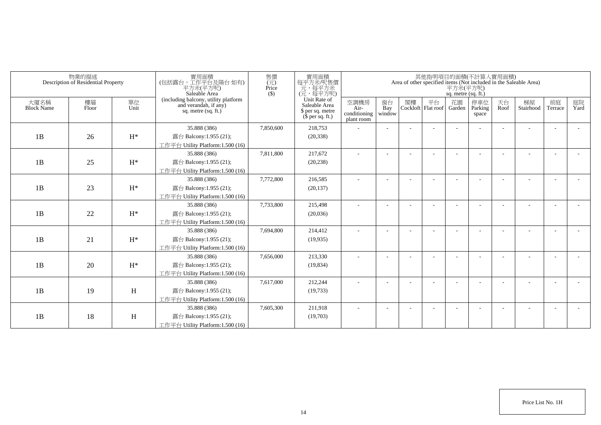|                           | 物業的描述<br>Description of Residential Property |                           | 實用面積<br>(包括露台,工作平台及陽台如有)<br>平方米(平方呎)<br>Saleable Area                                  | 售價<br>(元)<br>Price<br>$($ \$) | 實用面積<br>每平方米呎售價<br>一元<br>(元,每平方米)<br>(元,每平方呎)                         |                                            |                     |    | 其他指明項目的面積(不計算入實用面積)      | 平方米(平方呎)<br>sq. metre (sq. ft.) |                         |            | Area of other specified items (Not included in the Saleable Area) |                          |            |
|---------------------------|----------------------------------------------|---------------------------|----------------------------------------------------------------------------------------|-------------------------------|-----------------------------------------------------------------------|--------------------------------------------|---------------------|----|--------------------------|---------------------------------|-------------------------|------------|-------------------------------------------------------------------|--------------------------|------------|
| 大廈名稱<br><b>Block Name</b> | 樓層<br>Floor                                  | 單位<br>Unit                | (including balcony, utility platform<br>and verandah, if any)<br>sq. metre $(sq, ft.)$ |                               | Unit Rate of<br>Saleable Area<br>\$ per sq. metre<br>$$$ per sq. ft.) | 空調機房<br>Air-<br>conditioning<br>plant room | 窗台<br>Bay<br>window | 閣樓 | 平台<br>Cockloft Flat roof | 花園<br>Garden                    | 停車位<br>Parking<br>space | 天台<br>Roof | 梯屋<br>Stairhood                                                   | 前庭<br>Terrace            | 庭院<br>Yard |
|                           |                                              |                           | 35.888 (386)                                                                           | 7,850,600                     | 218,753                                                               |                                            |                     |    |                          |                                 |                         |            |                                                                   |                          |            |
| 1B                        | 26                                           | $H^*$                     | 露台 Balcony:1.955 (21);                                                                 |                               | (20, 338)                                                             |                                            |                     |    |                          |                                 |                         |            |                                                                   |                          |            |
|                           |                                              |                           | 工作平台 Utility Platform:1.500 (16)                                                       |                               |                                                                       |                                            |                     |    |                          |                                 |                         |            |                                                                   |                          |            |
|                           |                                              |                           | 35.888 (386)                                                                           | 7,811,800                     | 217,672                                                               |                                            |                     |    |                          |                                 |                         |            |                                                                   |                          |            |
| 1B                        | 25                                           | $H^*$                     | 露台 Balcony:1.955 (21);                                                                 |                               | (20, 238)                                                             |                                            |                     |    |                          |                                 |                         |            |                                                                   |                          |            |
|                           |                                              |                           | 工作平台 Utility Platform: 1.500 (16)                                                      |                               |                                                                       |                                            |                     |    |                          |                                 |                         |            |                                                                   |                          |            |
|                           |                                              |                           | 35.888 (386)                                                                           | 7,772,800                     | 216,585                                                               |                                            |                     |    |                          |                                 |                         |            |                                                                   |                          |            |
| 1B                        | 23                                           | $H^*$                     | 露台 Balcony:1.955 (21);                                                                 |                               | (20, 137)                                                             |                                            |                     |    |                          |                                 |                         |            |                                                                   |                          |            |
|                           |                                              |                           | 工作平台 Utility Platform:1.500 (16)                                                       |                               |                                                                       |                                            |                     |    |                          |                                 |                         |            |                                                                   |                          |            |
|                           |                                              |                           | 35.888 (386)                                                                           | 7,733,800                     | 215,498                                                               |                                            |                     |    |                          |                                 |                         |            |                                                                   |                          |            |
| 1B                        | 22                                           | $H^*$                     | 露台 Balcony:1.955 (21);                                                                 |                               | (20,036)                                                              |                                            |                     |    |                          |                                 |                         |            |                                                                   |                          |            |
|                           |                                              |                           | 工作平台 Utility Platform:1.500 (16)                                                       |                               |                                                                       |                                            |                     |    |                          |                                 |                         |            |                                                                   |                          |            |
|                           |                                              |                           | 35.888 (386)                                                                           | 7,694,800                     | 214,412                                                               | ٠                                          |                     |    |                          |                                 |                         |            |                                                                   | $\overline{\phantom{a}}$ |            |
| 1B                        | 21                                           | $H^*$                     | 露台 Balcony:1.955 (21);                                                                 |                               | (19, 935)                                                             |                                            |                     |    |                          |                                 |                         |            |                                                                   |                          |            |
|                           |                                              |                           | 工作平台 Utility Platform:1.500 (16)                                                       |                               |                                                                       |                                            |                     |    |                          |                                 |                         |            |                                                                   |                          |            |
|                           |                                              |                           | 35.888 (386)                                                                           | 7,656,000                     | 213,330                                                               |                                            |                     |    |                          |                                 |                         |            |                                                                   |                          |            |
| 1B                        | 20                                           | $H^*$                     | 露台 Balcony:1.955 (21);                                                                 |                               | (19, 834)                                                             |                                            |                     |    |                          |                                 |                         |            |                                                                   |                          |            |
|                           |                                              |                           | 工作平台 Utility Platform:1.500 (16)                                                       |                               |                                                                       |                                            |                     |    |                          |                                 |                         |            |                                                                   |                          |            |
|                           |                                              |                           | 35.888 (386)                                                                           | 7,617,000                     | 212,244                                                               |                                            |                     |    |                          |                                 |                         |            |                                                                   | ٠                        |            |
| 1B                        | 19                                           | $\boldsymbol{\mathrm{H}}$ | 露台 Balcony:1.955 (21);                                                                 |                               | (19, 733)                                                             |                                            |                     |    |                          |                                 |                         |            |                                                                   |                          |            |
|                           |                                              |                           | 工作平台 Utility Platform:1.500 (16)                                                       |                               |                                                                       |                                            |                     |    |                          |                                 |                         |            |                                                                   |                          |            |
|                           |                                              |                           | 35.888 (386)                                                                           | 7,605,300                     | 211,918                                                               |                                            |                     |    |                          |                                 |                         |            |                                                                   | ÷                        |            |
| 1B                        | 18                                           | Η                         | 露台 Balcony:1.955 (21);                                                                 |                               | (19,703)                                                              |                                            |                     |    |                          |                                 |                         |            |                                                                   |                          |            |
|                           |                                              |                           | 工作平台 Utility Platform:1.500 (16)                                                       |                               |                                                                       |                                            |                     |    |                          |                                 |                         |            |                                                                   |                          |            |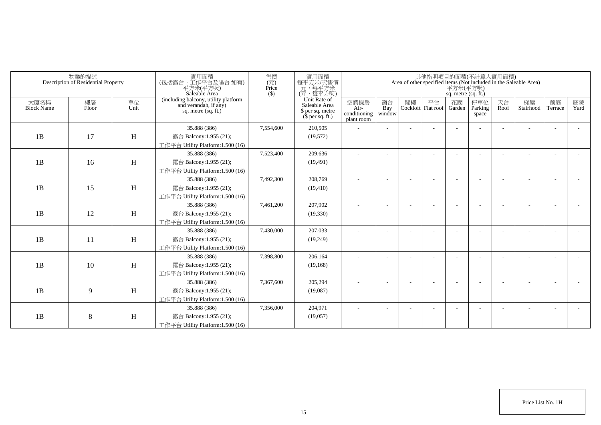| Area of other specified items (Not included in the Saleable Area) | 平方米(平方呎)<br>sq. metre (sq. ft.) | 其他指明項目的面積(不計算入實用面積)      |    |                          |                                            | 實用面積<br>每平方米/呎售價                                                                                                                                         | 售價<br>$(\vec{\pi})$<br>Price<br>$($ \$)                       | 實用面積<br>(包括露台,工作平台及陽台 如有)<br>平方米(平方呎)<br>Saleable Area                                                                                                                                                                                                                                                                                                                                                                                                                                                                                        |                            | 物業的描述<br>Description of Residential Property |                                        |
|-------------------------------------------------------------------|---------------------------------|--------------------------|----|--------------------------|--------------------------------------------|----------------------------------------------------------------------------------------------------------------------------------------------------------|---------------------------------------------------------------|-----------------------------------------------------------------------------------------------------------------------------------------------------------------------------------------------------------------------------------------------------------------------------------------------------------------------------------------------------------------------------------------------------------------------------------------------------------------------------------------------------------------------------------------------|----------------------------|----------------------------------------------|----------------------------------------|
| 天台<br>停車位<br>Parking<br>Roof<br>space                             | 花園<br>Garden                    | 平台<br>Cockloft Flat roof | 閣樓 | 窗台<br>Bay<br>window      | 空調機房<br>Air-<br>conditioning<br>plant room | Saleable Area<br>\$ per sq. metre<br>$$$ per sq. ft.)                                                                                                    |                                                               | sq. metre $(sq, ft.)$                                                                                                                                                                                                                                                                                                                                                                                                                                                                                                                         | 單位<br>Unit                 | 樓層<br>Floor                                  | 大廈名稱<br><b>Block Name</b>              |
|                                                                   |                                 |                          |    |                          |                                            | 210,505                                                                                                                                                  | 7,554,600                                                     | 35.888 (386)                                                                                                                                                                                                                                                                                                                                                                                                                                                                                                                                  |                            |                                              |                                        |
|                                                                   |                                 |                          |    |                          |                                            | (19, 572)                                                                                                                                                |                                                               | 露台 Balcony:1.955 (21);                                                                                                                                                                                                                                                                                                                                                                                                                                                                                                                        | H                          | 17                                           | 1B                                     |
|                                                                   |                                 |                          |    |                          |                                            |                                                                                                                                                          |                                                               | 工作平台 Utility Platform:1.500 (16)                                                                                                                                                                                                                                                                                                                                                                                                                                                                                                              |                            |                                              |                                        |
|                                                                   |                                 |                          |    |                          |                                            | 209,636                                                                                                                                                  | 7,523,400                                                     | 35.888 (386)                                                                                                                                                                                                                                                                                                                                                                                                                                                                                                                                  |                            |                                              |                                        |
|                                                                   |                                 |                          |    |                          |                                            | (19, 491)                                                                                                                                                |                                                               | 露台 Balcony:1.955 (21);                                                                                                                                                                                                                                                                                                                                                                                                                                                                                                                        | H                          | 16                                           |                                        |
|                                                                   |                                 |                          |    |                          |                                            |                                                                                                                                                          |                                                               |                                                                                                                                                                                                                                                                                                                                                                                                                                                                                                                                               |                            |                                              |                                        |
|                                                                   |                                 |                          |    | $\overline{\phantom{a}}$ | ٠                                          | 208,769                                                                                                                                                  | 7,492,300                                                     | 35.888 (386)                                                                                                                                                                                                                                                                                                                                                                                                                                                                                                                                  |                            |                                              |                                        |
|                                                                   |                                 |                          |    |                          |                                            | (19, 410)                                                                                                                                                |                                                               | 露台 Balcony:1.955 (21);                                                                                                                                                                                                                                                                                                                                                                                                                                                                                                                        |                            |                                              |                                        |
|                                                                   |                                 |                          |    |                          |                                            |                                                                                                                                                          |                                                               |                                                                                                                                                                                                                                                                                                                                                                                                                                                                                                                                               |                            |                                              |                                        |
|                                                                   |                                 |                          |    |                          |                                            |                                                                                                                                                          |                                                               |                                                                                                                                                                                                                                                                                                                                                                                                                                                                                                                                               |                            |                                              |                                        |
|                                                                   |                                 |                          |    |                          |                                            |                                                                                                                                                          |                                                               |                                                                                                                                                                                                                                                                                                                                                                                                                                                                                                                                               |                            |                                              |                                        |
|                                                                   |                                 |                          |    |                          |                                            |                                                                                                                                                          |                                                               |                                                                                                                                                                                                                                                                                                                                                                                                                                                                                                                                               |                            |                                              |                                        |
|                                                                   |                                 |                          |    |                          |                                            |                                                                                                                                                          |                                                               |                                                                                                                                                                                                                                                                                                                                                                                                                                                                                                                                               |                            |                                              |                                        |
|                                                                   |                                 |                          |    |                          |                                            |                                                                                                                                                          |                                                               |                                                                                                                                                                                                                                                                                                                                                                                                                                                                                                                                               |                            |                                              |                                        |
|                                                                   |                                 |                          |    |                          |                                            |                                                                                                                                                          |                                                               |                                                                                                                                                                                                                                                                                                                                                                                                                                                                                                                                               |                            |                                              |                                        |
|                                                                   |                                 |                          |    |                          |                                            |                                                                                                                                                          |                                                               |                                                                                                                                                                                                                                                                                                                                                                                                                                                                                                                                               |                            |                                              |                                        |
|                                                                   |                                 |                          |    |                          |                                            |                                                                                                                                                          |                                                               |                                                                                                                                                                                                                                                                                                                                                                                                                                                                                                                                               |                            |                                              |                                        |
|                                                                   |                                 |                          |    |                          |                                            |                                                                                                                                                          |                                                               |                                                                                                                                                                                                                                                                                                                                                                                                                                                                                                                                               |                            |                                              |                                        |
|                                                                   |                                 |                          |    |                          |                                            |                                                                                                                                                          |                                                               |                                                                                                                                                                                                                                                                                                                                                                                                                                                                                                                                               |                            |                                              |                                        |
|                                                                   |                                 |                          |    |                          |                                            |                                                                                                                                                          |                                                               |                                                                                                                                                                                                                                                                                                                                                                                                                                                                                                                                               |                            |                                              |                                        |
|                                                                   |                                 |                          |    |                          |                                            |                                                                                                                                                          |                                                               |                                                                                                                                                                                                                                                                                                                                                                                                                                                                                                                                               |                            |                                              |                                        |
|                                                                   |                                 |                          |    |                          |                                            |                                                                                                                                                          |                                                               |                                                                                                                                                                                                                                                                                                                                                                                                                                                                                                                                               |                            |                                              |                                        |
|                                                                   |                                 |                          |    |                          |                                            |                                                                                                                                                          |                                                               |                                                                                                                                                                                                                                                                                                                                                                                                                                                                                                                                               |                            |                                              |                                        |
|                                                                   |                                 |                          |    |                          |                                            | 一元,每平方米<br>(元,每平方呎)<br>Unit Rate of<br>207,902<br>(19, 330)<br>207,033<br>(19,249)<br>206,164<br>(19, 168)<br>205,294<br>(19,087)<br>204,971<br>(19,057) | 7,461,200<br>7,430,000<br>7,398,800<br>7,367,600<br>7,356,000 | (including balcony, utility platform<br>and verandah, if any)<br>工作平台 Utility Platform:1.500 (16)<br>工作平台 Utility Platform:1.500 (16)<br>35.888 (386)<br>露台 Balcony:1.955 (21);<br>工作平台 Utility Platform:1.500 (16)<br>35.888 (386)<br>露台 Balcony:1.955 (21);<br>工作平台 Utility Platform: 1.500 (16)<br>35.888 (386)<br>露台 Balcony:1.955 (21);<br>工作平台 Utility Platform:1.500 (16)<br>35.888 (386)<br>露台 Balcony:1.955 (21);<br>工作平台 Utility Platform: 1.500 (16)<br>35.888 (386)<br>露台 Balcony:1.955 (21);<br>工作平台 Utility Platform:1.500 (16) | H<br>H<br>H<br>H<br>H<br>H | 15<br>12<br>11<br>10<br>9<br>8               | 1B<br>1B<br>1B<br>1B<br>1B<br>1B<br>1B |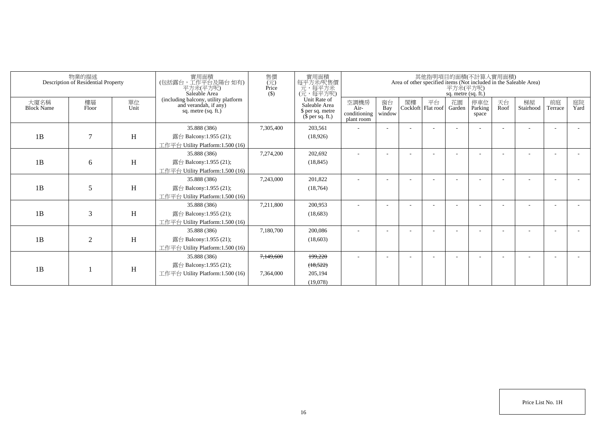|                           | 物業的描述<br>Description of Residential Property |            | 實用面積<br>(包括露台,工作平台及陽台如有)<br>平方米(平方呎)<br>Saleable Area                                | 實用面積<br>售價<br>每平方米/呎售價<br>$(\vec{\pi})$<br>元,每平方米<br>Price<br>(元,每平方呎)<br>$($ \$) |                                                                       |                                            |                          |    |                          |              | 其他指明項目的面積(不計算入實用面積)<br>Area of other specified items (Not included in the Saleable Area)<br>平方米(平方呎)<br>sq. metre (sq. ft.) |            |                 |               |            |  |  |  |  |  |
|---------------------------|----------------------------------------------|------------|--------------------------------------------------------------------------------------|-----------------------------------------------------------------------------------|-----------------------------------------------------------------------|--------------------------------------------|--------------------------|----|--------------------------|--------------|-----------------------------------------------------------------------------------------------------------------------------|------------|-----------------|---------------|------------|--|--|--|--|--|
| 大廈名稱<br><b>Block Name</b> | 樓層<br>Floor                                  | 單位<br>Unit | (including balcony, utility platform<br>and verandah, if any)<br>sq. metre (sq. ft.) |                                                                                   | Unit Rate of<br>Saleable Area<br>\$ per sq. metre<br>$$$ per sq. ft.) | 空調機房<br>Air-<br>conditioning<br>plant room | 窗台<br>Bay<br>window      | 閣樓 | 平台<br>Cockloft Flat roof | 花園<br>Garden | 停車位<br>Parking<br>space                                                                                                     | 天台<br>Roof | 梯屋<br>Stairhood | 前庭<br>Terrace | 庭院<br>Yard |  |  |  |  |  |
| 1B                        | $\tau$                                       | H          | 35.888 (386)<br>露台 Balcony:1.955 (21);<br>工作平台 Utility Platform:1.500 (16)           | 7,305,400                                                                         | 203,561<br>(18,926)                                                   |                                            |                          |    |                          |              |                                                                                                                             |            |                 |               |            |  |  |  |  |  |
| 1B                        | 6                                            | H          | 35.888 (386)<br>露台 Balcony:1.955 (21);<br>工作平台 Utility Platform:1.500 (16)           | 7,274,200                                                                         | 202,692<br>(18, 845)                                                  |                                            |                          |    |                          |              |                                                                                                                             |            |                 |               |            |  |  |  |  |  |
| 1B                        | 5                                            | H          | 35.888 (386)<br>露台 Balcony:1.955 (21);<br>工作平台 Utility Platform:1.500 (16)           | 7,243,000                                                                         | 201,822<br>(18, 764)                                                  |                                            |                          |    |                          |              |                                                                                                                             |            |                 |               |            |  |  |  |  |  |
| 1B                        | 3                                            | H          | 35.888 (386)<br>露台 Balcony:1.955 (21);<br>工作平台 Utility Platform:1.500 (16)           | 7,211,800                                                                         | 200,953<br>(18,683)                                                   |                                            |                          |    |                          |              |                                                                                                                             |            |                 |               |            |  |  |  |  |  |
| 1B                        | $\overline{2}$                               | H          | 35.888 (386)<br>露台 Balcony:1.955 (21);<br>工作平台 Utility Platform:1.500 (16)           | 7,180,700                                                                         | 200,086<br>(18,603)                                                   |                                            |                          |    |                          |              |                                                                                                                             |            |                 |               |            |  |  |  |  |  |
| 1B                        |                                              | H          | 35.888 (386)<br>露台 Balcony:1.955 (21);<br>工作平台 Utility Platform:1.500 (16)           | 7,149,600<br>7.364,000                                                            | 199.220<br>(18, 522)<br>205.194<br>(19,078)                           | $\sim$                                     | $\overline{\phantom{a}}$ |    |                          |              |                                                                                                                             |            |                 |               |            |  |  |  |  |  |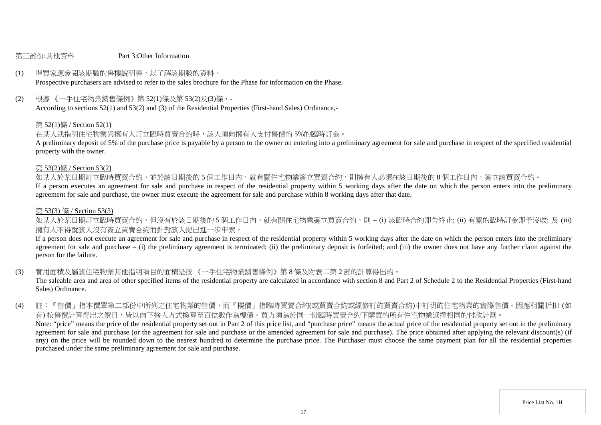#### 第三部份:其他資料 Part 3:Other Information

# (1) 準買家應參閱該期數的售樓說明書,以了解該期數的資料。

Prospective purchasers are advised to refer to the sales brochure for the Phase for information on the Phase.

(2) 根據 《一手住宅物業銷售條例》第 52(1)條及第 53(2)及(3)條,-

According to sections 52(1) and 53(2) and (3) of the Residential Properties (First-hand Sales) Ordinance,-

#### 第 52(1)條 / Section 52(1)

在某人就指明住宅物業與擁有人訂立臨時買賣合約時,該人須向擁有人支付售價的 5%的臨時訂金。

A preliminary deposit of 5% of the purchase price is payable by a person to the owner on entering into a preliminary agreement for sale and purchase in respect of the specified residential property with the owner.

#### 第 53(2)條 / Section 53(2)

如某人於某日期訂立臨時買賣合約,並於該日期後的5個工作日内,就有關住宅物業簽立買賣合約,則擁有人必須在該日期後的8個工作日内,簽立該買賣合約。

If a person executes an agreement for sale and purchase in respect of the residential property within 5 working days after the date on which the person enters into the preliminary agreement for sale and purchase, the owner must execute the agreement for sale and purchase within 8 working days after that date.

#### 第 53(3) 條 / Section 53(3)

如某人於某日期訂立臨時買賣合約,但沒有於該日期後的 5 個工作日内,就有關住宅物業簽立買賣合約,則 – (i) 該臨時合約即告終止; (ii) 有關的臨時訂金即予沒收; 及 (iii) 擁有人不得就該人沒有簽立買賣合約而針對該人提出進一步申索。

If a person does not execute an agreement for sale and purchase in respect of the residential property within 5 working days after the date on which the person enters into the preliminary agreement for sale and purchase – (i) the preliminary agreement is terminated; (ii) the preliminary deposit is forfeited; and (iii) the owner does not have any further claim against the person for the failure.

(3) 實用面積及屬該住宅物業其他指明項目的面積是按 《一手住宅物業銷售條例》第 8 條及附表二第 2 部的計算得出的。

The saleable area and area of other specified items of the residential property are calculated in accordance with section 8 and Part 2 of Schedule 2 to the Residential Properties (First-hand Sales) Ordinance.

(4) 註:『售價』指本價單第二部份中所列之住宅物業的售價,而『樓價』指臨時買賣合約(或買賣合約或經修訂的買賣合約)中訂明的住宅物業的實際售價。因應相關折扣 (如 有) 按售價計算得出之價目,皆以向下捨入方式換算至百位數作為樓價。買方須為於同一份臨時買賣合約下購買的所有住宅物業選擇相同的付款計劃。 Note: "price" means the price of the residential property set out in Part 2 of this price list, and "purchase price" means the actual price of the residential property set out in the preliminary agreement for sale and purchase (or the agreement for sale and purchase or the amended agreement for sale and purchase). The price obtained after applying the relevant discount(s) (if any) on the price will be rounded down to the nearest hundred to determine the purchase price. The Purchaser must choose the same payment plan for all the residential properties purchased under the same preliminary agreement for sale and purchase.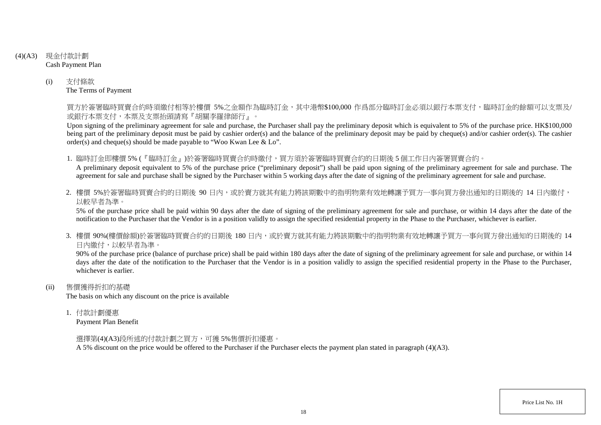- (4)(A3) 現金付款計劃 Cash Payment Plan
	- (i) 支付條款 The Terms of Payment

買方於簽署臨時買賣合約時須繳付相等於樓價 5%之金額作為臨時訂金,其中港幣\$100,000 作爲部分臨時訂金必須以銀行本票支付,臨時訂金的餘額可以支票及/ 或銀行本票支付,本票及支票抬頭請寫『胡關李羅律師行』。

Upon signing of the preliminary agreement for sale and purchase, the Purchaser shall pay the preliminary deposit which is equivalent to 5% of the purchase price. HK\$100,000 being part of the preliminary deposit must be paid by cashier order(s) and the balance of the preliminary deposit may be paid by cheque(s) and/or cashier order(s). The cashier order(s) and cheque(s) should be made payable to "Woo Kwan Lee & Lo".

1. 臨時訂金即樓價 5% (『臨時訂金』)於簽署臨時買賣合約時繳付,買方須於簽署臨時買賣合約的日期後 5 個工作日內簽署買賣合約。

A preliminary deposit equivalent to 5% of the purchase price ("preliminary deposit") shall be paid upon signing of the preliminary agreement for sale and purchase. The agreement for sale and purchase shall be signed by the Purchaser within 5 working days after the date of signing of the preliminary agreement for sale and purchase.

2. 樓價 5%於簽署臨時買賣合約的日期後 90 日内,或於賣方就其有能力將該期數中的指明物業有效地轉讓予買方一事向買方發出通知的日期後的 14 日內繳付, 以較早者為準。

5% of the purchase price shall be paid within 90 days after the date of signing of the preliminary agreement for sale and purchase, or within 14 days after the date of the notification to the Purchaser that the Vendor is in a position validly to assign the specified residential property in the Phase to the Purchaser, whichever is earlier.

3. 樓價90%(樓價餘額)於簽署臨時買賣合約的日期後 180 日内,或於賣方就其有能力將該期數中的指明物業有效地轉讓予買方一事向買方發出涌知的日期後的 14 日內繳付,以較早者為準。

90% of the purchase price (balance of purchase price) shall be paid within 180 days after the date of signing of the preliminary agreement for sale and purchase, or within 14 days after the date of the notification to the Purchaser that the Vendor is in a position validly to assign the specified residential property in the Phase to the Purchaser. whichever is earlier.

(ii) 售價獲得折扣的基礎

The basis on which any discount on the price is available

1. 付款計劃優惠

Payment Plan Benefit

選擇第(4)(A3)段所述的付款計劃之買方,可獲 5%售價折扣優惠。

A 5% discount on the price would be offered to the Purchaser if the Purchaser elects the payment plan stated in paragraph (4)(A3).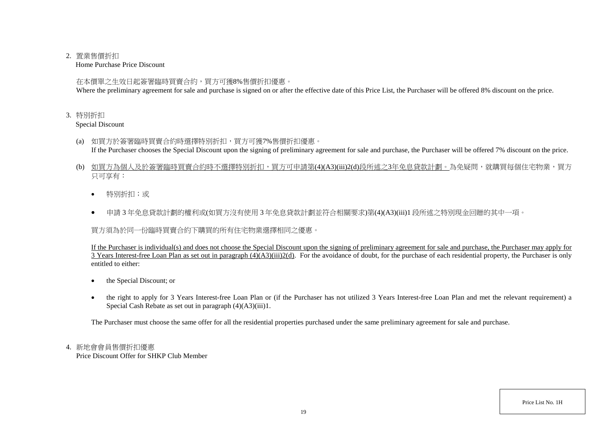#### 2. 置業售價折扣

Home Purchase Price Discount

在本價單之生效日起簽署臨時買賣合約,買方可獲8%售價折扣優惠。

Where the preliminary agreement for sale and purchase is signed on or after the effective date of this Price List, the Purchaser will be offered 8% discount on the price.

3. 特別折扣

Special Discount

- (a) 如買方於簽署臨時買賣合約時選擇特別折扣,買方可獲7%售價折扣優惠。 If the Purchaser chooses the Special Discount upon the signing of preliminary agreement for sale and purchase, the Purchaser will be offered 7% discount on the price.
- (b) 如買方為個人及於簽署臨時買賣合約時不選擇特別折扣,買方可申請第(4)(A3)(iii)2(d)段所述之3年免息貸款計劃。為免疑問,就購買每個住宅物業,買方 只可享有:
	- 特別折扣;或
	- 申請 3 年免息貸款計劃的權利或(如買方沒有使用 3 年免息貸款計劃並符合相關要求)第(4)(A3)(iii)1 段所述之特別現金回贈的其中一項。

買方須為於同一份臨時買賣合約下購買的所有住宅物業選擇相同之優惠。

If the Purchaser is individual(s) and does not choose the Special Discount upon the signing of preliminary agreement for sale and purchase, the Purchaser may apply for  $\overline{3}$  Years Interest-free Loan Plan as set out in paragraph  $(4)(A3)(iii)2(d)$ . For the avoidance of doubt, for the purchase of each residential property, the Purchaser is only entitled to either:

- the Special Discount; or
- the right to apply for 3 Years Interest-free Loan Plan or (if the Purchaser has not utilized 3 Years Interest-free Loan Plan and met the relevant requirement) a Special Cash Rebate as set out in paragraph (4)(A3)(iii)1.

The Purchaser must choose the same offer for all the residential properties purchased under the same preliminary agreement for sale and purchase.

# 4. 新地會會員售價折扣優惠

Price Discount Offer for SHKP Club Member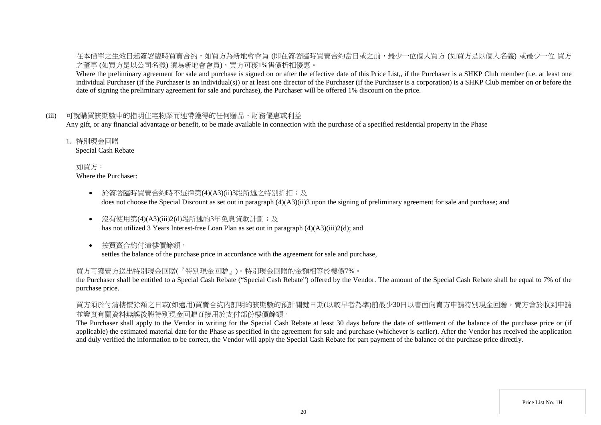在本價單之生效日起簽署臨時買賣合約,如買方為新地會會員 (即在簽署臨時買賣合約當日或之前,最少一位個人買方 (如買方是以個人名義) 或最少一位 買方 之董事 (如買方是以公司名義) 須為新地會會員),買方可獲1%售價折扣優惠。

Where the preliminary agreement for sale and purchase is signed on or after the effective date of this Price List,, if the Purchaser is a SHKP Club member (i.e. at least one individual Purchaser (if the Purchaser is an individual(s)) or at least one director of the Purchaser (if the Purchaser is a corporation) is a SHKP Club member on or before the date of signing the preliminary agreement for sale and purchase), the Purchaser will be offered 1% discount on the price.

### (iii) 可就購買該期數中的指明住宅物業而連帶獲得的任何贈品、財務優惠或利益

Any gift, or any financial advantage or benefit, to be made available in connection with the purchase of a specified residential property in the Phase

1. 特別現金回贈

Special Cash Rebate

如買方: Where the Purchaser:

- 於簽署臨時買賣合約時不選擇第(4)(A3)(ii)3段所述之特別折扣;及 does not choose the Special Discount as set out in paragraph (4)(A3)(ii)3 upon the signing of preliminary agreement for sale and purchase; and
- 沒有使用第(4)(A3)(iii)2(d)段所述的3年免息貸款計劃;及 has not utilized 3 Years Interest-free Loan Plan as set out in paragraph (4)(A3)(iii)2(d); and
- 按買賣合約付清樓價餘額, settles the balance of the purchase price in accordance with the agreement for sale and purchase,

### 買方可獲賣方送出特別現金回贈(『特別現金回贈』)。特別現金回贈的金額相等於樓價7%。

the Purchaser shall be entitled to a Special Cash Rebate ("Special Cash Rebate") offered by the Vendor. The amount of the Special Cash Rebate shall be equal to 7% of the purchase price.

買方須於付清樓價餘額之日或(如適用)買賣合約內訂明的該期數的預計關鍵日期(以較早者為準)前最少30日以書面向賣方申請特別現金回贈,賣方會於收到申請 並證實有關資料無誤後將特別現金回贈直接用於支付部份樓價餘額。

The Purchaser shall apply to the Vendor in writing for the Special Cash Rebate at least 30 days before the date of settlement of the balance of the purchase price or (if applicable) the estimated material date for the Phase as specified in the agreement for sale and purchase (whichever is earlier). After the Vendor has received the application and duly verified the information to be correct, the Vendor will apply the Special Cash Rebate for part payment of the balance of the purchase price directly.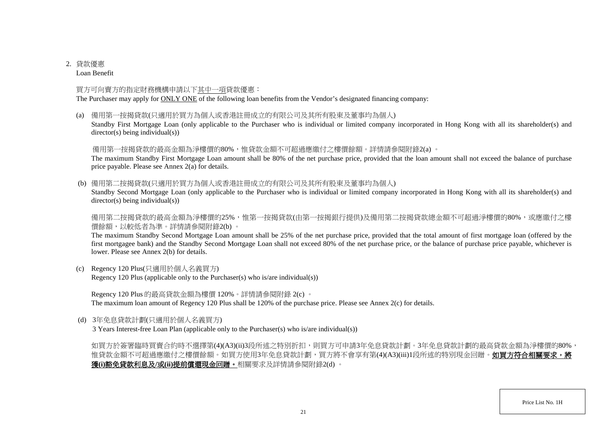# 2. 貸款優惠

Loan Benefit

### 買方可向賣方的指定財務機構申請以下其中一項貸款優惠:

The Purchaser may apply for ONLY ONE of the following loan benefits from the Vendor's designated financing company:

(a) 備用第一按揭貸款(只適用於買方為個人或香港註冊成立的有限公司及其所有股東及董事均為個人)

Standby First Mortgage Loan (only applicable to the Purchaser who is individual or limited company incorporated in Hong Kong with all its shareholder(s) and director(s) being individual(s))

備用第一按揭貸款的最高金額為淨樓價的80%,惟貸款金額不可超過應繳付之樓價餘額。詳情請參閱附錄2(a) 。

The maximum Standby First Mortgage Loan amount shall be 80% of the net purchase price, provided that the loan amount shall not exceed the balance of purchase price payable. Please see Annex 2(a) for details.

(b) 備用第二按揭貸款(只適用於買方為個人或香港註冊成立的有限公司及其所有股東及董事均為個人)

Standby Second Mortgage Loan (only applicable to the Purchaser who is individual or limited company incorporated in Hong Kong with all its shareholder(s) and director(s) being individual(s))

備用第二按揭貸款的最高金額為淨樓價的25%,惟第一按揭貸款(由第一按揭銀行提供)及備用第二按揭貸款總金額不可超過淨樓價的80%,或應繳付之樓 價餘額,以較低者為準。詳情請參閱附錄2(b) 。

The maximum Standby Second Mortgage Loan amount shall be 25% of the net purchase price, provided that the total amount of first mortgage loan (offered by the first mortgagee bank) and the Standby Second Mortgage Loan shall not exceed 80% of the net purchase price, or the balance of purchase price payable, whichever is lower. Please see Annex 2(b) for details.

(c) Regency 120 Plus(只適用於個人名義買方) Regency 120 Plus (applicable only to the Purchaser(s) who is/are individual(s))

Regency 120 Plus 的最高貸款金額為樓價 120%。詳情請參閱附錄 2(c) 。 The maximum loan amount of Regency 120 Plus shall be 120% of the purchase price. Please see Annex 2(c) for details.

(d) 3年免息貸款計劃(只適用於個人名義買方)

3 Years Interest-free Loan Plan (applicable only to the Purchaser(s) who is/are individual(s))

如買方於簽署臨時買賣合約時不選擇第(4)(A3)(ii)3段所述之特別折扣,則買方可申請3年免息貸款計劃。3年免息貸款計劃的最高貸款金額為淨樓價的80%, 惟貸款金額不可超過應繳付之樓價餘額。如買方使用3年免息貸款計劃,買方將不會享有第(4)(A3)(iii)1段所述的特別現金回贈。如買方符合相關要求,將 獲**(i)**豁免貸款利息及**/**或**(ii)**提前償還現金回贈。相關要求及詳情請參閱附錄2(d) 。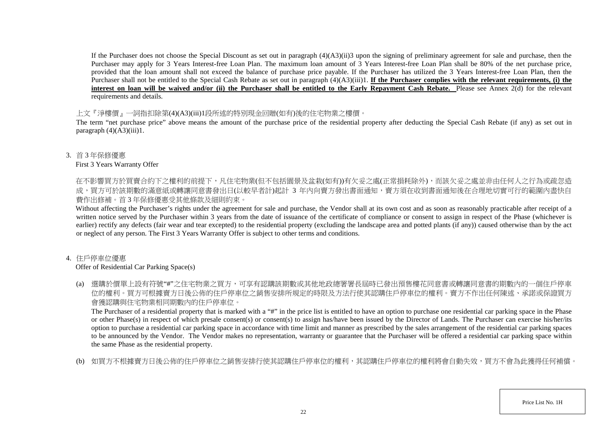If the Purchaser does not choose the Special Discount as set out in paragraph  $(4)(A3)(ii)$  upon the signing of preliminary agreement for sale and purchase, then the Purchaser may apply for 3 Years Interest-free Loan Plan. The maximum loan amount of 3 Years Interest-free Loan Plan shall be 80% of the net purchase price, provided that the loan amount shall not exceed the balance of purchase price payable. If the Purchaser has utilized the 3 Years Interest-free Loan Plan, then the Purchaser shall not be entitled to the Special Cash Rebate as set out in paragraph (4)(A3)(iii)1. **If the Purchaser complies with the relevant requirements, (i) the** interest on loan will be waived and/or (ii) the Purchaser shall be entitled to the Early Repayment Cash Rebate. Please see Annex 2(d) for the relevant requirements and details.

#### 上文『淨樓價』一詞指扣除第(4)(A3)(iii)1段所述的特別現金回贈(如有)後的住宅物業之樓價。

The term "net purchase price" above means the amount of the purchase price of the residential property after deducting the Special Cash Rebate (if any) as set out in paragraph  $(4)(\overrightarrow{A3})(iii)1$ .

3. 首 3 年保修優惠

### First 3 Years Warranty Offer

在不影響買方於買賣合約下之權利的前提下,凡住宅物業(但不包括園景及盆栽(如有))有欠妥之處(正常損耗除外),而該欠妥之處並非由任何人之行為或疏忽造 成,買方可於該期數的滿意紙或轉讓同意書發出日(以較早者計)起計 3 年内向賣方發出書面通知,賣方須在收到書面通知後在合理地切實可行的範圍内盡快自 費作出修補。首 3 年保修優惠受其他條款及細則約束。

Without affecting the Purchaser's rights under the agreement for sale and purchase, the Vendor shall at its own cost and as soon as reasonably practicable after receipt of a written notice served by the Purchaser within 3 years from the date of issuance of the certificate of compliance or consent to assign in respect of the Phase (whichever is earlier) rectify any defects (fair wear and tear excepted) to the residential property (excluding the landscape area and potted plants (if any)) caused otherwise than by the act or neglect of any person. The First 3 Years Warranty Offer is subject to other terms and conditions.

### 4. 住戶停車位優惠

Offer of Residential Car Parking Space(s)

(a) 選購於價單上設有符號"#"之住宅物業之買方,可享有認購該期數或其他地政總署署長屆時已發出預售樓花同意書或轉讓同意書的期數內的一個住戶停車 位的權利。買方可根據賣方日後公佈的住戶停車位之銷售安排所規定的時限及方法行使其認購住戶停車位的權利。賣方不作出任何陳述、承諾或保證買方 會獲認購與住宅物業相同期數內的住戶停車位。

The Purchaser of a residential property that is marked with a "#" in the price list is entitled to have an option to purchase one residential car parking space in the Phase or other Phase(s) in respect of which presale consent(s) or consent(s) to assign has/have been issued by the Director of Lands. The Purchaser can exercise his/her/its option to purchase a residential car parking space in accordance with time limit and manner as prescribed by the sales arrangement of the residential car parking spaces to be announced by the Vendor. The Vendor makes no representation, warranty or guarantee that the Purchaser will be offered a residential car parking space within the same Phase as the residential property.

(b) 如買方不根據賣方日後公佈的住戶停車位之銷售安排行使其認購住戶停車位的權利,其認購住戶停車位的權利將會自動失效,買方不會為此獲得任何補償。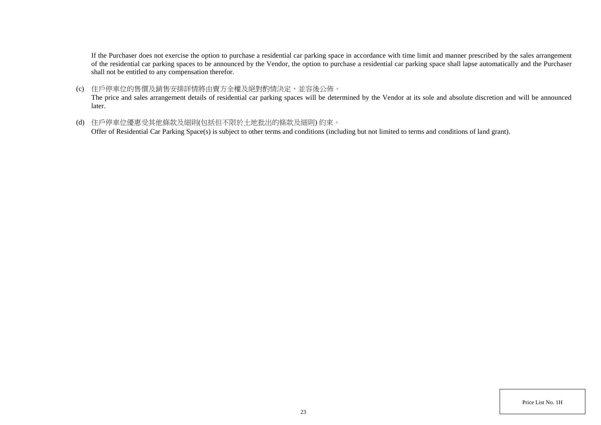If the Purchaser does not exercise the option to purchase a residential car parking space in accordance with time limit and manner prescribed by the sales arrangement of the residential car parking spaces to be announced by the Vendor, the option to purchase a residential car parking space shall lapse automatically and the Purchaser shall not be entitled to any compensation therefor.

(c) 住戶停車位的售價及銷售安排詳情將由賣方全權及絕對酌情決定,並容後公佈。

The price and sales arrangement details of residential car parking spaces will be determined by the Vendor at its sole and absolute discretion and will be announced later.

(d) 住戶停車位優惠受其他條款及細則(包括但不限於土地批出的條款及細則) 約束。

Offer of Residential Car Parking Space(s) is subject to other terms and conditions (including but not limited to terms and conditions of land grant).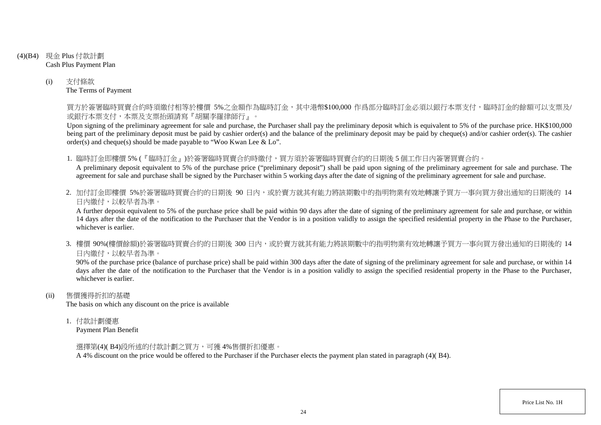- (4)(B4) 現金 Plus 付款計劃 Cash Plus Payment Plan
	- (i) 支付條款 The Terms of Payment

買方於簽署臨時買賣合約時須繳付相等於樓價 5%之金額作為臨時訂金,其中港幣\$100,000 作爲部分臨時訂金必須以銀行本票支付,臨時訂金的餘額可以支票及/ 或銀行本票支付,本票及支票抬頭請寫『胡關李羅律師行』。

Upon signing of the preliminary agreement for sale and purchase, the Purchaser shall pay the preliminary deposit which is equivalent to 5% of the purchase price. HK\$100,000 being part of the preliminary deposit must be paid by cashier order(s) and the balance of the preliminary deposit may be paid by cheque(s) and/or cashier order(s). The cashier order(s) and cheque(s) should be made payable to "Woo Kwan Lee & Lo".

1. 臨時訂金即樓價 5% (『臨時訂金』)於簽署臨時買賣合約時繳付,買方須於簽署臨時買賣合約的日期後 5 個工作日內簽署買賣合約。

A preliminary deposit equivalent to 5% of the purchase price ("preliminary deposit") shall be paid upon signing of the preliminary agreement for sale and purchase. The agreement for sale and purchase shall be signed by the Purchaser within 5 working days after the date of signing of the preliminary agreement for sale and purchase.

2. 加付訂金即樓價 5%於簽署臨時買賣合約的日期後 90 日内,或於賣方就其有能力將該期數中的指明物業有效地轉讓予買方一事向買方發出通知的日期後的 14 日內繳付,以較早者為準。

A further deposit equivalent to 5% of the purchase price shall be paid within 90 days after the date of signing of the preliminary agreement for sale and purchase, or within 14 days after the date of the notification to the Purchaser that the Vendor is in a position validly to assign the specified residential property in the Phase to the Purchaser, whichever is earlier.

3. 樓價 90%(樓價餘額)於簽署臨時買賣合約的日期後 300 日内,或於賣方就其有能力將該期數中的指明物業有效地轉讓予買方一事向買方發出涌知的日期後的 14 日內繳付,以較早者為準。

90% of the purchase price (balance of purchase price) shall be paid within 300 days after the date of signing of the preliminary agreement for sale and purchase, or within 14 days after the date of the notification to the Purchaser that the Vendor is in a position validly to assign the specified residential property in the Phase to the Purchaser, whichever is earlier.

(ii) 售價獲得折扣的基礎

The basis on which any discount on the price is available

1. 付款計劃優惠

Payment Plan Benefit

選擇第(4)( B4)段所述的付款計劃之買方,可獲 4%售價折扣優惠。

A 4% discount on the price would be offered to the Purchaser if the Purchaser elects the payment plan stated in paragraph (4)( B4).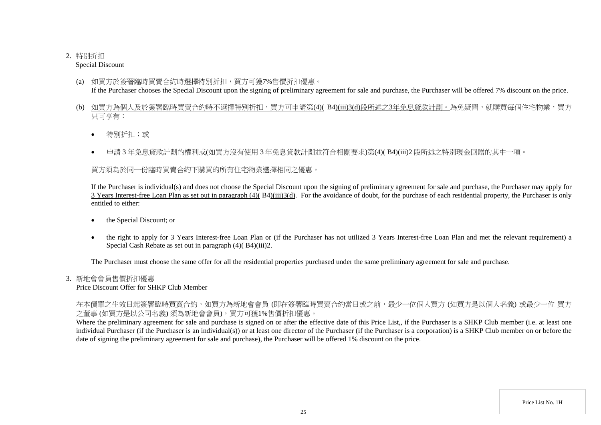# 2. 特別折扣

Special Discount

- (a) 如買方於簽署臨時買賣合約時選擇特別折扣,買方可獲7%售價折扣優惠。 If the Purchaser chooses the Special Discount upon the signing of preliminary agreement for sale and purchase, the Purchaser will be offered 7% discount on the price.
- (b) 如買方為個人及於簽署臨時買賣合約時不選擇特別折扣,買方可申請第(4)( B4)(iii)3(d)段所述之3年免息貸款計劃。為免疑問,就購買每個住宅物業,買方 只可享有:
	- 特別折扣;或
	- 申請 3 年免息貸款計劃的權利或(如買方沒有使用 3 年免息貸款計劃並符合相關要求)第(4)( B4)(iii)2 段所述之特別現金回贈的其中一項。

買方須為於同一份臨時買賣合約下購買的所有住宅物業選擇相同之優惠。

If the Purchaser is individual(s) and does not choose the Special Discount upon the signing of preliminary agreement for sale and purchase, the Purchaser may apply for 3 Years Interest-free Loan Plan as set out in paragraph (4)( B4)(iii)3(d). For the avoidance of doubt, for the purchase of each residential property, the Purchaser is only entitled to either:

- the Special Discount; or
- the right to apply for 3 Years Interest-free Loan Plan or (if the Purchaser has not utilized 3 Years Interest-free Loan Plan and met the relevant requirement) a Special Cash Rebate as set out in paragraph (4)( B4)(iii)2.

The Purchaser must choose the same offer for all the residential properties purchased under the same preliminary agreement for sale and purchase.

3. 新地會會員售價折扣優惠

Price Discount Offer for SHKP Club Member

在本價單之生效日起簽署臨時買賣合約,如買方為新地會會員 (即在簽署臨時買賣合約當日或之前,最少一位個人買方 (如買方是以個人名義) 或最少一位 買方 之董事 (如買方是以公司名義) 須為新地會會員),買方可獲1%售價折扣優惠。

Where the preliminary agreement for sale and purchase is signed on or after the effective date of this Price List,, if the Purchaser is a SHKP Club member (i.e. at least one individual Purchaser (if the Purchaser is an individual(s)) or at least one director of the Purchaser (if the Purchaser is a corporation) is a SHKP Club member on or before the date of signing the preliminary agreement for sale and purchase), the Purchaser will be offered 1% discount on the price.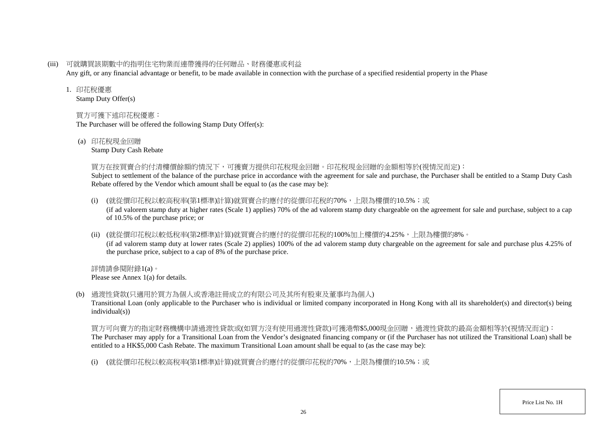(iii) 可就購買該期數中的指明住宅物業而連帶獲得的任何贈品、財務優惠或利益

Any gift, or any financial advantage or benefit, to be made available in connection with the purchase of a specified residential property in the Phase

## 1. 印花稅優惠

Stamp Duty Offer(s)

# 買方可獲下述印花稅優惠:

The Purchaser will be offered the following Stamp Duty Offer(s):

(a) 印花稅現金回贈

Stamp Duty Cash Rebate

# 買方在按買賣合約付清樓價餘額的情況下,可獲賣方提供印花稅現金回贈。印花稅現金回贈的金額相等於(視情況而定):

Subject to settlement of the balance of the purchase price in accordance with the agreement for sale and purchase, the Purchaser shall be entitled to a Stamp Duty Cash Rebate offered by the Vendor which amount shall be equal to (as the case may be):

- (i) (就從價印花稅以較高稅率(第1標準)計算)就買賣合約應付的從價印花稅的70%,上限為樓價的10.5%;或 (if ad valorem stamp duty at higher rates (Scale 1) applies) 70% of the ad valorem stamp duty chargeable on the agreement for sale and purchase, subject to a cap of 10.5% of the purchase price; or
- (ii) (就從價印花稅以較低稅率(第2標準)計算)就買賣合約應付的從價印花稅的100%加上樓價的4.25%,上限為樓價的8%。

(if ad valorem stamp duty at lower rates (Scale 2) applies) 100% of the ad valorem stamp duty chargeable on the agreement for sale and purchase plus 4.25% of the purchase price, subject to a cap of 8% of the purchase price.

詳情請參閱附錄1(a)。 Please see Annex 1(a) for details.

(b) 過渡性貸款(只適用於買方為個人或香港註冊成立的有限公司及其所有股東及董事均為個人)

Transitional Loan (only applicable to the Purchaser who is individual or limited company incorporated in Hong Kong with all its shareholder(s) and director(s) being individual(s))

買方可向賣方的指定財務機構申請過渡性貸款或(如買方沒有使用過渡性貸款)可獲港幣\$5,000現金回贈,過渡性貸款的最高金額相等於(視情況而定): The Purchaser may apply for a Transitional Loan from the Vendor's designated financing company or (if the Purchaser has not utilized the Transitional Loan) shall be entitled to a HK\$5,000 Cash Rebate. The maximum Transitional Loan amount shall be equal to (as the case may be):

(i) (就從價印花稅以較高稅率(第1標準)計算)就買賣合約應付的從價印花稅的70%,上限為樓價的10.5%;或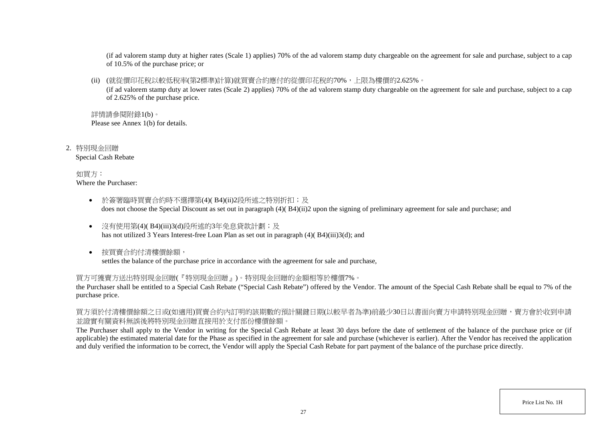(if ad valorem stamp duty at higher rates (Scale 1) applies) 70% of the ad valorem stamp duty chargeable on the agreement for sale and purchase, subject to a cap of 10.5% of the purchase price; or

(ii) (就從價印花稅以較低稅率(第2標準)計算)就買賣合約應付的從價印花稅的70%,上限為樓價的2.625%。

(if ad valorem stamp duty at lower rates (Scale 2) applies) 70% of the ad valorem stamp duty chargeable on the agreement for sale and purchase, subject to a cap of 2.625% of the purchase price.

詳情請參閱附錄1(b)。 Please see Annex 1(b) for details.

2. 特別現金回贈 Special Cash Rebate

> 如買方: Where the Purchaser:

- 於簽署臨時買賣合約時不選擇第(4)( B4)(ii)2段所述之特別折扣;及 does not choose the Special Discount as set out in paragraph (4)( B4)(ii)2 upon the signing of preliminary agreement for sale and purchase; and
- 沒有使用第(4)(B4)(iii)3(d)段所述的3年免息貸款計劃;及 has not utilized 3 Years Interest-free Loan Plan as set out in paragraph (4)( B4)(iii)3(d); and
- 按買賣合約付清樓價餘額, settles the balance of the purchase price in accordance with the agreement for sale and purchase,

買方可獲賣方送出特別現金回贈(『特別現金回贈』)。特別現金回贈的金額相等於樓價7%。

the Purchaser shall be entitled to a Special Cash Rebate ("Special Cash Rebate") offered by the Vendor. The amount of the Special Cash Rebate shall be equal to 7% of the purchase price.

買方須於付清樓價餘額之日或(如適用)買賣合約內訂明的該期數的預計關鍵日期(以較早者為準)前最少30日以書面向賣方申請特別現金回贈,賣方會於收到申請 並證實有關資料無誤後將特別現金回贈直接用於支付部份樓價餘額。

The Purchaser shall apply to the Vendor in writing for the Special Cash Rebate at least 30 days before the date of settlement of the balance of the purchase price or (if applicable) the estimated material date for the Phase as specified in the agreement for sale and purchase (whichever is earlier). After the Vendor has received the application and duly verified the information to be correct, the Vendor will apply the Special Cash Rebate for part payment of the balance of the purchase price directly.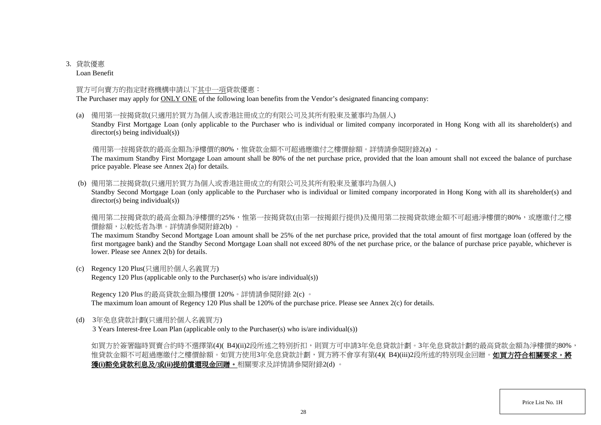# 3. 貸款優惠

Loan Benefit

### 買方可向賣方的指定財務機構申請以下其中一項貸款優惠:

The Purchaser may apply for ONLY ONE of the following loan benefits from the Vendor's designated financing company:

(a) 備用第一按揭貸款(只適用於買方為個人或香港註冊成立的有限公司及其所有股東及董事均為個人)

Standby First Mortgage Loan (only applicable to the Purchaser who is individual or limited company incorporated in Hong Kong with all its shareholder(s) and director(s) being individual(s))

備用第一按揭貸款的最高金額為淨樓價的80%,惟貸款金額不可超過應繳付之樓價餘額。詳情請參閱附錄2(a) 。

The maximum Standby First Mortgage Loan amount shall be 80% of the net purchase price, provided that the loan amount shall not exceed the balance of purchase price payable. Please see Annex 2(a) for details.

(b) 備用第二按揭貸款(只適用於買方為個人或香港註冊成立的有限公司及其所有股東及董事均為個人)

Standby Second Mortgage Loan (only applicable to the Purchaser who is individual or limited company incorporated in Hong Kong with all its shareholder(s) and director(s) being individual(s))

備用第二按揭貸款的最高金額為淨樓價的25%,惟第一按揭貸款(由第一按揭銀行提供)及備用第二按揭貸款總金額不可超過淨樓價的80%,或應繳付之樓 價餘額,以較低者為準。詳情請參閱附錄2(b) 。

The maximum Standby Second Mortgage Loan amount shall be 25% of the net purchase price, provided that the total amount of first mortgage loan (offered by the first mortgagee bank) and the Standby Second Mortgage Loan shall not exceed 80% of the net purchase price, or the balance of purchase price payable, whichever is lower. Please see Annex 2(b) for details.

(c) Regency 120 Plus(只適用於個人名義買方) Regency 120 Plus (applicable only to the Purchaser(s) who is/are individual(s))

Regency 120 Plus 的最高貸款金額為樓價 120%。詳情請參閱附錄 2(c) 。 The maximum loan amount of Regency 120 Plus shall be 120% of the purchase price. Please see Annex 2(c) for details.

(d) 3年免息貸款計劃(只適用於個人名義買方)

3 Years Interest-free Loan Plan (applicable only to the Purchaser(s) who is/are individual(s))

如買方於簽署臨時買賣合約時不選擇第(4)(B4)(ii)2段所述之特別折扣,則買方可申請3年免息貸款計劃。3年免息貸款計劃的最高貸款金額為淨樓價的80%, 惟貸款金額不可超過應繳付之樓價餘額。如買方使用3年免息貸款計劃,買方將不會享有第(4)( B4)(iii)2段所述的特別現金回贈。如買方符合相關要求,將 獲**(i)**豁免貸款利息及**/**或**(ii)**提前償還現金回贈。相關要求及詳情請參閱附錄2(d) 。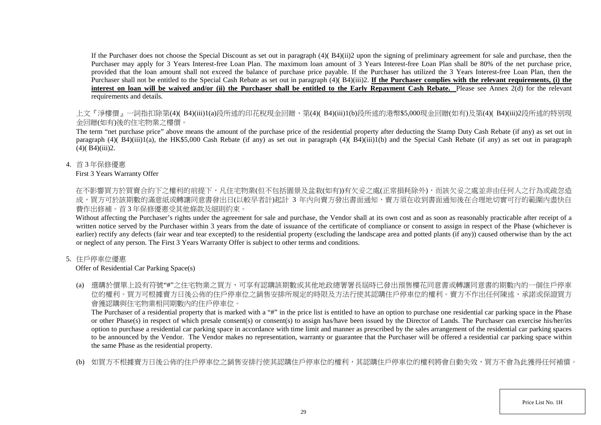If the Purchaser does not choose the Special Discount as set out in paragraph (4)( B4)(ii)2 upon the signing of preliminary agreement for sale and purchase, then the Purchaser may apply for 3 Years Interest-free Loan Plan. The maximum loan amount of 3 Years Interest-free Loan Plan shall be 80% of the net purchase price, provided that the loan amount shall not exceed the balance of purchase price payable. If the Purchaser has utilized the 3 Years Interest-free Loan Plan, then the Purchaser shall not be entitled to the Special Cash Rebate as set out in paragraph (4)( B4)(iii)2. **If the Purchaser complies with the relevant requirements, (i) the interest on loan will be waived and/or (ii) the Purchaser shall be entitled to the Early Repayment Cash Rebate.** Please see Annex 2(d) for the relevant requirements and details.

上文『淨樓價』一詞指扣除第(4)( B4)(iii)1(a)段所述的印花稅現金回贈、第(4)( B4)(iii)1(b)段所述的港幣\$5,000現金回贈(如有)及第(4)( B4)(iii)2段所述的特別現 金回贈(如有)後的住宅物業之樓價。

The term "net purchase price" above means the amount of the purchase price of the residential property after deducting the Stamp Duty Cash Rebate (if any) as set out in paragraph (4)( B4)(iii)1(a), the HK\$5,000 Cash Rebate (if any) as set out in paragraph (4)( B4)(iii)1(b) and the Special Cash Rebate (if any) as set out in paragraph  $(4)$  $(B4)$  $(iii)$  $2$ .

4. 首 3 年保修優惠

First 3 Years Warranty Offer

在不影響買方於買賣合約下之權利的前提下,凡住宅物業(但不包括園景及盆栽(如有))有欠妥之處(正常損耗除外),而該欠妥之處並非由任何人之行為或疏忽造 成,買方可於該期數的滿意紙或轉讓同意書發出日(以較早者計)起計 3 年内向賣方發出書面通知,賣方須在收到書面通知後在合理地切實可行的範圍內盡快自 費作出修補。首 3 年保修優惠受其他條款及細則約束。

Without affecting the Purchaser's rights under the agreement for sale and purchase, the Vendor shall at its own cost and as soon as reasonably practicable after receipt of a written notice served by the Purchaser within 3 years from the date of issuance of the certificate of compliance or consent to assign in respect of the Phase (whichever is earlier) rectify any defects (fair wear and tear excepted) to the residential property (excluding the landscape area and potted plants (if any)) caused otherwise than by the act or neglect of any person. The First 3 Years Warranty Offer is subject to other terms and conditions.

# 5. 住戶停車位優惠

Offer of Residential Car Parking Space(s)

(a) 選購於價單上設有符號"#"之住宅物業之買方,可享有認購該期數或其他地政總署署長屆時已發出預售樓花同意書或轉讓同意書的期數內的一個住戶停車 位的權利。買方可根據賣方日後公佈的住戶停車位之銷售安排所規定的時限及方法行使其認購住戶停車位的權利。賣方不作出任何陳述、承諾或保證買方 會獲認購與住宅物業相同期數內的住戶停車位。

The Purchaser of a residential property that is marked with a "#" in the price list is entitled to have an option to purchase one residential car parking space in the Phase or other Phase(s) in respect of which presale consent(s) or consent(s) to assign has/have been issued by the Director of Lands. The Purchaser can exercise his/her/its option to purchase a residential car parking space in accordance with time limit and manner as prescribed by the sales arrangement of the residential car parking spaces to be announced by the Vendor. The Vendor makes no representation, warranty or guarantee that the Purchaser will be offered a residential car parking space within the same Phase as the residential property.

(b) 如買方不根據賣方日後公佈的住戶停車位之銷售安排行使其認購住戶停車位的權利,其認購住戶停車位的權利將會自動失效,買方不會為此獲得任何補償。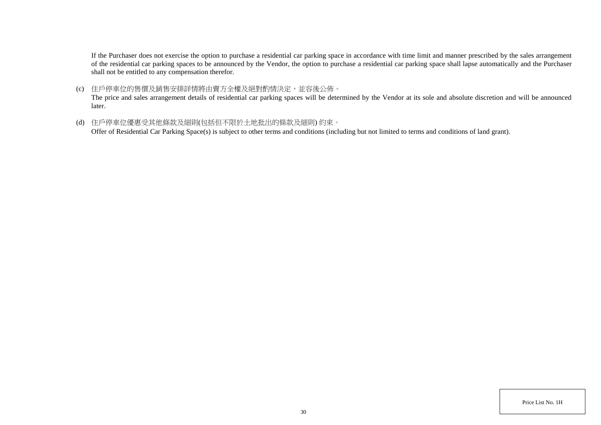If the Purchaser does not exercise the option to purchase a residential car parking space in accordance with time limit and manner prescribed by the sales arrangement of the residential car parking spaces to be announced by the Vendor, the option to purchase a residential car parking space shall lapse automatically and the Purchaser shall not be entitled to any compensation therefor.

(c) 住戶停車位的售價及銷售安排詳情將由賣方全權及絕對酌情決定,並容後公佈。

The price and sales arrangement details of residential car parking spaces will be determined by the Vendor at its sole and absolute discretion and will be announced later.

(d) 住戶停車位優惠受其他條款及細則(包括但不限於土地批出的條款及細則) 約束。

Offer of Residential Car Parking Space(s) is subject to other terms and conditions (including but not limited to terms and conditions of land grant).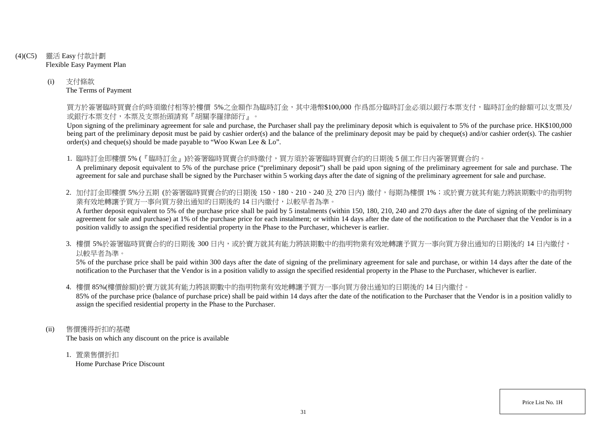- (4)(C5) 靈活 Easy 付款計劃 Flexible Easy Payment Plan
	- (i) 支付條款 The Terms of Payment

買方於簽署臨時買賣合約時須繳付相等於樓價 5%之金額作為臨時訂金,其中港幣\$100,000 作爲部分臨時訂金必須以銀行本票支付,臨時訂金的餘額可以支票及/ 或銀行本票支付,本票及支票抬頭請寫『胡關李羅律師行』。

Upon signing of the preliminary agreement for sale and purchase, the Purchaser shall pay the preliminary deposit which is equivalent to 5% of the purchase price. HK\$100,000 being part of the preliminary deposit must be paid by cashier order(s) and the balance of the preliminary deposit may be paid by cheque(s) and/or cashier order(s). The cashier order(s) and cheque(s) should be made payable to "Woo Kwan Lee & Lo".

1. 臨時訂金即樓價 5% (『臨時訂金』)於簽署臨時買賣合約時繳付,買方須於簽署臨時買賣合約的日期後 5 個工作日內簽署買賣合約。

A preliminary deposit equivalent to 5% of the purchase price ("preliminary deposit") shall be paid upon signing of the preliminary agreement for sale and purchase. The agreement for sale and purchase shall be signed by the Purchaser within 5 working days after the date of signing of the preliminary agreement for sale and purchase.

2. 加付訂金即樓價 5%分五期 (於簽署臨時買賣合約的日期後 150、180、210、240及 270日內) 繳付, 每期為樓價 1%; 或於賣方就其有能力將該期數中的指明物 業有效地轉讓予買方一事向買方發出通知的日期後的14日內繳付,以較早者為準。

A further deposit equivalent to 5% of the purchase price shall be paid by 5 instalments (within 150, 180, 210, 240 and 270 days after the date of signing of the preliminary agreement for sale and purchase) at 1% of the purchase price for each instalment; or within 14 days after the date of the notification to the Purchaser that the Vendor is in a position validly to assign the specified residential property in the Phase to the Purchaser, whichever is earlier.

3. 樓價 5%於簽署臨時買賣合約的日期後 300 日内,或於賣方就其有能力將該期數中的指明物業有效地轉讓予買方一事向買方發出通知的日期後的 14 日內繳付, 以較早者為準。

5% of the purchase price shall be paid within 300 days after the date of signing of the preliminary agreement for sale and purchase, or within 14 days after the date of the notification to the Purchaser that the Vendor is in a position validly to assign the specified residential property in the Phase to the Purchaser, whichever is earlier.

4. 樓價 85%(樓價餘額)於賣方就其有能力將該期數中的指明物業有效地轉讓予買方一事向買方發出通知的日期後的 14 日內繳付。

85% of the purchase price (balance of purchase price) shall be paid within 14 days after the date of the notification to the Purchaser that the Vendor is in a position validly to assign the specified residential property in the Phase to the Purchaser.

- (ii) 售價獲得折扣的基礎 The basis on which any discount on the price is available
	- 1. 置業售價折扣 Home Purchase Price Discount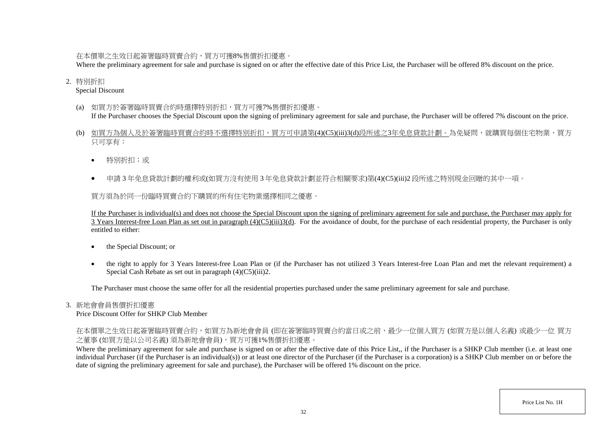在本價單之生效日起簽署臨時買賣合約,買方可獲8%售價折扣優惠。

Where the preliminary agreement for sale and purchase is signed on or after the effective date of this Price List, the Purchaser will be offered 8% discount on the price.

#### 2. 特別折扣

#### Special Discount

(a) 如買方於簽署臨時買賣合約時選擇特別折扣,買方可獲7%售價折扣優惠。

If the Purchaser chooses the Special Discount upon the signing of preliminary agreement for sale and purchase, the Purchaser will be offered 7% discount on the price.

- (b) 如買方為個人及於簽署臨時買賣合約時不選擇特別折扣,買方可申請第(4)(C5)(iii)3(d)段所述之3年免息貸款計劃。為免疑問,就購買每個住宅物業,買方 只可享有:
	- 特別折扣;或
	- 申請 3 年免息貸款計劃的權利或(如買方沒有使用 3 年免息貸款計劃並符合相關要求)第(4)(C5)(iii)2 段所述之特別現金回贈的其中一項。

買方須為於同一份臨時買賣合約下購買的所有住宅物業選擇相同之優惠。

If the Purchaser is individual(s) and does not choose the Special Discount upon the signing of preliminary agreement for sale and purchase, the Purchaser may apply for  $\overline{3}$  Years Interest-free Loan Plan as set out in paragraph  $(4)(C5)(iii)3(d)$ . For the avoidance of doubt, for the purchase of each residential property, the Purchaser is only entitled to either:

- the Special Discount; or
- the right to apply for 3 Years Interest-free Loan Plan or (if the Purchaser has not utilized 3 Years Interest-free Loan Plan and met the relevant requirement) a Special Cash Rebate as set out in paragraph (4)(C5)(iii)2.

The Purchaser must choose the same offer for all the residential properties purchased under the same preliminary agreement for sale and purchase.

### 3. 新地會會員售價折扣優惠

Price Discount Offer for SHKP Club Member

在本價單之生效日起簽署臨時買賣合約,如買方為新地會會員 (即在簽署臨時買賣合約當日或之前,最少一位個人買方 (如買方是以個人名義) 或最少一位 買方 之董事 (如買方是以公司名義) 須為新地會會員),買方可獲1%售價折扣優惠。

Where the preliminary agreement for sale and purchase is signed on or after the effective date of this Price List,, if the Purchaser is a SHKP Club member (i.e. at least one individual Purchaser (if the Purchaser is an individual(s)) or at least one director of the Purchaser (if the Purchaser is a corporation) is a SHKP Club member on or before the date of signing the preliminary agreement for sale and purchase), the Purchaser will be offered 1% discount on the price.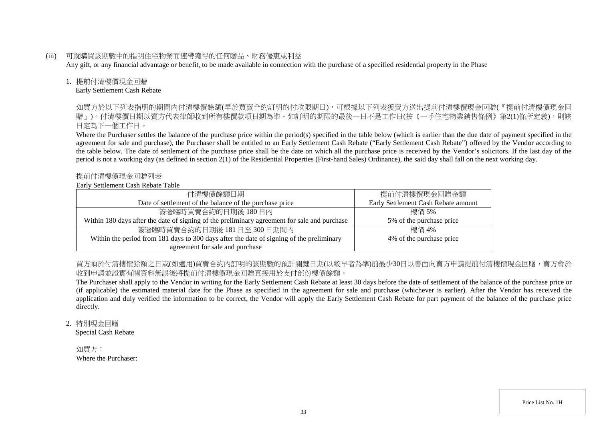(iii) 可就購買該期數中的指明住宅物業而連帶獲得的任何贈品、財務優惠或利益

Any gift, or any financial advantage or benefit, to be made available in connection with the purchase of a specified residential property in the Phase

#### 1. 提前付清樓價現金回贈

Early Settlement Cash Rebate

如買方於以下列表指明的期間内付清樓價餘額(早於買賣合約訂明的付款限期日),可根據以下列表獲賣方送出提前付清樓價現金回贈(『提前付清樓價現金回 贈』)。付清樓價日期以賣方代表律師收到所有樓價款項日期為準。如訂明的期限的最後一日不是工作日(按《一手住宅物業銷售條例》第2(1)條所定義),則該 日定為下一個工作日。

Where the Purchaser settles the balance of the purchase price within the period(s) specified in the table below (which is earlier than the due date of payment specified in the agreement for sale and purchase), the Purchaser shall be entitled to an Early Settlement Cash Rebate ("Early Settlement Cash Rebate") offered by the Vendor according to the table below. The date of settlement of the purchase price shall be the date on which all the purchase price is received by the Vendor's solicitors. If the last day of the period is not a working day (as defined in section 2(1) of the Residential Properties (First-hand Sales) Ordinance), the said day shall fall on the next working day.

#### 提前付清樓價現金回贈列表

### Early Settlement Cash Rebate Table

| 付清樓價餘額日期                                                                                     | 提前付清樓價現金回贈金額                        |
|----------------------------------------------------------------------------------------------|-------------------------------------|
| Date of settlement of the balance of the purchase price                                      | Early Settlement Cash Rebate amount |
| 簽署臨時買賣合約的日期後 180日內                                                                           | 樓價 5%                               |
| Within 180 days after the date of signing of the preliminary agreement for sale and purchase | 5% of the purchase price            |
| 簽署臨時買賣合約的日期後 181日至 300日期間内                                                                   | 樓價 4%                               |
| Within the period from 181 days to 300 days after the date of signing of the preliminary     | 4% of the purchase price            |
| agreement for sale and purchase                                                              |                                     |

買方須於付清樓價餘額之日或(如適用)買賣合約內訂明的該期數的預計關鍵日期(以較早者為準)前最少30日以書面向賣方申請提前付清樓價現金回贈,賣方會於 收到申請並證實有關資料無誤後將提前付清樓價現金回贈直接用於支付部份樓價餘額。

The Purchaser shall apply to the Vendor in writing for the Early Settlement Cash Rebate at least 30 days before the date of settlement of the balance of the purchase price or (if applicable) the estimated material date for the Phase as specified in the agreement for sale and purchase (whichever is earlier). After the Vendor has received the application and duly verified the information to be correct, the Vendor will apply the Early Settlement Cash Rebate for part payment of the balance of the purchase price directly.

2. 特別現金回贈

Special Cash Rebate

如買方: Where the Purchaser: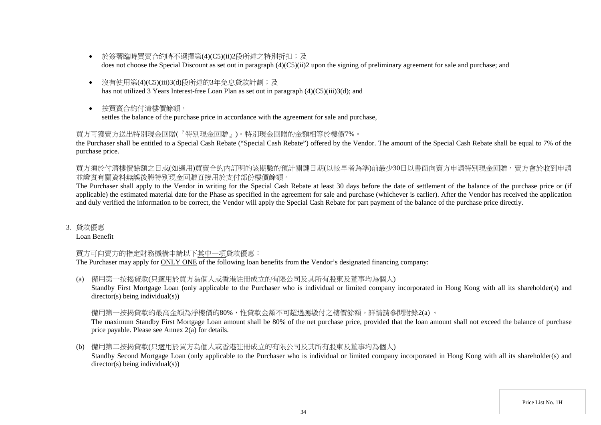- 於簽署臨時買賣合約時不選擇第(4)(C5)(ii)2段所述之特別折扣;及 does not choose the Special Discount as set out in paragraph (4)(C5)(ii)2 upon the signing of preliminary agreement for sale and purchase; and
- 沒有使用第(4)(C5)(iii)3(d)段所述的3年免息貸款計劃;及 has not utilized 3 Years Interest-free Loan Plan as set out in paragraph (4)(C5)(iii)3(d); and
- 按買賣合約付清樓價餘額, settles the balance of the purchase price in accordance with the agreement for sale and purchase,

## 買方可獲賣方送出特別現金回贈(『特別現金回贈』)。特別現金回贈的金額相等於樓價7%。

the Purchaser shall be entitled to a Special Cash Rebate ("Special Cash Rebate") offered by the Vendor. The amount of the Special Cash Rebate shall be equal to 7% of the purchase price.

買方須於付清樓價餘額之日或(如適用)買賣合約內訂明的該期數的預計關鍵日期(以較早者為準)前最少30日以書面向賣方申請特別現金回贈,賣方會於收到申請 並證實有關資料無誤後將特別現金回贈直接用於支付部份樓價餘額。

The Purchaser shall apply to the Vendor in writing for the Special Cash Rebate at least 30 days before the date of settlement of the balance of the purchase price or (if applicable) the estimated material date for the Phase as specified in the agreement for sale and purchase (whichever is earlier). After the Vendor has received the application and duly verified the information to be correct, the Vendor will apply the Special Cash Rebate for part payment of the balance of the purchase price directly.

3. 貸款優惠

Loan Benefit

# 買方可向賣方的指定財務機構申請以下其中一項貸款優惠:

The Purchaser may apply for ONLY ONE of the following loan benefits from the Vendor's designated financing company:

(a) 備用第一按揭貸款(只適用於買方為個人或香港註冊成立的有限公司及其所有股東及董事均為個人)

Standby First Mortgage Loan (only applicable to the Purchaser who is individual or limited company incorporated in Hong Kong with all its shareholder(s) and director(s) being individual(s))

### 備用第一按揭貸款的最高金額為淨樓價的80%,惟貸款金額不可超過應繳付之樓價餘額。詳情請參閱附錄2(a) 。

The maximum Standby First Mortgage Loan amount shall be 80% of the net purchase price, provided that the loan amount shall not exceed the balance of purchase price payable. Please see Annex 2(a) for details.

(b) 備用第二按揭貸款(只適用於買方為個人或香港註冊成立的有限公司及其所有股東及董事均為個人)

Standby Second Mortgage Loan (only applicable to the Purchaser who is individual or limited company incorporated in Hong Kong with all its shareholder(s) and director(s) being individual(s))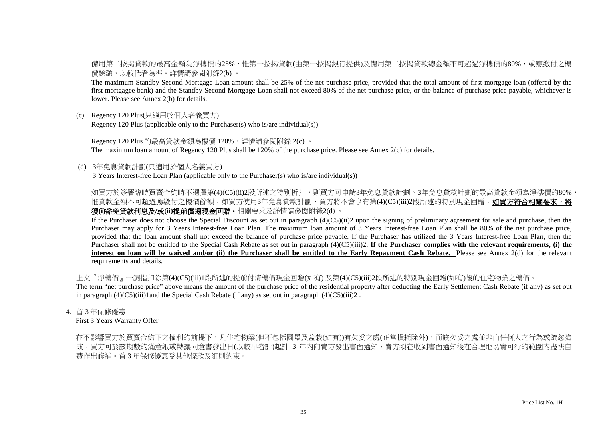備用第二按揭貸款的最高金額為淨樓價的25%,惟第一按揭貸款(由第一按揭銀行提供)及備用第二按揭貸款總金額不可超過淨樓價的80%,或應繳付之樓 價餘額,以較低者為準。詳情請參閱附錄2(b) 。

The maximum Standby Second Mortgage Loan amount shall be 25% of the net purchase price, provided that the total amount of first mortgage loan (offered by the first mortgagee bank) and the Standby Second Mortgage Loan shall not exceed 80% of the net purchase price, or the balance of purchase price payable, whichever is lower. Please see Annex 2(b) for details.

(c) Regency 120 Plus(只適用於個人名義買方) Regency 120 Plus (applicable only to the Purchaser(s) who is/are individual(s))

Regency 120 Plus 的最高貸款金額為樓價 120%。詳情請參閱附錄 2(c) 。 The maximum loan amount of Regency 120 Plus shall be 120% of the purchase price. Please see Annex 2(c) for details.

(d) 3年免息貸款計劃(只適用於個人名義買方)

3 Years Interest-free Loan Plan (applicable only to the Purchaser(s) who is/are individual(s))

如買方於簽署臨時買賣合約時不選擇第(4)(C5)(ii)2段所述之特別折扣,則買方可申請3年免息貸款計劃。3年免息貸款計劃的最高貸款金額為淨樓價的80%, 惟貸款金額不可超過應繳付之樓價餘額。如買方使用3年免息貸款計劃,買方將不會享有第(4)(C5)(iii)2段所述的特別現金回贈。如**買方符合相關要求,將** 獲**(i)**豁免貸款利息及**/**或**(ii)**提前償還現金回贈。相關要求及詳情請參閱附錄2(d) 。

If the Purchaser does not choose the Special Discount as set out in paragraph (4)(C5)(ii)2 upon the signing of preliminary agreement for sale and purchase, then the Purchaser may apply for 3 Years Interest-free Loan Plan. The maximum loan amount of 3 Years Interest-free Loan Plan shall be 80% of the net purchase price, provided that the loan amount shall not exceed the balance of purchase price payable. If the Purchaser has utilized the 3 Years Interest-free Loan Plan, then the Purchaser shall not be entitled to the Special Cash Rebate as set out in paragraph (4)(C5)(iii)2. **If the Purchaser complies with the relevant requirements, (i) the interest on loan will be waived and/or (ii) the Purchaser shall be entitled to the Early Repayment Cash Rebate.** Please see Annex 2(d) for the relevant requirements and details.

上文『淨樓價』一詞指扣除第(4)(C5)(iii)1段所述的提前付清樓價現金回贈(如有) 及第(4)(C5)(iii)2段所述的特別現金回贈(如有)後的住宅物業之樓價。 The term "net purchase price" above means the amount of the purchase price of the residential property after deducting the Early Settlement Cash Rebate (if any) as set out in paragraph  $(4)(C5)(iii)1$  and the Special Cash Rebate (if any) as set out in paragraph  $(4)(C5)(iii)2$ .

4. 首 3 年保修優惠

First 3 Years Warranty Offer

在不影響買方於買賣合約下之權利的前提下,凡住宅物業(但不包括園景及盆栽(如有))有欠妥之處(正常損耗除外),而該欠妥之處並非由任何人之行為或疏忽造 成,買方可於該期數的滿意紙或轉讓同意書發出日(以較早者計)起計 3 年内向賣方發出書面通知,賣方須在收到書面通知後在合理地切實可行的範圍內盡快自 費作出修補。首 3 年保修優惠受其他條款及細則約束。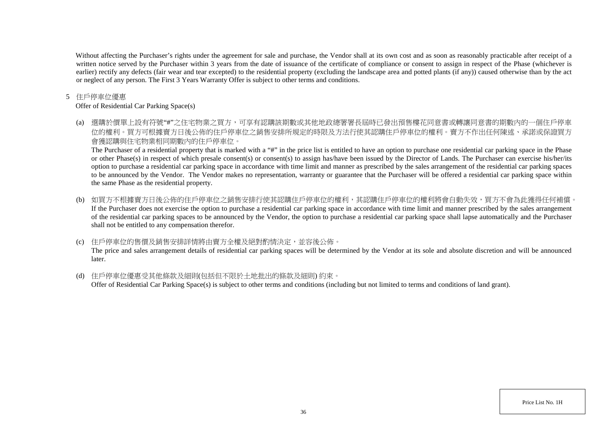Without affecting the Purchaser's rights under the agreement for sale and purchase, the Vendor shall at its own cost and as soon as reasonably practicable after receipt of a written notice served by the Purchaser within 3 years from the date of issuance of the certificate of compliance or consent to assign in respect of the Phase (whichever is earlier) rectify any defects (fair wear and tear excepted) to the residential property (excluding the landscape area and potted plants (if any)) caused otherwise than by the act or neglect of any person. The First 3 Years Warranty Offer is subject to other terms and conditions.

#### 5 住戶停車位優惠

Offer of Residential Car Parking Space(s)

(a) 選購於價單上設有符號"#"之住宅物業之買方,可享有認購該期數或其他地政總署署長屆時已發出預售樓花同意書或轉讓同意書的期數內的一個住戶停車 位的權利。買方可根據賣方日後公佈的住戶停車位之銷售安排所規定的時限及方法行使其認購住戶停車位的權利。賣方不作出任何陳述、承諾或保證買方 會獲認購與住宅物業相同期數內的住戶停車位。

The Purchaser of a residential property that is marked with a "#" in the price list is entitled to have an option to purchase one residential car parking space in the Phase or other Phase(s) in respect of which presale consent(s) or consent(s) to assign has/have been issued by the Director of Lands. The Purchaser can exercise his/her/its option to purchase a residential car parking space in accordance with time limit and manner as prescribed by the sales arrangement of the residential car parking spaces to be announced by the Vendor. The Vendor makes no representation, warranty or guarantee that the Purchaser will be offered a residential car parking space within the same Phase as the residential property.

(b) 如買方不根據賣方日後公佈的住戶停車位之銷售安排行使其認購住戶停車位的權利,其認購住戶停車位的權利將會自動失效,買方不會為此獲得任何補償。 If the Purchaser does not exercise the option to purchase a residential car parking space in accordance with time limit and manner prescribed by the sales arrangement of the residential car parking spaces to be announced by the Vendor, the option to purchase a residential car parking space shall lapse automatically and the Purchaser shall not be entitled to any compensation therefor.

### (c) 住戶停車位的售價及銷售安排詳情將由賣方全權及絕對酌情決定,並容後公佈。

The price and sales arrangement details of residential car parking spaces will be determined by the Vendor at its sole and absolute discretion and will be announced later.

(d) 住戶停車位優惠受其他條款及細則(包括但不限於土地批出的條款及細則) 約束。 Offer of Residential Car Parking Space(s) is subject to other terms and conditions (including but not limited to terms and conditions of land grant).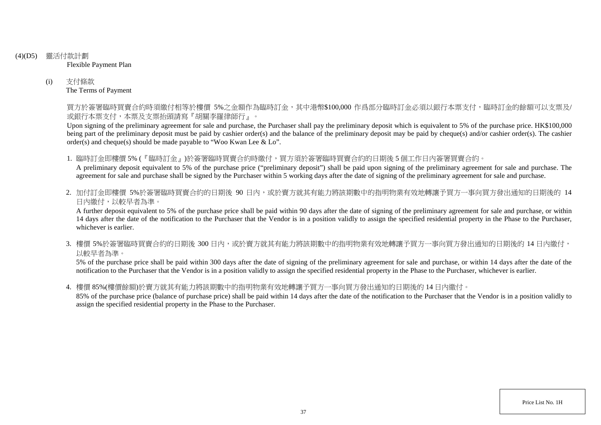## (4)(D5) 靈活付款計劃

Flexible Payment Plan

(i) 支付條款 The Terms of Payment

> 買方於簽署臨時買賣合約時須繳付相等於樓價 5%之金額作為臨時訂金,其中港幣\$100,000 作爲部分臨時訂金必須以銀行本票支付,臨時訂金的餘額可以支票及/ 或銀行本票支付,本票及支票抬頭請寫『胡關李羅律師行』。

> Upon signing of the preliminary agreement for sale and purchase, the Purchaser shall pay the preliminary deposit which is equivalent to 5% of the purchase price. HK\$100,000 being part of the preliminary deposit must be paid by cashier order(s) and the balance of the preliminary deposit may be paid by cheque(s) and/or cashier order(s). The cashier order(s) and cheque(s) should be made payable to "Woo Kwan Lee & Lo".

1. 臨時訂金即樓價 5% (『臨時訂金』)於簽署臨時買賣合約時繳付,買方須於簽署臨時買賣合約的日期後 5 個工作日內簽署買賣合約。

A preliminary deposit equivalent to 5% of the purchase price ("preliminary deposit") shall be paid upon signing of the preliminary agreement for sale and purchase. The agreement for sale and purchase shall be signed by the Purchaser within 5 working days after the date of signing of the preliminary agreement for sale and purchase.

2. 加付訂金即樓價 5%於簽署臨時買賣合約的日期後 90 日内,或於賣方就其有能力將該期數中的指明物業有效地轉讓予買方一事向買方發出通知的日期後的 14 日內繳付,以較早者為準。

A further deposit equivalent to 5% of the purchase price shall be paid within 90 days after the date of signing of the preliminary agreement for sale and purchase, or within 14 days after the date of the notification to the Purchaser that the Vendor is in a position validly to assign the specified residential property in the Phase to the Purchaser, whichever is earlier.

3. 樓價 5%於簽署臨時買賣合約的日期後 300 日内,或於賣方就其有能力將該期數中的指明物業有效地轉讓予買方一事向買方發出通知的日期後的 14 日內繳付, 以較早者為準。

5% of the purchase price shall be paid within 300 days after the date of signing of the preliminary agreement for sale and purchase, or within 14 days after the date of the notification to the Purchaser that the Vendor is in a position validly to assign the specified residential property in the Phase to the Purchaser, whichever is earlier.

4. 樓價 85%(樓價餘額)於賣方就其有能力將該期數中的指明物業有效地轉讓予買方一事向買方發出通知的日期後的 14 日內繳付。

85% of the purchase price (balance of purchase price) shall be paid within 14 days after the date of the notification to the Purchaser that the Vendor is in a position validly to assign the specified residential property in the Phase to the Purchaser.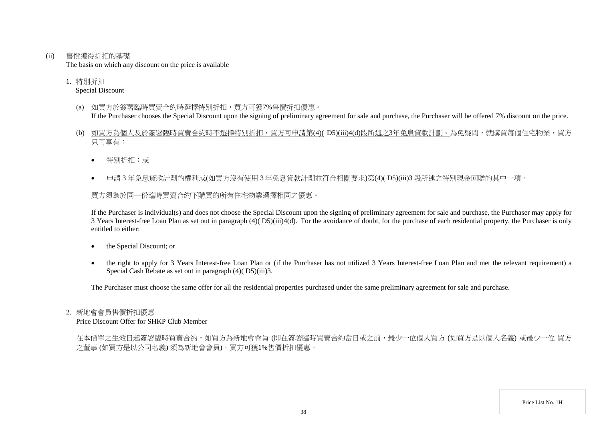(ii) 售價獲得折扣的基礎

The basis on which any discount on the price is available

1. 特別折扣

## Special Discount

- (a) 如買方於簽署臨時買賣合約時選擇特別折扣,買方可獲7%售價折扣優惠。 If the Purchaser chooses the Special Discount upon the signing of preliminary agreement for sale and purchase, the Purchaser will be offered 7% discount on the price.
- (b) 如買方為個人及於簽署臨時買賣合約時不選擇特別折扣,買方可申請第(4)( D5)(iii)4(d)段所述之3年免息貸款計劃。為免疑問,就購買每個住宅物業,買方 只可享有:
	- 特別折扣;或
	- 申請 3 年免息貸款計劃的權利或(如買方沒有使用 3 年免息貸款計劃並符合相關要求)第(4)( D5)(iii)3 段所述之特別現金回贈的其中一項。

買方須為於同一份臨時買賣合約下購買的所有住宅物業選擇相同之優惠。

If the Purchaser is individual(s) and does not choose the Special Discount upon the signing of preliminary agreement for sale and purchase, the Purchaser may apply for  $\overline{3}$  Years Interest-free Loan Plan as set out in paragraph (4)( $\overline{D5}$ )(iii)4(d). For the avoidance of doubt, for the purchase of each residential property, the Purchaser is only entitled to either:

- the Special Discount; or
- the right to apply for 3 Years Interest-free Loan Plan or (if the Purchaser has not utilized 3 Years Interest-free Loan Plan and met the relevant requirement) a Special Cash Rebate as set out in paragraph (4)( D5)(iii)3.

The Purchaser must choose the same offer for all the residential properties purchased under the same preliminary agreement for sale and purchase.

## 2. 新地會會員售價折扣優惠

Price Discount Offer for SHKP Club Member

在本價單之生效日起簽署臨時買賣合約,如買方為新地會會員 (即在簽署臨時買賣合約當日或之前,最少一位個人買方 (如買方是以個人名義) 或最少一位 買方 之董事 (如買方是以公司名義) 須為新地會會員),買方可獲1%售價折扣優惠。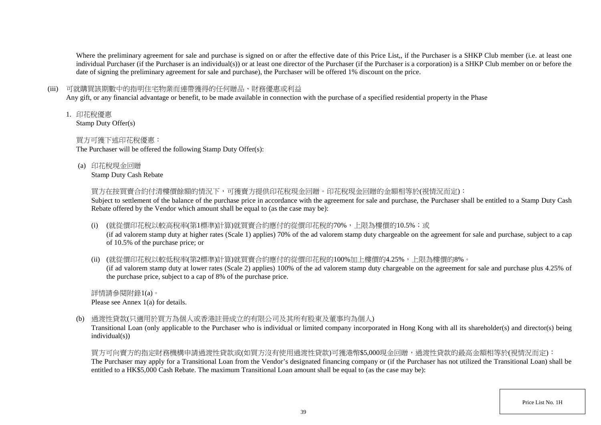Where the preliminary agreement for sale and purchase is signed on or after the effective date of this Price List,, if the Purchaser is a SHKP Club member (i.e. at least one individual Purchaser (if the Purchaser is an individual(s)) or at least one director of the Purchaser (if the Purchaser is a corporation) is a SHKP Club member on or before the date of signing the preliminary agreement for sale and purchase), the Purchaser will be offered 1% discount on the price.

## (iii) 可就購買該期數中的指明住宅物業而連帶獲得的任何贈品、財務優惠或利益

Any gift, or any financial advantage or benefit, to be made available in connection with the purchase of a specified residential property in the Phase

1. 印花稅優惠

Stamp Duty Offer(s)

## 買方可獲下述印花稅優惠:

The Purchaser will be offered the following Stamp Duty Offer(s):

(a) 印花稅現金回贈

Stamp Duty Cash Rebate

買方在按買賣合約付清樓價餘額的情況下,可獲賣方提供印花稅現金回贈。印花稅現金回贈的金額相等於(視情況而定):

Subject to settlement of the balance of the purchase price in accordance with the agreement for sale and purchase, the Purchaser shall be entitled to a Stamp Duty Cash Rebate offered by the Vendor which amount shall be equal to (as the case may be):

(i) (就從價印花稅以較高稅率(第1標準)計算)就買賣合約應付的從價印花稅的70%,上限為樓價的10.5%;或

(if ad valorem stamp duty at higher rates (Scale 1) applies) 70% of the ad valorem stamp duty chargeable on the agreement for sale and purchase, subject to a cap of 10.5% of the purchase price; or

(ii) (就從價印花稅以較低稅率(第2標準)計算)就買賣合約應付的從價印花稅的100%加上樓價的4.25%,上限為樓價的8%。

(if ad valorem stamp duty at lower rates (Scale 2) applies) 100% of the ad valorem stamp duty chargeable on the agreement for sale and purchase plus 4.25% of the purchase price, subject to a cap of 8% of the purchase price.

詳情請參閱附錄1(a)。 Please see Annex 1(a) for details.

(b) 過渡性貸款(只適用於買方為個人或香港註冊成立的有限公司及其所有股東及董事均為個人)

Transitional Loan (only applicable to the Purchaser who is individual or limited company incorporated in Hong Kong with all its shareholder(s) and director(s) being individual(s))

買方可向賣方的指定財務機構申請過渡性貸款或(如買方沒有使用過渡性貸款)可獲港幣\$5,000現金回贈,過渡性貸款的最高金額相等於(視情況而定): The Purchaser may apply for a Transitional Loan from the Vendor's designated financing company or (if the Purchaser has not utilized the Transitional Loan) shall be entitled to a HK\$5,000 Cash Rebate. The maximum Transitional Loan amount shall be equal to (as the case may be):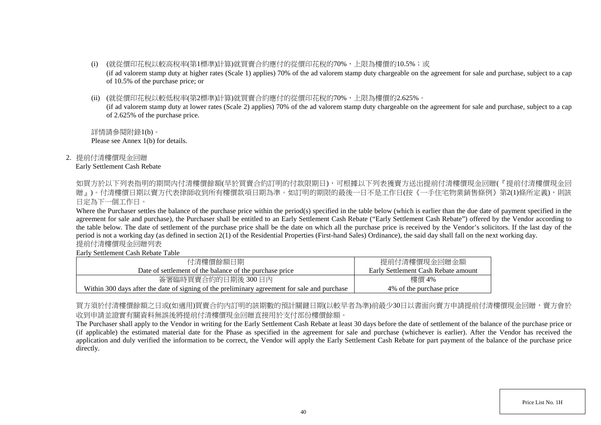- (i) (就從價印花稅以較高稅率(第1標準)計算)就買賣合約應付的從價印花稅的70%,上限為樓價的10.5%;或 (if ad valorem stamp duty at higher rates (Scale 1) applies) 70% of the ad valorem stamp duty chargeable on the agreement for sale and purchase, subject to a cap of 10.5% of the purchase price; or
- (ii) (就從價印花稅以較低稅率(第2標準)計算)就買賣合約應付的從價印花稅的70%,上限為樓價的2.625%。

(if ad valorem stamp duty at lower rates (Scale 2) applies) 70% of the ad valorem stamp duty chargeable on the agreement for sale and purchase, subject to a cap of 2.625% of the purchase price.

詳情請參閱附錄1(b)。 Please see Annex 1(b) for details.

2. 提前付清樓價現金回贈

#### Early Settlement Cash Rebate

如買方於以下列表指明的期間内付清樓價餘額(早於買賣合約訂明的付款限期日),可根據以下列表獲賣方送出提前付清樓價現金回贈(『提前付清樓價現金回 贈」)。付清樓價日期以賣方代表律師收到所有樓價款項日期為準。如訂明的期限的最後一日不是工作日(按《一手住宅物業銷售條例》第2(1)條所定義),則該 日定為下一個工作日。

Where the Purchaser settles the balance of the purchase price within the period(s) specified in the table below (which is earlier than the due date of payment specified in the agreement for sale and purchase), the Purchaser shall be entitled to an Early Settlement Cash Rebate ("Early Settlement Cash Rebate") offered by the Vendor according to the table below. The date of settlement of the purchase price shall be the date on which all the purchase price is received by the Vendor's solicitors. If the last day of the period is not a working day (as defined in section 2(1) of the Residential Properties (First-hand Sales) Ordinance), the said day shall fall on the next working day. 提前付清樓價現金回贈列表

Early Settlement Cash Rebate Table

| 付清樓價餘額日期                                                                                     | 提前付清樓價現金回贈金額                        |
|----------------------------------------------------------------------------------------------|-------------------------------------|
| Date of settlement of the balance of the purchase price                                      | Early Settlement Cash Rebate amount |
| 簽署臨時買賣合約的日期後 300日內                                                                           | 樓價 4%                               |
| Within 300 days after the date of signing of the preliminary agreement for sale and purchase | 4\% of the purchase price           |

買方須於付清樓價餘額之日或(如適用)買賣合約內訂明的該期數的預計關鍵日期(以較早者為準)前最少30日以書面向賣方申請提前付清樓價現金回贈,賣方會於 收到申請並證實有關資料無誤後將提前付清樓價現金回贈直接用於支付部份樓價餘額。

The Purchaser shall apply to the Vendor in writing for the Early Settlement Cash Rebate at least 30 days before the date of settlement of the balance of the purchase price or (if applicable) the estimated material date for the Phase as specified in the agreement for sale and purchase (whichever is earlier). After the Vendor has received the application and duly verified the information to be correct, the Vendor will apply the Early Settlement Cash Rebate for part payment of the balance of the purchase price directly.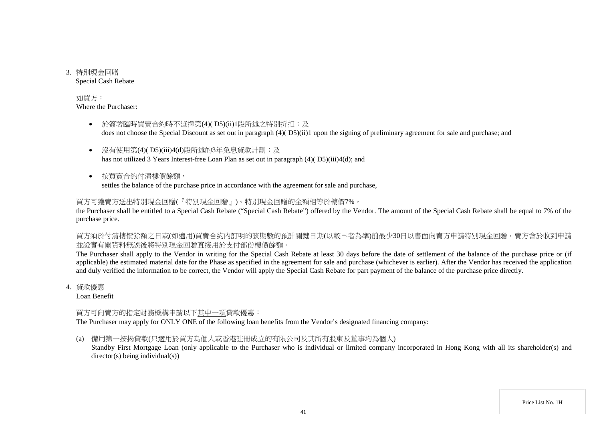3. 特別現金回贈 Special Cash Rebate

## 如買方:

Where the Purchaser:

- 於簽署臨時買賣合約時不選擇第(4)( D5)(ii)1段所述之特別折扣;及 does not choose the Special Discount as set out in paragraph (4)( D5)(ii)1 upon the signing of preliminary agreement for sale and purchase; and
- 沒有使用第(4)( D5)(iii)4(d)段所述的3年免息貸款計劃;及 has not utilized 3 Years Interest-free Loan Plan as set out in paragraph (4)( D5)(iii)4(d); and
- 按買賣合約付清樓價餘額, settles the balance of the purchase price in accordance with the agreement for sale and purchase,

# 買方可獲賣方送出特別現金回贈(『特別現金回贈』)。特別現金回贈的金額相等於樓價7%。

the Purchaser shall be entitled to a Special Cash Rebate ("Special Cash Rebate") offered by the Vendor. The amount of the Special Cash Rebate shall be equal to 7% of the purchase price.

買方須於付清樓價餘額之日或(如適用)買賣合約內訂明的該期數的預計關鍵日期(以較早者為準)前最少30日以書面向賣方申請特別現金回贈,賣方會於收到申請 並證實有關資料無誤後將特別現金回贈直接用於支付部份樓價餘額。

The Purchaser shall apply to the Vendor in writing for the Special Cash Rebate at least 30 days before the date of settlement of the balance of the purchase price or (if applicable) the estimated material date for the Phase as specified in the agreement for sale and purchase (whichever is earlier). After the Vendor has received the application and duly verified the information to be correct, the Vendor will apply the Special Cash Rebate for part payment of the balance of the purchase price directly.

4. 貸款優惠

Loan Benefit

# 買方可向賣方的指定財務機構申請以下其中一項貸款優惠:

The Purchaser may apply for **ONLY ONE** of the following loan benefits from the Vendor's designated financing company:

(a) 備用第一按揭貸款(只適用於買方為個人或香港註冊成立的有限公司及其所有股東及董事均為個人)

Standby First Mortgage Loan (only applicable to the Purchaser who is individual or limited company incorporated in Hong Kong with all its shareholder(s) and director(s) being individual(s))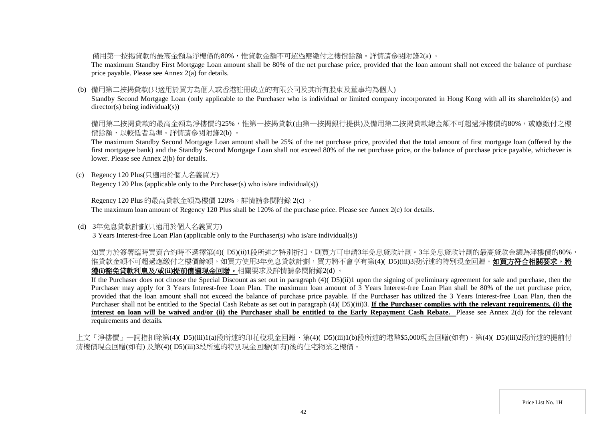備用第一按揭貸款的最高金額為淨樓價的80%,惟貸款金額不可超過應繳付之樓價餘額。詳情請參閱附錄2(a) 。

The maximum Standby First Mortgage Loan amount shall be 80% of the net purchase price, provided that the loan amount shall not exceed the balance of purchase price payable. Please see Annex 2(a) for details.

#### (b) 備用第二按揭貸款(只適用於買方為個人或香港註冊成立的有限公司及其所有股東及董事均為個人)

Standby Second Mortgage Loan (only applicable to the Purchaser who is individual or limited company incorporated in Hong Kong with all its shareholder(s) and director(s) being individual(s))

備用第二按揭貸款的最高金額為淨樓價的25%,惟第一按揭貸款(由第一按揭銀行提供)及備用第二按揭貸款總金額不可超過淨樓價的80%,或應繳付之樓 價餘額,以較低者為準。詳情請參閱附錄2(b) 。

The maximum Standby Second Mortgage Loan amount shall be 25% of the net purchase price, provided that the total amount of first mortgage loan (offered by the first mortgagee bank) and the Standby Second Mortgage Loan shall not exceed 80% of the net purchase price, or the balance of purchase price payable, whichever is lower. Please see Annex 2(b) for details.

(c) Regency 120 Plus(只適用於個人名義買方) Regency 120 Plus (applicable only to the Purchaser(s) who is/are individual(s))

Regency 120 Plus 的最高貸款金額為樓價 120%。詳情請參閱附錄 2(c) 。 The maximum loan amount of Regency 120 Plus shall be 120% of the purchase price. Please see Annex 2(c) for details.

(d) 3年免息貸款計劃(只適用於個人名義買方)

3 Years Interest-free Loan Plan (applicable only to the Purchaser(s) who is/are individual(s))

如買方於簽署臨時買賣合約時不選擇第(4)( D5)(ii)1段所述之特別折扣,則買方可申請3年免息貸款計劃。3年免息貸款計劃的最高貸款金額為淨樓價的80%, 惟貸款金額不可超過應繳付之樓價餘額。如買方使用3年免息貸款計劃,買方將不會享有第(4)( D5)(iii)3段所述的特別現金回贈。**如買方符合相關要求,將** 獲**(i)**豁免貸款利息及**/**或**(ii)**提前償還現金回贈。相關要求及詳情請參閱附錄2(d) 。

If the Purchaser does not choose the Special Discount as set out in paragraph (4)( D5)(ii)1 upon the signing of preliminary agreement for sale and purchase, then the Purchaser may apply for 3 Years Interest-free Loan Plan. The maximum loan amount of 3 Years Interest-free Loan Plan shall be 80% of the net purchase price, provided that the loan amount shall not exceed the balance of purchase price payable. If the Purchaser has utilized the 3 Years Interest-free Loan Plan, then the Purchaser shall not be entitled to the Special Cash Rebate as set out in paragraph (4)( D5)(iii)3. If the Purchaser complies with the relevant requirements, (i) the **interest on loan will be waived and/or (ii) the Purchaser shall be entitled to the Early Repayment Cash Rebate.** Please see Annex 2(d) for the relevant requirements and details.

上文『淨樓價』一詞指扣除第(4)( D5)(iii)1(a)段所述的印花稅現金回贈、第(4)( D5)(iii)1(b)段所述的港幣\$5,000現金回贈(如有)、第(4)( D5)(iii)2段所述的提前付 清樓價現金回贈(如有) 及第(4)( D5)(iii)3段所述的特別現金回贈(如有)後的住宅物業之樓價。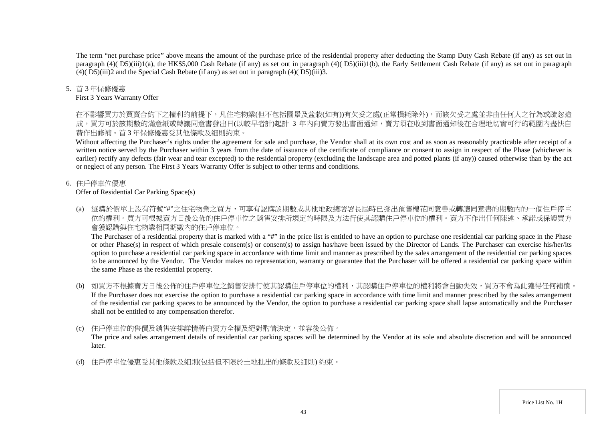The term "net purchase price" above means the amount of the purchase price of the residential property after deducting the Stamp Duty Cash Rebate (if any) as set out in paragraph (4)( D5)(iii)1(a), the HK\$5,000 Cash Rebate (if any) as set out in paragraph (4)( D5)(iii)1(b), the Early Settlement Cash Rebate (if any) as set out in paragraph  $(4)(D5)(iii)$  and the Special Cash Rebate (if any) as set out in paragraph  $(4)(D5)(iii)$ 3.

#### 5. 首 3 年保修優惠

#### First 3 Years Warranty Offer

在不影響買方於買賣合約下之權利的前提下,凡住宅物業(但不包括園景及盆栽(如有))有欠妥之處(正常損耗除外),而該欠妥之處並非由任何人之行為或疏忽造 成,買方可於該期數的滿意紙或轉讓同意書發出日(以較早者計)起計 3 年内向賣方發出書面通知,賣方須在收到書面通知後在合理地切實可行的範圍內盡快自 費作出修補。首 3 年保修優惠受其他條款及細則約束。

Without affecting the Purchaser's rights under the agreement for sale and purchase, the Vendor shall at its own cost and as soon as reasonably practicable after receipt of a written notice served by the Purchaser within 3 years from the date of issuance of the certificate of compliance or consent to assign in respect of the Phase (whichever is earlier) rectify any defects (fair wear and tear excepted) to the residential property (excluding the landscape area and potted plants (if any)) caused otherwise than by the act or neglect of any person. The First 3 Years Warranty Offer is subject to other terms and conditions.

## 6. 住戶停車位優惠

Offer of Residential Car Parking Space(s)

(a) 選購於價單上設有符號"#"之住宅物業之買方,可享有認購該期數或其他地政總署署長屆時已發出預售樓花同意書或轉讓同意書的期數內的一個住戶停車 位的權利。買方可根據賣方日後公佈的住戶停車位之銷售安排所規定的時限及方法行使其認購住戶停車位的權利。賣方不作出任何陳述、承諾或保證買方 會獲認購與住宅物業相同期數內的住戶停車位。

The Purchaser of a residential property that is marked with a "#" in the price list is entitled to have an option to purchase one residential car parking space in the Phase or other Phase(s) in respect of which presale consent(s) or consent(s) to assign has/have been issued by the Director of Lands. The Purchaser can exercise his/her/its option to purchase a residential car parking space in accordance with time limit and manner as prescribed by the sales arrangement of the residential car parking spaces to be announced by the Vendor. The Vendor makes no representation, warranty or guarantee that the Purchaser will be offered a residential car parking space within the same Phase as the residential property.

- (b) 如買方不根據賣方日後公佈的住戶停車位之銷售安排行使其認購住戶停車位的權利,其認購住戶停車位的權利將會自動失效,買方不會為此獲得任何補償。 If the Purchaser does not exercise the option to purchase a residential car parking space in accordance with time limit and manner prescribed by the sales arrangement of the residential car parking spaces to be announced by the Vendor, the option to purchase a residential car parking space shall lapse automatically and the Purchaser shall not be entitled to any compensation therefor.
- (c) 住戶停車位的售價及銷售安排詳情將由賣方全權及絕對酌情決定,並容後公佈。

The price and sales arrangement details of residential car parking spaces will be determined by the Vendor at its sole and absolute discretion and will be announced later.

(d) 住戶停車位優惠受其他條款及細則(包括但不限於土地批出的條款及細則) 約束。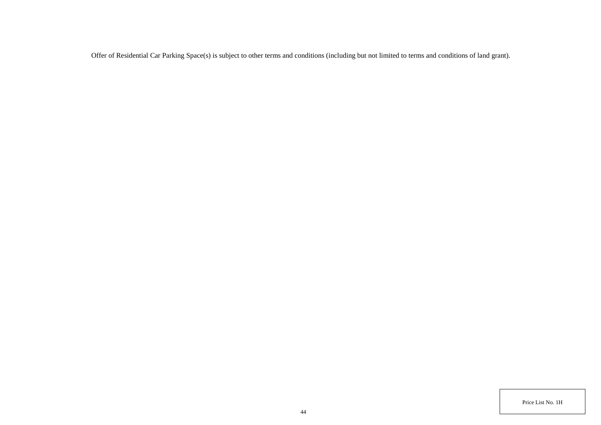Offer of Residential Car Parking Space(s) is subject to other terms and conditions (including but not limited to terms and conditions of land grant).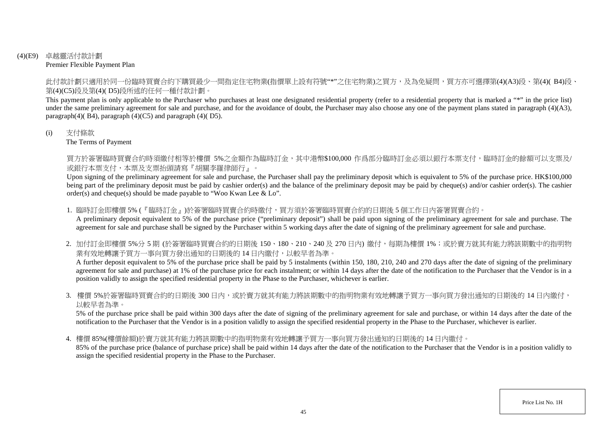#### (4)(E9) 卓越靈活付款計劃 Premier Flexible Payment Plan

此付款計劃只適用於同一份臨時買賣合約下購買最少一間指定住宅物業(指價單上設有符號"\*"之住宅物業)之買方,及為免疑問,買方亦可選擇第(4)(A3)段、第(4)( B4)段、 第(4)(C5)段及第(4)( D5)段所述的任何一種付款計劃。

This payment plan is only applicable to the Purchaser who purchases at least one designated residential property (refer to a residential property that is marked a "\*" in the price list) under the same preliminary agreement for sale and purchase, and for the avoidance of doubt, the Purchaser may also choose any one of the payment plans stated in paragraph (4)(A3), paragraph $(4)$ ( $B$ 4), paragraph  $(4)$ ( $C$ 5) and paragraph  $(4)$ ( $D$ 5).

#### (i) 支付條款

The Terms of Payment

買方於簽署臨時買賣合約時須繳付相等於樓價 5%之金額作為臨時訂金,其中港幣\$100,000 作爲部分臨時訂金必須以銀行本票支付,臨時訂金的餘額可以支票及/ 或銀行本票支付,本票及支票抬頭請寫『胡關李羅律師行』。

Upon signing of the preliminary agreement for sale and purchase, the Purchaser shall pay the preliminary deposit which is equivalent to 5% of the purchase price. HK\$100,000 being part of the preliminary deposit must be paid by cashier order(s) and the balance of the preliminary deposit may be paid by cheque(s) and/or cashier order(s). The cashier order(s) and cheque(s) should be made payable to "Woo Kwan Lee & Lo".

1. 臨時訂金即樓價 5% (『臨時訂金』)於簽署臨時買賣合約時繳付,買方須於簽署臨時買賣合約的日期後 5 個工作日內簽署買賣合約。

A preliminary deposit equivalent to 5% of the purchase price ("preliminary deposit") shall be paid upon signing of the preliminary agreement for sale and purchase. The agreement for sale and purchase shall be signed by the Purchaser within 5 working days after the date of signing of the preliminary agreement for sale and purchase.

2. 加付訂金即樓價 5%分 5 期 (於簽署臨時買賣合約的日期後 150、180、210、240 及 270 日内) 繳付,每期為樓價 1%;或於賣方就其有能力將該期數中的指明物 業有效地轉讓予買方一事向買方發出通知的日期後的 14 日内繳付,以較早者為準。

A further deposit equivalent to 5% of the purchase price shall be paid by 5 instalments (within 150, 180, 210, 240 and 270 days after the date of signing of the preliminary agreement for sale and purchase) at 1% of the purchase price for each instalment; or within 14 days after the date of the notification to the Purchaser that the Vendor is in a position validly to assign the specified residential property in the Phase to the Purchaser, whichever is earlier.

3. 樓價 5%於簽署臨時買賣合約的日期後 300 日内,或於賣方就其有能力將該期數中的指明物業有效地轉讓予買方一事向買方發出通知的日期後的 14 日內繳付, 以較早者為準。

5% of the purchase price shall be paid within 300 days after the date of signing of the preliminary agreement for sale and purchase, or within 14 days after the date of the notification to the Purchaser that the Vendor is in a position validly to assign the specified residential property in the Phase to the Purchaser, whichever is earlier.

4. 樓價 85%(樓價餘額)於賣方就其有能力將該期數中的指明物業有效地轉讓予買方一事向買方發出通知的日期後的 14 日內繳付。

85% of the purchase price (balance of purchase price) shall be paid within 14 days after the date of the notification to the Purchaser that the Vendor is in a position validly to assign the specified residential property in the Phase to the Purchaser.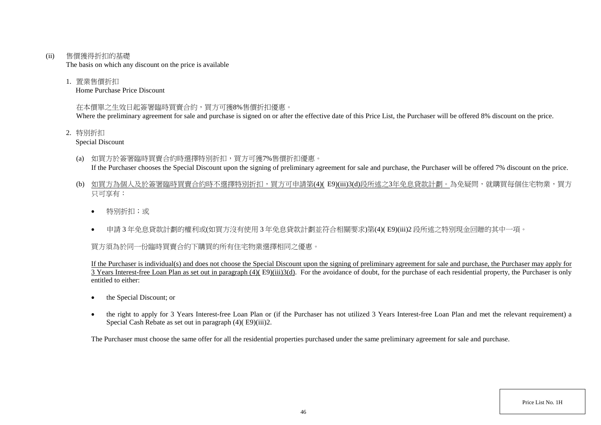(ii) 售價獲得折扣的基礎

The basis on which any discount on the price is available

1. 置業售價折扣

Home Purchase Price Discount

## 在本價單之生效日起簽署臨時買賣合約,買方可獲8%售價折扣優惠。

Where the preliminary agreement for sale and purchase is signed on or after the effective date of this Price List, the Purchaser will be offered 8% discount on the price.

- 2. 特別折扣
	- Special Discount
	- (a) 如買方於簽署臨時買賣合約時選擇特別折扣,買方可獲7%售價折扣優惠。 If the Purchaser chooses the Special Discount upon the signing of preliminary agreement for sale and purchase, the Purchaser will be offered 7% discount on the price.
	- (b) 如買方為個人及於簽署臨時買賣合約時不選擇特別折扣,買方可申請第(4)( E9)(iii)3(d)段所述之3年免息貸款計劃。為免疑問,就購買每個住宅物業,買方 只可享有:
		- 特別折扣;或
		- 申請 3 年免息貸款計劃的權利或(如買方沒有使用 3 年免息貸款計劃並符合相關要求)第(4)( E9)(iii)2 段所述之特別現金回贈的其中一項。

買方須為於同一份臨時買賣合約下購買的所有住宅物業選擇相同之優惠。

If the Purchaser is individual(s) and does not choose the Special Discount upon the signing of preliminary agreement for sale and purchase, the Purchaser may apply for  $\overline{3}$  Years Interest-free Loan Plan as set out in paragraph (4)(E9)(iii)3(d). For the avoidance of doubt, for the purchase of each residential property, the Purchaser is only entitled to either:

- the Special Discount; or
- the right to apply for 3 Years Interest-free Loan Plan or (if the Purchaser has not utilized 3 Years Interest-free Loan Plan and met the relevant requirement) a Special Cash Rebate as set out in paragraph (4)( E9)(iii)2.

The Purchaser must choose the same offer for all the residential properties purchased under the same preliminary agreement for sale and purchase.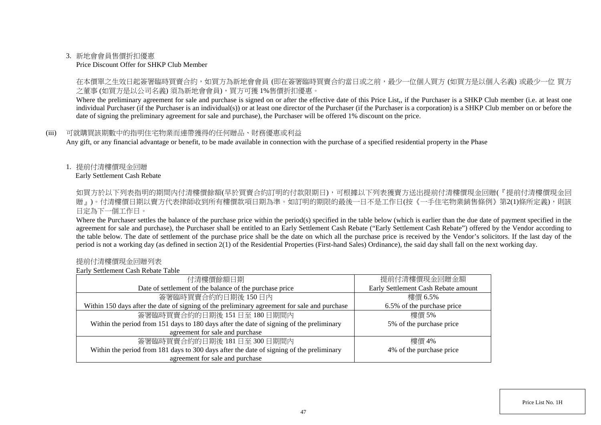#### 3. 新地會會員售價折扣優惠

Price Discount Offer for SHKP Club Member

在本價單之生效日起簽署臨時買賣合約,如買方為新地會會員 (即在簽署臨時買賣合約當日或之前,最少一位個人買方 (如買方是以個人名義) 或最少一位 買方 之董事 (如買方是以公司名義) 須為新地會會員),買方可獲 1%售價折扣優惠。

Where the preliminary agreement for sale and purchase is signed on or after the effective date of this Price List,, if the Purchaser is a SHKP Club member (i.e. at least one individual Purchaser (if the Purchaser is an individual(s)) or at least one director of the Purchaser (if the Purchaser is a corporation) is a SHKP Club member on or before the date of signing the preliminary agreement for sale and purchase), the Purchaser will be offered 1% discount on the price.

#### (iii) 可就購買該期數中的指明住宅物業而連帶獲得的任何贈品、財務優惠或利益

Any gift, or any financial advantage or benefit, to be made available in connection with the purchase of a specified residential property in the Phase

## 1. 提前付清樓價現金回贈

Early Settlement Cash Rebate

如買方於以下列表指明的期間内付清樓價餘額(早於買賣合約訂明的付款限期日),可根據以下列表獲賣方送出提前付清樓價現金回贈(『提前付清樓價現金回 贈」)。付清樓價日期以賣方代表律師收到所有樓價款項日期為準。如訂明的期限的最後一日不是工作日(按《一手住宅物業銷售條例》第2(1)條所定義),則該 日定為下一個工作日。

Where the Purchaser settles the balance of the purchase price within the period(s) specified in the table below (which is earlier than the due date of payment specified in the agreement for sale and purchase), the Purchaser shall be entitled to an Early Settlement Cash Rebate ("Early Settlement Cash Rebate") offered by the Vendor according to the table below. The date of settlement of the purchase price shall be the date on which all the purchase price is received by the Vendor's solicitors. If the last day of the period is not a working day (as defined in section 2(1) of the Residential Properties (First-hand Sales) Ordinance), the said day shall fall on the next working day.

#### 提前付清樓價現金回贈列表

Early Settlement Cash Rebate Table

| 付清樓價餘額日期                                                                                     | 提前付清樓價現金回贈金額                        |
|----------------------------------------------------------------------------------------------|-------------------------------------|
| Date of settlement of the balance of the purchase price                                      | Early Settlement Cash Rebate amount |
| 簽署臨時買賣合約的日期後150日內                                                                            | 樓價 6.5%                             |
| Within 150 days after the date of signing of the preliminary agreement for sale and purchase | 6.5% of the purchase price          |
| 簽署臨時買賣合約的日期後 151日至 180日期間內                                                                   | 樓價 5%                               |
| Within the period from 151 days to 180 days after the date of signing of the preliminary     | 5% of the purchase price            |
| agreement for sale and purchase                                                              |                                     |
| 簽署臨時買賣合約的日期後 181日至300日期間內                                                                    | 樓價 4%                               |
| Within the period from 181 days to 300 days after the date of signing of the preliminary     | 4% of the purchase price            |
| agreement for sale and purchase                                                              |                                     |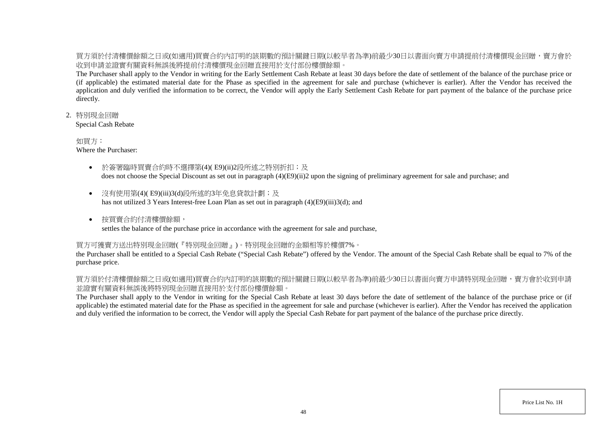買方須於付清樓價餘額之日或(如適用)買賣合約內訂明的該期數的預計關鍵日期(以較早者為準)前最少30日以書面向賣方申請提前付清樓價現金回贈,賣方會於 收到申請並證實有關資料無誤後將提前付清樓價現金回贈直接用於支付部份樓價餘額。

The Purchaser shall apply to the Vendor in writing for the Early Settlement Cash Rebate at least 30 days before the date of settlement of the balance of the purchase price or (if applicable) the estimated material date for the Phase as specified in the agreement for sale and purchase (whichever is earlier). After the Vendor has received the application and duly verified the information to be correct, the Vendor will apply the Early Settlement Cash Rebate for part payment of the balance of the purchase price directly.

#### 2. 特別現金回贈

Special Cash Rebate

#### 如買方:

Where the Purchaser:

- 於簽署臨時買賣合約時不選擇第(4)( E9)(ii)2段所述之特別折扣;及 does not choose the Special Discount as set out in paragraph (4)(E9)(ii)2 upon the signing of preliminary agreement for sale and purchase; and
- 沒有使用第(4)(E9)(iii)3(d)段所述的3年免息貸款計劃;及 has not utilized 3 Years Interest-free Loan Plan as set out in paragraph (4)(E9)(iii)3(d); and
- 按買賣合約付清樓價餘額, settles the balance of the purchase price in accordance with the agreement for sale and purchase,

## 買方可獲賣方送出特別現金回贈(『特別現金回贈』)。特別現金回贈的金額相等於樓價7%。

the Purchaser shall be entitled to a Special Cash Rebate ("Special Cash Rebate") offered by the Vendor. The amount of the Special Cash Rebate shall be equal to 7% of the purchase price.

## 買方須於付清樓價餘額之日或(如適用)買賣合約內訂明的該期數的預計關鍵日期(以較早者為準)前最少30日以書面向賣方申請特別現金回贈,賣方會於收到申請 並證實有關資料無誤後將特別現金回贈直接用於支付部份樓價餘額。

The Purchaser shall apply to the Vendor in writing for the Special Cash Rebate at least 30 days before the date of settlement of the balance of the purchase price or (if applicable) the estimated material date for the Phase as specified in the agreement for sale and purchase (whichever is earlier). After the Vendor has received the application and duly verified the information to be correct, the Vendor will apply the Special Cash Rebate for part payment of the balance of the purchase price directly.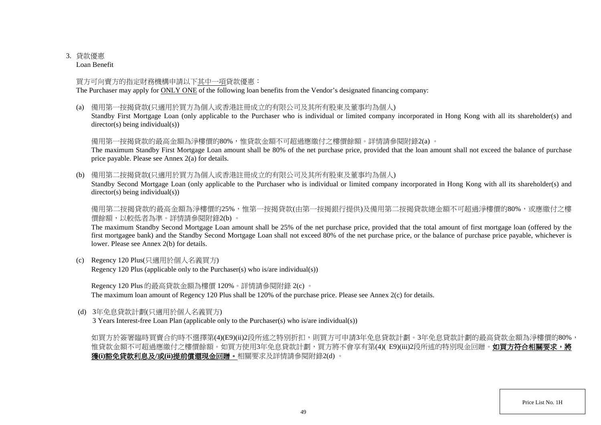## 3. 貸款優惠

Loan Benefit

## 買方可向賣方的指定財務機構申請以下其中一項貸款優惠:

The Purchaser may apply for ONLY ONE of the following loan benefits from the Vendor's designated financing company:

(a) 備用第一按揭貸款(只適用於買方為個人或香港註冊成立的有限公司及其所有股東及董事均為個人)

Standby First Mortgage Loan (only applicable to the Purchaser who is individual or limited company incorporated in Hong Kong with all its shareholder(s) and director(s) being individual(s))

## 備用第一按揭貸款的最高金額為淨樓價的80%,惟貸款金額不可超過應繳付之樓價餘額。詳情請參閱附錄2(a) 。

The maximum Standby First Mortgage Loan amount shall be 80% of the net purchase price, provided that the loan amount shall not exceed the balance of purchase price payable. Please see Annex 2(a) for details.

(b) 備用第二按揭貸款(只適用於買方為個人或香港註冊成立的有限公司及其所有股東及董事均為個人)

Standby Second Mortgage Loan (only applicable to the Purchaser who is individual or limited company incorporated in Hong Kong with all its shareholder(s) and director(s) being individual(s))

備用第二按揭貸款的最高金額為淨樓價的25%,惟第一按揭貸款(由第一按揭銀行提供)及備用第二按揭貸款總金額不可超過淨樓價的80%,或應繳付之樓 價餘額,以較低者為準。詳情請參閱附錄2(b) 。

The maximum Standby Second Mortgage Loan amount shall be 25% of the net purchase price, provided that the total amount of first mortgage loan (offered by the first mortgagee bank) and the Standby Second Mortgage Loan shall not exceed 80% of the net purchase price, or the balance of purchase price payable, whichever is lower. Please see Annex 2(b) for details.

(c) Regency 120 Plus(只適用於個人名義買方) Regency 120 Plus (applicable only to the Purchaser(s) who is/are individual(s))

Regency 120 Plus 的最高貸款金額為樓價 120%。詳情請參閱附錄 2(c) 。 The maximum loan amount of Regency 120 Plus shall be 120% of the purchase price. Please see Annex 2(c) for details.

(d) 3年免息貸款計劃(只適用於個人名義買方)

3 Years Interest-free Loan Plan (applicable only to the Purchaser(s) who is/are individual(s))

如買方於簽署臨時買賣合約時不選擇第(4)(E9)(ii)2段所述之特別折扣,則買方可申請3年免息貸款計劃。3年免息貸款計劃的最高貸款金額為淨樓價的80%, 惟貸款金額不可超過應繳付之樓價餘額。如買方使用3年免息貸款計劃,買方將不會享有第(4)( E9)(iii)2段所述的特別現金回贈。如**買方符合相關要求,將** 獲**(i)**豁免貸款利息及**/**或**(ii)**提前償還現金回贈。相關要求及詳情請參閱附錄2(d) 。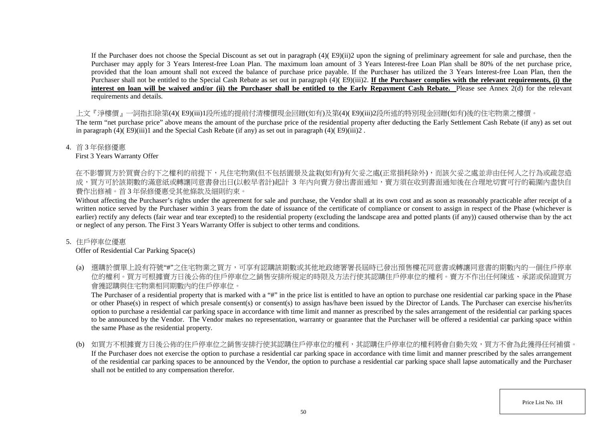If the Purchaser does not choose the Special Discount as set out in paragraph (4)( E9)(ii)2 upon the signing of preliminary agreement for sale and purchase, then the Purchaser may apply for 3 Years Interest-free Loan Plan. The maximum loan amount of 3 Years Interest-free Loan Plan shall be 80% of the net purchase price, provided that the loan amount shall not exceed the balance of purchase price payable. If the Purchaser has utilized the 3 Years Interest-free Loan Plan, then the Purchaser shall not be entitled to the Special Cash Rebate as set out in paragraph (4)( E9)(iii)2. If the Purchaser complies with the relevant requirements, (i) the **interest on loan will be waived and/or (ii) the Purchaser shall be entitled to the Early Repayment Cash Rebate.** Please see Annex 2(d) for the relevant requirements and details.

上文『淨樓價』一詞指扣除第(4)( E9)(iii)1段所述的提前付清樓價現金回贈(如有)及第(4)( E9)(iii)2段所述的特別現金回贈(如有)後的住宅物業之樓價。

The term "net purchase price" above means the amount of the purchase price of the residential property after deducting the Early Settlement Cash Rebate (if any) as set out in paragraph  $(4)$ ( E9)(iii)1 and the Special Cash Rebate (if any) as set out in paragraph (4)( E9)(iii)2.

#### 4. 首 3 年保修優惠

First 3 Years Warranty Offer

在不影響買方於買賣合約下之權利的前提下,凡住宅物業(但不包括園景及盆栽(如有))有欠妥之處(正常損耗除外),而該欠妥之處並非由任何人之行為或疏忽造 成,買方可於該期數的滿意紙或轉讓同意書發出日(以較早者計)起計 3 年内向賣方發出書面通知,賣方須在收到書面通知後在合理地切實可行的範圍內盡快自 費作出修補。首 3 年保修優惠受其他條款及細則約束。

Without affecting the Purchaser's rights under the agreement for sale and purchase, the Vendor shall at its own cost and as soon as reasonably practicable after receipt of a written notice served by the Purchaser within 3 years from the date of issuance of the certificate of compliance or consent to assign in respect of the Phase (whichever is earlier) rectify any defects (fair wear and tear excepted) to the residential property (excluding the landscape area and potted plants (if any)) caused otherwise than by the act or neglect of any person. The First 3 Years Warranty Offer is subject to other terms and conditions.

## 5. 住戶停車位優惠

Offer of Residential Car Parking Space(s)

(a) 選購於價單上設有符號"#"之住宅物業之買方,可享有認購該期數或其他地政總署署長屆時已發出預售樓花同意書或轉讓同意書的期數內的一個住戶停車 位的權利。買方可根據賣方日後公佈的住戶停車位之銷售安排所規定的時限及方法行使其認購住戶停車位的權利。賣方不作出任何陳述、承諾或保證買方 會獲認購與住宅物業相同期數內的住戶停車位。

The Purchaser of a residential property that is marked with a "#" in the price list is entitled to have an option to purchase one residential car parking space in the Phase or other Phase(s) in respect of which presale consent(s) or consent(s) to assign has/have been issued by the Director of Lands. The Purchaser can exercise his/her/its option to purchase a residential car parking space in accordance with time limit and manner as prescribed by the sales arrangement of the residential car parking spaces to be announced by the Vendor. The Vendor makes no representation, warranty or guarantee that the Purchaser will be offered a residential car parking space within the same Phase as the residential property.

(b) 如買方不根據賣方日後公佈的住戶停車位之銷售安排行使其認購住戶停車位的權利,其認購住戶停車位的權利將會自動失效,買方不會為此獲得任何補償。 If the Purchaser does not exercise the option to purchase a residential car parking space in accordance with time limit and manner prescribed by the sales arrangement of the residential car parking spaces to be announced by the Vendor, the option to purchase a residential car parking space shall lapse automatically and the Purchaser shall not be entitled to any compensation therefor.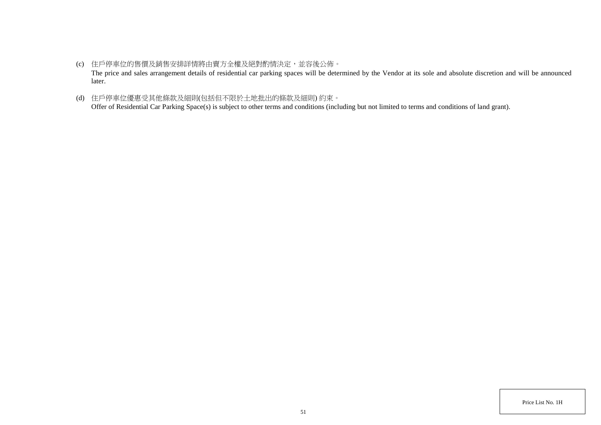- (c) 住戶停車位的售價及銷售安排詳情將由賣方全權及絕對酌情決定,並容後公佈。 The price and sales arrangement details of residential car parking spaces will be determined by the Vendor at its sole and absolute discretion and will be announced later.
- (d) 住戶停車位優惠受其他條款及細則(包括但不限於土地批出的條款及細則) 約束。 Offer of Residential Car Parking Space(s) is subject to other terms and conditions (including but not limited to terms and conditions of land grant).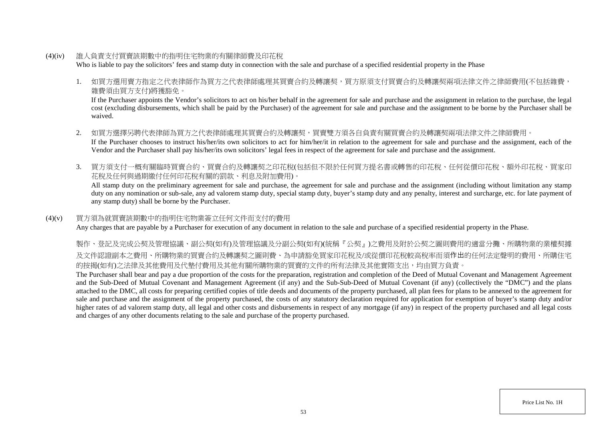(4)(iv) 誰人負責支付買賣該期數中的指明住宅物業的有關律師費及印花稅

Who is liable to pay the solicitors' fees and stamp duty in connection with the sale and purchase of a specified residential property in the Phase

1. 如買方選用賣方指定之代表律師作為買方之代表律師處理其買賣合約及轉讓契,買方原須支付買賣合約及轉讓契兩項法律文件之律師費用(不包括雜費, 雜費須由買方支付)將獲豁免。

If the Purchaser appoints the Vendor's solicitors to act on his/her behalf in the agreement for sale and purchase and the assignment in relation to the purchase, the legal cost (excluding disbursements, which shall be paid by the Purchaser) of the agreement for sale and purchase and the assignment to be borne by the Purchaser shall be waived.

- 2. 如買方選擇另聘代表律師為買方之代表律師處理其買賣合約及轉讓契,買賣雙方須各自負責有關買賣合約及轉讓契兩項法律文件之律師費用。 If the Purchaser chooses to instruct his/her/its own solicitors to act for him/her/it in relation to the agreement for sale and purchase and the assignment, each of the Vendor and the Purchaser shall pay his/her/its own solicitors' legal fees in respect of the agreement for sale and purchase and the assignment.
- 3. 買方須支付一概有關臨時買賣合約、買賣合約及轉讓契之印花稅(包括但不限於任何買方提名書或轉售的印花稅、任何從價印花稅、額外印花稅、買家印 花稅及任何與過期繳付任何印花稅有關的罰款、利息及附加費用)。

All stamp duty on the preliminary agreement for sale and purchase, the agreement for sale and purchase and the assignment (including without limitation any stamp duty on any nomination or sub-sale, any ad valorem stamp duty, special stamp duty, buyer's stamp duty and any penalty, interest and surcharge, etc. for late payment of any stamp duty) shall be borne by the Purchaser.

## (4)(v) 買方須為就買賣該期數中的指明住宅物業簽立任何文件而支付的費用

Any charges that are payable by a Purchaser for execution of any document in relation to the sale and purchase of a specified residential property in the Phase.

製作、登記及完成公契及管理協議、副公契(如有)及管理協議及分副公契(如有)(統稱『公契』)之費用及附於公契之圖則費用的適當分攤、所購物業的業權契據 及文件認證副本之費用、所購物業的買賣合約及轉讓契之圖則費、為申請豁免買家印花稅及/或從價印花稅較高稅率而須作出的任何法定聲明的費用、所購住宅 的按揭(如有)之法律及其他費用及代墊付費用及其他有關所購物業的買賣的文件的所有法律及其他實際支出,均由買方負責。

The Purchaser shall bear and pay a due proportion of the costs for the preparation, registration and completion of the Deed of Mutual Covenant and Management Agreement and the Sub-Deed of Mutual Covenant and Management Agreement (if any) and the Sub-Sub-Deed of Mutual Covenant (if any) (collectively the "DMC") and the plans attached to the DMC, all costs for preparing certified copies of title deeds and documents of the property purchased, all plan fees for plans to be annexed to the agreement for sale and purchase and the assignment of the property purchased, the costs of any statutory declaration required for application for exemption of buyer's stamp duty and/or higher rates of ad valorem stamp duty, all legal and other costs and disbursements in respect of any mortgage (if any) in respect of the property purchased and all legal costs and charges of any other documents relating to the sale and purchase of the property purchased.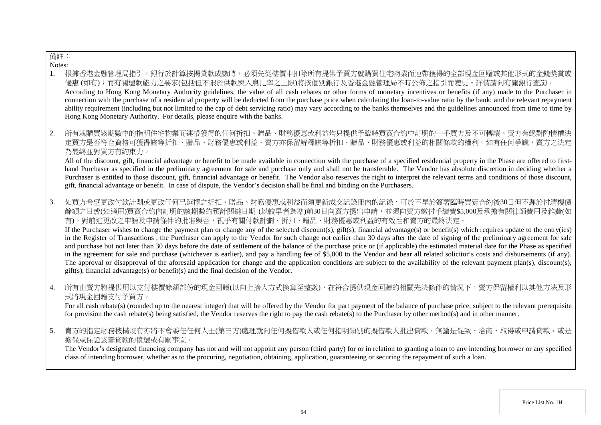# 備註:

Notes:

- 1. 根據香港金融管理局指引,銀行於計算按揭貸款成數時,必須先從樓價中扣除所有提供予買方就購買住宅物業而連帶獲得的全部現金回贈或其他形式的金錢獎賞或 優惠 (如有);而有關還款能力之要求(包括但不限於供款與入息比率之上限)將按個別銀行及香港金融管理局不時公佈之指引而變更。詳情請向有關銀行查詢。 According to Hong Kong Monetary Authority guidelines, the value of all cash rebates or other forms of monetary incentives or benefits (if any) made to the Purchaser in connection with the purchase of a residential property will be deducted from the purchase price when calculating the loan-to-value ratio by the bank; and the relevant repayment ability requirement (including but not limited to the cap of debt servicing ratio) may vary according to the banks themselves and the guidelines announced from time to time by Hong Kong Monetary Authority. For details, please enquire with the banks.
- 2. 所有就購買該期數中的指明住宅物業而連帶獲得的任何折扣、贈品、財務優惠或利益均只提供予臨時買賣合約中訂明的一手買方及不可轉讓。賣方有絕對酌情權決 定買方是否符合資格可獲得該等折扣、贈品、財務優惠或利益。賣方亦保留解釋該等折扣、贈品、財務優惠或利益的相關條款的權利。如有任何爭議,賣方之決定 為最終並對買方有約束力。

All of the discount, gift, financial advantage or benefit to be made available in connection with the purchase of a specified residential property in the Phase are offered to firsthand Purchaser as specified in the preliminary agreement for sale and purchase only and shall not be transferable. The Vendor has absolute discretion in deciding whether a Purchaser is entitled to those discount, gift, financial advantage or benefit. The Vendor also reserves the right to interpret the relevant terms and conditions of those discount, gift, financial advantage or benefit. In case of dispute, the Vendor's decision shall be final and binding on the Purchasers.

3. 如買方希望更改付款計劃或更改任何已選擇之折扣、贈品、財務優惠或利益而須更新成交記錄冊內的記錄,可於不早於簽署臨時買賣合約後30日但不遲於付清樓價 餘額之日或(如滴用)買賣合約內訂明的該期數的預計關鍵日期 (以較早者為進)前30日向賣方提出申請,並須向賣方繳付手續費\$5,000及承擔有關律師費用及雜費(如 有)。對前述更改之申請及申請條件的批准與否,視乎有關付款計劃、折扣、贈品、財務優惠或利益的有效性和賣方的最終決定。

If the Purchaser wishes to change the payment plan or change any of the selected discount(s), gift(s), financial advantage(s) or benefit(s) which requires update to the entry(ies) in the Register of Transactions , the Purchaser can apply to the Vendor for such change not earlier than 30 days after the date of signing of the preliminary agreement for sale and purchase but not later than 30 days before the date of settlement of the balance of the purchase price or (if applicable) the estimated material date for the Phase as specified in the agreement for sale and purchase (whichever is earlier), and pay a handling fee of \$5,000 to the Vendor and bear all related solicitor's costs and disbursements (if any). The approval or disapproval of the aforesaid application for change and the application conditions are subject to the availability of the relevant payment plan(s), discount(s), gift(s), financial advantage(s) or benefit(s) and the final decision of the Vendor.

4. 所有由賣方將提供用以支付樓價餘額部份的現金回贈(以向上捨入方式換算至整數),在符合提供現金回贈的相關先決條件的情況下,賣方保留權利以其他方法及形 式將現金回贈支付予買方。

For all cash rebate(s) (rounded up to the nearest integer) that will be offered by the Vendor for part payment of the balance of purchase price, subject to the relevant prerequisite for provision the cash rebate(s) being satisfied, the Vendor reserves the right to pay the cash rebate(s) to the Purchaser by other method(s) and in other manner.

5. 賣方的指定財務機構沒有亦將不會委任任何人士(第三方)處理就向任何擬借款人或任何指明類別的擬借款人批出貸款,無論是促致、洽商、取得或申請貸款,或是 擔保或保證該筆貸款的償還或有關事宜。

The Vendor's designated financing company has not and will not appoint any person (third party) for or in relation to granting a loan to any intending borrower or any specified class of intending borrower, whether as to the procuring, negotiation, obtaining, application, guaranteeing or securing the repayment of such a loan.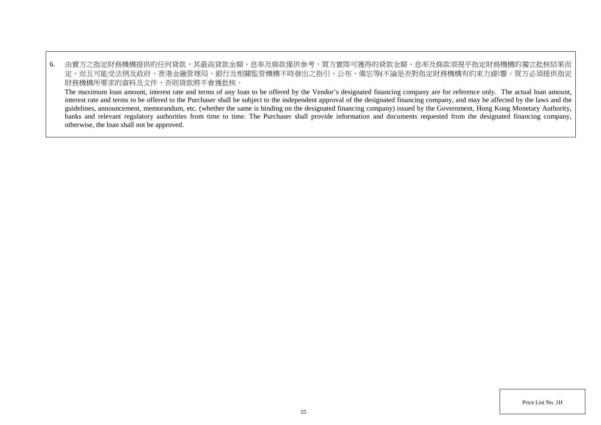6. 由賣方之指定財務機構提供的任何貸款,其最高貸款金額、息率及條款僅供參考,買方實際可獲得的貸款金額、息率及條款須視乎指定財務機構的獨立批核結果而 定,而且可能受法例及政府、香港金融管理局、銀行及相關監管機構不時發出之指引、公布、備忘等(不論是否對指定財務機構有約束力)影響。買方必須提供指定 財務機構所要求的資料及文件,否則貸款將不會獲批核。

The maximum loan amount, interest rate and terms of any loan to be offered by the Vendor's designated financing company are for reference only. The actual loan amount, interest rate and terms to be offered to the Purchaser shall be subject to the independent approval of the designated financing company, and may be affected by the laws and the guidelines, announcement, memorandum, etc. (whether the same is binding on the designated financing company) issued by the Government, Hong Kong Monetary Authority, banks and relevant regulatory authorities from time to time. The Purchaser shall provide information and documents requested from the designated financing company, otherwise, the loan shall not be approved.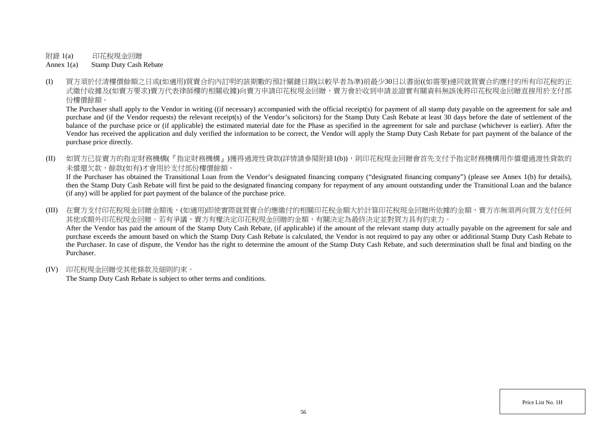附錄 1(a) 印花稅現金回贈

Annex 1(a) Stamp Duty Cash Rebate

(I) 買方須於付清樓價餘額之日或(如適用)買賣合約內訂明的該期數的預計關鍵日期(以較早者為準)前最少30日以書面((如需要)連同就買賣合約應付的所有印花稅的正 式繳付收據及(如賣方要求)賣方代表律師樓的相關收據)向賣方申請印花稅現金回贈,賣方會於收到申請並證實有關資料無誤後將印花稅現金回贈直接用於支付部 份樓價餘額。

The Purchaser shall apply to the Vendor in writing ((if necessary) accompanied with the official receipt(s) for payment of all stamp duty payable on the agreement for sale and purchase and (if the Vendor requests) the relevant receipt(s) of the Vendor's solicitors) for the Stamp Duty Cash Rebate at least 30 days before the date of settlement of the balance of the purchase price or (if applicable) the estimated material date for the Phase as specified in the agreement for sale and purchase (whichever is earlier). After the Vendor has received the application and duly verified the information to be correct, the Vendor will apply the Stamp Duty Cash Rebate for part payment of the balance of the purchase price directly.

(II) 如買方已從賣方的指定財務機構(『指定財務機構』)獲得過渡性貸款(詳情請參閱附錄1(b)),則印花稅現金回贈會首先支付予指定財務機構用作償還過渡性貸款的 未償還欠款,餘款(如有)才會用於支付部份樓價餘額。

If the Purchaser has obtained the Transitional Loan from the Vendor's designated financing company ("designated financing company") (please see Annex 1(b) for details), then the Stamp Duty Cash Rebate will first be paid to the designated financing company for repayment of any amount outstanding under the Transitional Loan and the balance (if any) will be applied for part payment of the balance of the purchase price.

- (III) 在賣方支付印花稅現金回贈金額後,(如滴用)即使實際就買賣合約應繳付的相關印花稅金額大於計算印花稅現金回贈所依據的金額,賣方亦無須再向買方支付任何 其他或額外印花稅現金回贈。若有爭議,賣方有權決定印花稅現金回贈的金額,有關決定為最終決定並對買方具有約束力。 After the Vendor has paid the amount of the Stamp Duty Cash Rebate, (if applicable) if the amount of the relevant stamp duty actually payable on the agreement for sale and purchase exceeds the amount based on which the Stamp Duty Cash Rebate is calculated, the Vendor is not required to pay any other or additional Stamp Duty Cash Rebate to the Purchaser. In case of dispute, the Vendor has the right to determine the amount of the Stamp Duty Cash Rebate, and such determination shall be final and binding on the Purchaser.
- (IV) 印花稅現金回贈受其他條款及細則約束。

The Stamp Duty Cash Rebate is subject to other terms and conditions.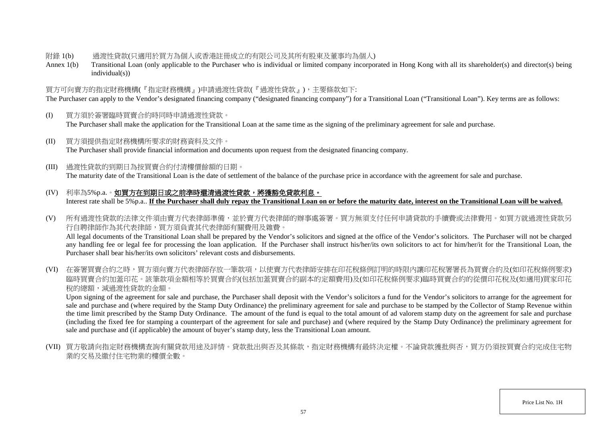#### 附錄 1(b) 過渡性貸款(只適用於買方為個人或香港註冊成立的有限公司及其所有股東及董事均為個人)

Annex 1(b) Transitional Loan (only applicable to the Purchaser who is individual or limited company incorporated in Hong Kong with all its shareholder(s) and director(s) being individual(s))

## 買方可向賣方的指定財務機構(『指定財務機構』)申請過渡性貸款(『過渡性貸款』),主要條款如下:

The Purchaser can apply to the Vendor's designated financing company ("designated financing company") for a Transitional Loan ("Transitional Loan"). Key terms are as follows:

- (I) 買方須於簽署臨時買賣合約時同時申請過渡性貸款。 The Purchaser shall make the application for the Transitional Loan at the same time as the signing of the preliminary agreement for sale and purchase.
- (II) 買方須提供指定財務機構所要求的財務資料及文件。 The Purchaser shall provide financial information and documents upon request from the designated financing company.
- (III) 過渡性貸款的到期日為按買賣合約付清樓價餘額的日期。

The maturity date of the Transitional Loan is the date of settlement of the balance of the purchase price in accordance with the agreement for sale and purchase.

- (IV) 利率為5%p.a.。如買方在到期日或之前準時還清過渡性貸款,將獲豁免貸款利息。 Interest rate shall be 5%p.a.. **If the Purchaser shall duly repay the Transitional Loan on or before the maturity date, interest on the Transitional Loan will be waived.**
- (V) 所有過渡性貸款的法律文件須由賣方代表律師準備,並於賣方代表律師的辦事處簽署。買方無須支付任何申請貸款的手續費或法律費用。如買方就過渡性貸款另 行自聘律師作為其代表律師,買方須負責其代表律師有關費用及雜費。 All legal documents of the Transitional Loan shall be prepared by the Vendor's solicitors and signed at the office of the Vendor's solicitors. The Purchaser will not be charged any handling fee or legal fee for processing the loan application. If the Purchaser shall instruct his/her/its own solicitors to act for him/her/it for the Transitional Loan, the Purchaser shall bear his/her/its own solicitors' relevant costs and disbursements.
- (VI) 在簽署買賣合約之時,買方須向賣方代表律師存放一筆款項,以使賣方代表律師安排在印花稅條例訂明的時限內讓印花稅署署長為買賣合約及(如印花稅條例要求) 臨時買賣合約加蓋印花。該筆款項金額相等於買賣合約(包括加蓋買賣合約副本的定額費用)及(如印花稅條例要求)臨時買賣合約的從價印花稅及(如適用)買家印花 稅的總額,減過渡性貸款的金額。

Upon signing of the agreement for sale and purchase, the Purchaser shall deposit with the Vendor's solicitors a fund for the Vendor's solicitors to arrange for the agreement for sale and purchase and (where required by the Stamp Duty Ordinance) the preliminary agreement for sale and purchase to be stamped by the Collector of Stamp Revenue within the time limit prescribed by the Stamp Duty Ordinance. The amount of the fund is equal to the total amount of ad valorem stamp duty on the agreement for sale and purchase (including the fixed fee for stamping a counterpart of the agreement for sale and purchase) and (where required by the Stamp Duty Ordinance) the preliminary agreement for sale and purchase and (if applicable) the amount of buyer's stamp duty, less the Transitional Loan amount.

(VII) 買方敬請向指定財務機構查詢有關貸款用途及詳情。貸款批出與否及其條款,指定財務機構有最終決定權。不論貸款獲批與否,買方仍須按買賣合約完成住宅物 業的交易及繳付住宅物業的樓價全數。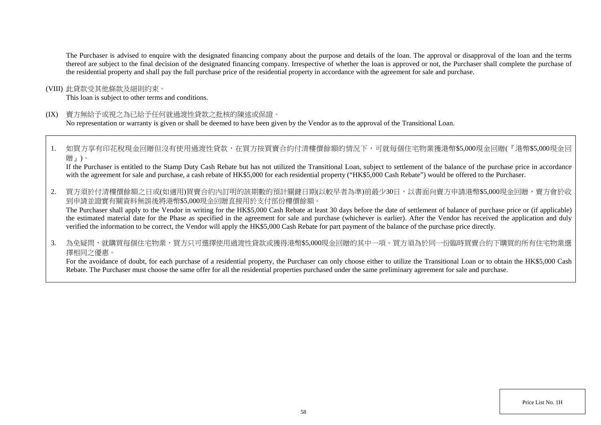The Purchaser is advised to enquire with the designated financing company about the purpose and details of the loan. The approval or disapproval of the loan and the terms thereof are subject to the final decision of the designated financing company. Irrespective of whether the loan is approved or not, the Purchaser shall complete the purchase of the residential property and shall pay the full purchase price of the residential property in accordance with the agreement for sale and purchase.

(VIII) 此貸款受其他條款及細則約束。

This loan is subject to other terms and conditions.

(IX) 賣方無給予或視之為已給予任何就過渡性貸款之批核的陳述或保證。

No representation or warranty is given or shall be deemed to have been given by the Vendor as to the approval of the Transitional Loan.

1. 如買方享有印花稅現金回贈但沒有使用過渡性貸款,在買方按買賣合約付清樓價餘額的情況下,可就每個住宅物業獲港幣\$5,000現金回贈(『港幣\$5,000現金回 贈』)。

If the Purchaser is entitled to the Stamp Duty Cash Rebate but has not utilized the Transitional Loan, subject to settlement of the balance of the purchase price in accordance with the agreement for sale and purchase, a cash rebate of HK\$5,000 for each residential property ("HK\$5,000 Cash Rebate") would be offered to the Purchaser.

2. 買方須於付清樓價餘額之日或(如適用)買賣合約內訂明的該期數的預計關鍵日期(以較早者為準)前最少30日,以書面向賣方申請港幣\$5,000現金回贈,賣方會於收 到申請並證實有關資料無誤後將港幣\$5,000現金回贈直接用於支付部份樓價餘額。

The Purchaser shall apply to the Vendor in writing for the HK\$5,000 Cash Rebate at least 30 days before the date of settlement of balance of purchase price or (if applicable) the estimated material date for the Phase as specified in the agreement for sale and purchase (whichever is earlier). After the Vendor has received the application and duly verified the information to be correct, the Vendor will apply the HK\$5,000 Cash Rebate for part payment of the balance of the purchase price directly.

3. 為免疑問,就購買每個住宅物業,買方只可選擇使用過渡性貸款或獲得港幣\$5,000現金回贈的其中一項。買方須為於同一份臨時買賣合約下購買的所有住宅物業選 擇相同之優惠。

For the avoidance of doubt, for each purchase of a residential property, the Purchaser can only choose either to utilize the Transitional Loan or to obtain the HK\$5,000 Cash Rebate. The Purchaser must choose the same offer for all the residential properties purchased under the same preliminary agreement for sale and purchase.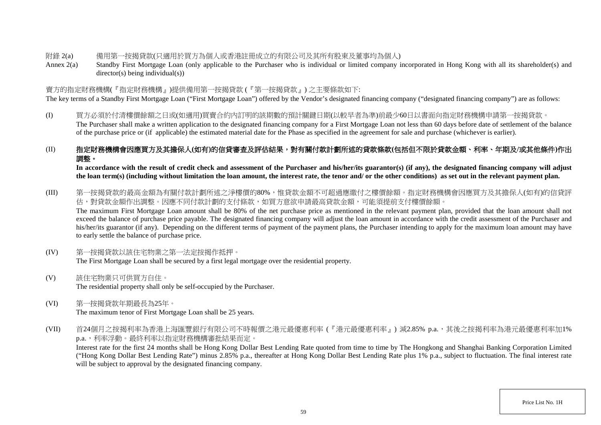- 附錄 2(a) 備用第一按揭貸款(只適用於買方為個人或香港註冊成立的有限公司及其所有股東及董事均為個人)
- Annex 2(a) Standby First Mortgage Loan (only applicable to the Purchaser who is individual or limited company incorporated in Hong Kong with all its shareholder(s) and director(s) being individual(s))

# 賣方的指定財務機構(『指定財務機構』)提供備用第一按揭貸款 (『第一按揭貸款』) 之主要條款如下:

The key terms of a Standby First Mortgage Loan ("First Mortgage Loan") offered by the Vendor's designated financing company ("designated financing company") are as follows:

(I) 買方必須於付清樓價餘額之日或(如適用)買賣合約內訂明的該期數的預計關鍵日期(以較早者為準)前最少60日以書面向指定財務機構申請第一按揭貸款。 The Purchaser shall make a written application to the designated financing company for a First Mortgage Loan not less than 60 days before date of settlement of the balance of the purchase price or (if applicable) the estimated material date for the Phase as specified in the agreement for sale and purchase (whichever is earlier).

# (II) 指定財務機構會因應買方及其擔保人**(**如有**)**的信貸審查及評估結果,對有關付款計劃所述的貸款條款**(**包括但不限於貸款金額、利率、年期及**/**或其他條件**)**作出 調整。

In accordance with the result of credit check and assessment of the Purchaser and his/her/its guarantor(s) (if any), the designated financing company will adjust **the loan term(s) (including without limitation the loan amount, the interest rate, the tenor and/ or the other conditions) as set out in the relevant payment plan.**

- (III) 第一按揭貸款的最高金額為有關付款計劃所述之淨樓價的80%,惟貸款金額不可超過應繳付之樓價餘額。指定財務機構會因應買方及其擔保人(如有)的信貸評 估,對貸款金額作出調整。因應不同付款計劃的支付條款,如買方意欲申請最高貸款金額,可能須提前支付樓價餘額。 The maximum First Mortgage Loan amount shall be 80% of the net purchase price as mentioned in the relevant payment plan, provided that the loan amount shall not exceed the balance of purchase price payable. The designated financing company will adjust the loan amount in accordance with the credit assessment of the Purchaser and his/her/its guarantor (if any). Depending on the different terms of payment of the payment plans, the Purchaser intending to apply for the maximum loan amount may have to early settle the balance of purchase price.
- (IV) 第一按揭貸款以該住宅物業之第一法定按揭作抵押。 The First Mortgage Loan shall be secured by a first legal mortgage over the residential property.
- (V) 該住宅物業只可供買方自住。 The residential property shall only be self-occupied by the Purchaser.
- (VI) 第一按揭貸款年期最長為25年。 The maximum tenor of First Mortgage Loan shall be 25 years.
- (VII) 首24個月之按揭利率為香港上海匯豐銀行有限公司不時報價之港元最優惠利率 (『港元最優惠利率』) 減2.85% p.a.,其後之按揭利率為港元最優惠利率加1% p.a.,利率浮動。最終利率以指定財務機構審批結果而定。

Interest rate for the first 24 months shall be Hong Kong Dollar Best Lending Rate quoted from time to time by The Hongkong and Shanghai Banking Corporation Limited ("Hong Kong Dollar Best Lending Rate") minus 2.85% p.a., thereafter at Hong Kong Dollar Best Lending Rate plus 1% p.a., subject to fluctuation. The final interest rate will be subject to approval by the designated financing company.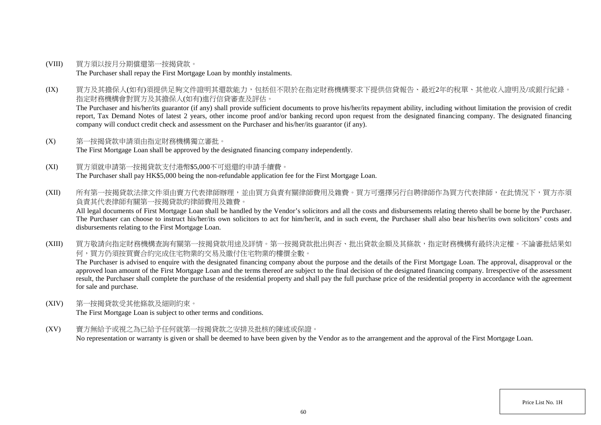- (VIII) 買方須以按月分期償還第一按揭貸款。 The Purchaser shall repay the First Mortgage Loan by monthly instalments.
- (IX) 買方及其擔保人(如有)須提供足夠文件證明其還款能力,包括但不限於在指定財務機構要求下提供信貸報告、最近2年的稅單、其他收入證明及/或銀行紀錄。 指定財務機構會對買方及其擔保人(如有)進行信貸審查及評估。

The Purchaser and his/her/its guarantor (if any) shall provide sufficient documents to prove his/her/its repayment ability, including without limitation the provision of credit report, Tax Demand Notes of latest 2 years, other income proof and/or banking record upon request from the designated financing company. The designated financing company will conduct credit check and assessment on the Purchaser and his/her/its guarantor (if any).

- (X) 第一按揭貸款申請須由指定財務機構獨立審批。 The First Mortgage Loan shall be approved by the designated financing company independently.
- (XI) 買方須就申請第一按揭貸款支付港幣\$5,000不可退還的申請手續費。 The Purchaser shall pay HK\$5,000 being the non-refundable application fee for the First Mortgage Loan.
- (XII) 所有第一按揭貸款法律文件須由賣方代表律師辦理,並由買方負責有關律師費用及雜費。買方可選擇另行自聘律師作為買方代表律師,在此情況下,買方亦須 負責其代表律師有關第一按揭貸款的律師費用及雜費。

All legal documents of First Mortgage Loan shall be handled by the Vendor's solicitors and all the costs and disbursements relating thereto shall be borne by the Purchaser. The Purchaser can choose to instruct his/her/its own solicitors to act for him/her/it, and in such event, the Purchaser shall also bear his/her/its own solicitors' costs and disbursements relating to the First Mortgage Loan.

(XIII) 買方敬請向指定財務機構查詢有關第一按揭貸款用途及詳情。第一按揭貸款批出與否、批出貸款金額及其條款,指定財務機構有最終決定權。不論審批結果如 何,買方仍須按買賣合約完成住宅物業的交易及繳付住宅物業的樓價全數。

The Purchaser is advised to enquire with the designated financing company about the purpose and the details of the First Mortgage Loan. The approval, disapproval or the approved loan amount of the First Mortgage Loan and the terms thereof are subject to the final decision of the designated financing company. Irrespective of the assessment result, the Purchaser shall complete the purchase of the residential property and shall pay the full purchase price of the residential property in accordance with the agreement for sale and purchase.

- (XIV) 第一按揭貸款受其他條款及細則約束。 The First Mortgage Loan is subject to other terms and conditions.
- (XV) 賣方無給予或視之為已給予任何就第一按揭貸款之安排及批核的陳述或保證。 No representation or warranty is given or shall be deemed to have been given by the Vendor as to the arrangement and the approval of the First Mortgage Loan.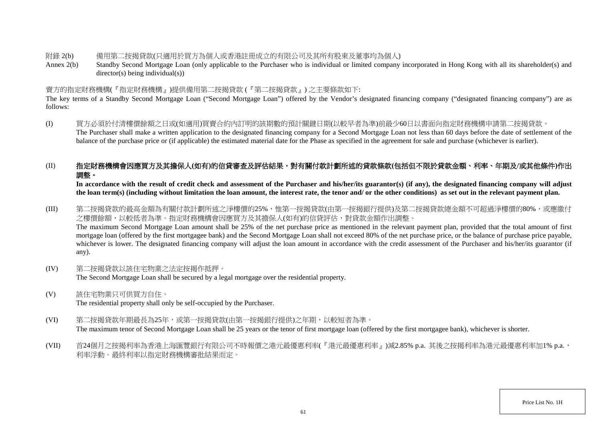附錄 2(b) 備用第二按揭貸款(只適用於買方為個人或香港註冊成立的有限公司及其所有股東及董事均為個人)

Annex 2(b) Standby Second Mortgage Loan (only applicable to the Purchaser who is individual or limited company incorporated in Hong Kong with all its shareholder(s) and director(s) being individual(s))

## 賣方的指定財務機構(『指定財務機構』)提供備用第二按揭貸款 (『第二按揭貸款』) 之主要條款如下:

The key terms of a Standby Second Mortgage Loan ("Second Mortgage Loan") offered by the Vendor's designated financing company ("designated financing company") are as follows:

(I) 買方必須於付清樓價餘額之日或(如適用)買賣合約內訂明的該期數的預計關鍵日期(以較早者為準)前最少60日以書面向指定財務機構申請第二按揭貸款。 The Purchaser shall make a written application to the designated financing company for a Second Mortgage Loan not less than 60 days before the date of settlement of the balance of the purchase price or (if applicable) the estimated material date for the Phase as specified in the agreement for sale and purchase (whichever is earlier).

# (II) 指定財務機構會因應買方及其擔保人**(**如有**)**的信貸審查及評估結果,對有關付款計劃所述的貸款條款**(**包括但不限於貸款金額、利率、年期及**/**或其他條件**)**作出 調整。

In accordance with the result of credit check and assessment of the Purchaser and his/her/its guarantor(s) (if any), the designated financing company will adjust **the loan term(s) (including without limitation the loan amount, the interest rate, the tenor and/ or the other conditions) as set out in the relevant payment plan.**

(III) 第二按揭貸款的最高金額為有關付款計劃所述之淨樓價的25%,惟第一按揭貸款(由第一按揭銀行提供)及第二按揭貸款總金額不可超過淨樓價的80%,或應繳付 之樓價餘額,以較低者為準。指定財務機構會因應買方及其擔保人(如有)的信貸評估,對貸款金額作出調整。 The maximum Second Mortgage Loan amount shall be 25% of the net purchase price as mentioned in the relevant payment plan, provided that the total amount of first mortgage loan (offered by the first mortgagee bank) and the Second Mortgage Loan shall not exceed 80% of the net purchase price, or the balance of purchase price payable, whichever is lower. The designated financing company will adjust the loan amount in accordance with the credit assessment of the Purchaser and his/her/its guarantor (if any).

- (IV) 第二按揭貸款以該住宅物業之法定按揭作抵押。 The Second Mortgage Loan shall be secured by a legal mortgage over the residential property.
- (V) 該住宅物業只可供買方自住。 The residential property shall only be self-occupied by the Purchaser.
- (VI) 第二按揭貸款年期最長為25年,或第一按揭貸款(由第一按揭銀行提供)之年期,以較短者為準。 The maximum tenor of Second Mortgage Loan shall be 25 years or the tenor of first mortgage loan (offered by the first mortgagee bank), whichever is shorter.
- (VII) 首24個月之按揭利率為香港上海匯豐銀行有限公司不時報價之港元最優惠利率(『港元最優惠利率』)減2.85% p.a. 其後之按揭利率為港元最優惠利率加1% p.a., 利率浮動。最終利率以指定財務機構審批結果而定。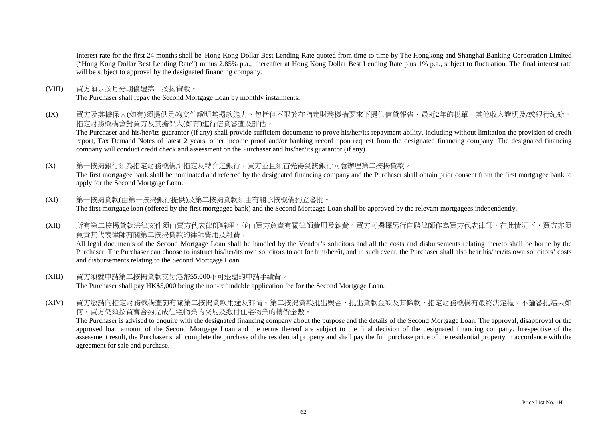Interest rate for the first 24 months shall be Hong Kong Dollar Best Lending Rate quoted from time to time by The Hongkong and Shanghai Banking Corporation Limited ("Hong Kong Dollar Best Lending Rate") minus 2.85% p.a., thereafter at Hong Kong Dollar Best Lending Rate plus 1% p.a., subject to fluctuation. The final interest rate will be subject to approval by the designated financing company.

(VIII) 買方須以按月分期償還第二按揭貸款。

The Purchaser shall repay the Second Mortgage Loan by monthly instalments.

(IX) 買方及其擔保人(如有)須提供足夠文件證明其還款能力,包括但不限於在指定財務機構要求下提供信貸報告、最近2年的稅單、其他收入證明及/或銀行紀錄。 指定財務機構會對買方及其擔保人(如有)進行信貸審查及評估。

The Purchaser and his/her/its guarantor (if any) shall provide sufficient documents to prove his/her/its repayment ability, including without limitation the provision of credit report, Tax Demand Notes of latest 2 years, other income proof and/or banking record upon request from the designated financing company. The designated financing company will conduct credit check and assessment on the Purchaser and his/her/its guarantor (if any).

(X) 第一按揭銀行須為指定財務機構所指定及轉介之銀行,買方並且須首先得到該銀行同意辦理第二按揭貸款。

The first mortgagee bank shall be nominated and referred by the designated financing company and the Purchaser shall obtain prior consent from the first mortgagee bank to apply for the Second Mortgage Loan.

- (XI) 第一按揭貸款(由第一按揭銀行提供)及第二按揭貸款須由有關承按機構獨立審批。 The first mortgage loan (offered by the first mortgagee bank) and the Second Mortgage Loan shall be approved by the relevant mortgagees independently.
- (XII) 所有第二按揭貸款法律文件須由賣方代表律師辦理,並由買方負責有關律師費用及雜費。買方可選擇另行自聘律師作為買方代表律師,在此情況下,買方亦須 負責其代表律師有關第二按揭貸款的律師費用及雜費。

All legal documents of the Second Mortgage Loan shall be handled by the Vendor's solicitors and all the costs and disbursements relating thereto shall be borne by the Purchaser. The Purchaser can choose to instruct his/her/its own solicitors to act for him/her/it, and in such event, the Purchaser shall also bear his/her/its own solicitors' costs and disbursements relating to the Second Mortgage Loan.

- (XIII) 買方須就申請第二按揭貸款支付港幣\$5,000不可退還的申請手續費。 The Purchaser shall pay HK\$5,000 being the non-refundable application fee for the Second Mortgage Loan.
- (XIV) 買方敬請向指定財務機構查詢有關第二按揭貸款用途及詳情。第二按揭貸款批出與否、批出貸款金額及其條款,指定財務機構有最終決定權。不論審批結果如 何,買方仍須按買賣合約完成住宅物業的交易及繳付住宅物業的樓價全數。

The Purchaser is advised to enquire with the designated financing company about the purpose and the details of the Second Mortgage Loan. The approval, disapproval or the approved loan amount of the Second Mortgage Loan and the terms thereof are subject to the final decision of the designated financing company. Irrespective of the assessment result, the Purchaser shall complete the purchase of the residential property and shall pay the full purchase price of the residential property in accordance with the agreement for sale and purchase.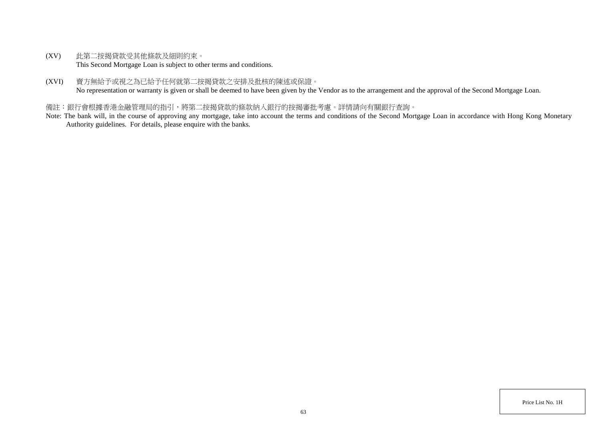- (XV) 此第二按揭貸款受其他條款及細則約束。 This Second Mortgage Loan is subject to other terms and conditions.
- (XVI) 賣方無給予或視之為已給予任何就第二按揭貸款之安排及批核的陳述或保證。 No representation or warranty is given or shall be deemed to have been given by the Vendor as to the arrangement and the approval of the Second Mortgage Loan.

## 備註:銀行會根據香港金融管理局的指引,將第二按揭貸款的條款納入銀行的按揭審批考慮。詳情請向有關銀行查詢。

Note: The bank will, in the course of approving any mortgage, take into account the terms and conditions of the Second Mortgage Loan in accordance with Hong Kong Monetary Authority guidelines. For details, please enquire with the banks.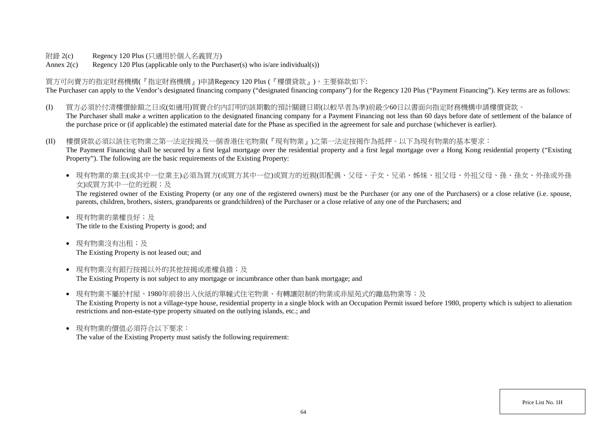附錄 2(c) Regency 120 Plus (只適用於個人名義買方)

Annex  $2(c)$  Regency 120 Plus (applicable only to the Purchaser(s) who is/are individual(s))

買方可向賣方的指定財務機構(『指定財務機構』)申請Regency 120 Plus (『樓價貸款』),主要條款如下: The Purchaser can apply to the Vendor's designated financing company ("designated financing company") for the Regency 120 Plus ("Payment Financing"). Key terms are as follows:

- (I) 買方必須於付清樓價餘額之日或(如適用)買賣合約內訂明的該期數的預計關鍵日期(以較早者為準)前最少60日以書面向指定財務機構申請樓價貸款。 The Purchaser shall make a written application to the designated financing company for a Payment Financing not less than 60 days before date of settlement of the balance of the purchase price or (if applicable) the estimated material date for the Phase as specified in the agreement for sale and purchase (whichever is earlier).
- (II) 樓價貸款必須以該住宅物業之第一法定按揭及一個香港住宅物業(『現有物業』)之第一法定按揭作為抵押。以下為現有物業的基本要求: The Payment Financing shall be secured by a first legal mortgage over the residential property and a first legal mortgage over a Hong Kong residential property ("Existing Property"). The following are the basic requirements of the Existing Property:
	- 現有物業的業主(或其中一位業主)必須為買方(或買方其中一位)或買方的近親(即配偶、父母、子女、兄弟、姊妹、祖父母、外祖父母、孫、孫女、外孫或外孫 女)或買方其中一位的近親;及

The registered owner of the Existing Property (or any one of the registered owners) must be the Purchaser (or any one of the Purchasers) or a close relative (i.e. spouse, parents, children, brothers, sisters, grandparents or grandchildren) of the Purchaser or a close relative of any one of the Purchasers; and

- 現有物業的業權良好;及 The title to the Existing Property is good; and
- 現有物業沒有出租;及 The Existing Property is not leased out; and
- 現有物業沒有銀行按揭以外的其他按揭或產權負擔;及 The Existing Property is not subject to any mortgage or incumbrance other than bank mortgage; and
- 現有物業不屬於村屋、1980年前發出入伙紙的單幢式住宅物業、有轉讓限制的物業或非屋苑式的離鳥物業等;及 The Existing Property is not a village-type house, residential property in a single block with an Occupation Permit issued before 1980, property which is subject to alienation restrictions and non-estate-type property situated on the outlying islands, etc.; and
- 現有物業的價值必須符合以下要求: The value of the Existing Property must satisfy the following requirement: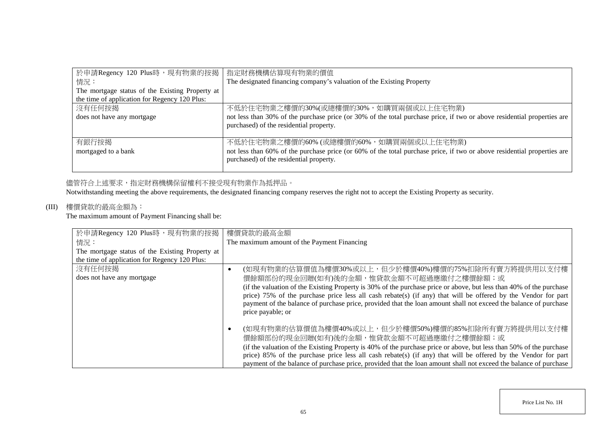| 於申請Regency 120 Plus時,現有物業的按揭                    | 指定財務機構估算現有物業的價值                                                                                                                                                    |
|-------------------------------------------------|--------------------------------------------------------------------------------------------------------------------------------------------------------------------|
| 情況:                                             | The designated financing company's valuation of the Existing Property                                                                                              |
| The mortgage status of the Existing Property at |                                                                                                                                                                    |
| the time of application for Regency 120 Plus:   |                                                                                                                                                                    |
| 沒有任何按揭                                          | 不低於住宅物業之樓價的30%(或總樓價的30%,如購買兩個或以上住宅物業)                                                                                                                              |
| does not have any mortgage                      | not less than 30% of the purchase price (or 30% of the total purchase price, if two or above residential properties are<br>purchased) of the residential property. |
| 有銀行按揭                                           | 不低於住宅物業之樓價的60% (或總樓價的60%, 如購買兩個或以上住宅物業)                                                                                                                            |
| mortgaged to a bank                             | not less than 60% of the purchase price (or 60% of the total purchase price, if two or above residential properties are<br>purchased) of the residential property. |

# 儘管符合上述要求,指定財務機構保留權利不接受現有物業作為抵押品。

Notwithstanding meeting the above requirements, the designated financing company reserves the right not to accept the Existing Property as security.

# (III) 樓價貸款的最高金額為:

The maximum amount of Payment Financing shall be:

| 於申請Regency 120 Plus時,現有物業的按揭                    | 樓價貸款的最高金額                                                                                                           |
|-------------------------------------------------|---------------------------------------------------------------------------------------------------------------------|
| 情況:                                             | The maximum amount of the Payment Financing                                                                         |
| The mortgage status of the Existing Property at |                                                                                                                     |
| the time of application for Regency 120 Plus:   |                                                                                                                     |
| 沒有任何按揭                                          | (如現有物業的估算價值為樓價30%或以上,但少於樓價40%)樓價的75%扣除所有賣方將提供用以支付樓<br>$\bullet$                                                     |
| does not have any mortgage                      | 價餘額部份的現金回贈(如有)後的金額,惟貸款金額不可超過應繳付之樓價餘額;或                                                                              |
|                                                 | (if the valuation of the Existing Property is 30% of the purchase price or above, but less than 40% of the purchase |
|                                                 | price) 75% of the purchase price less all cash rebate(s) (if any) that will be offered by the Vendor for part       |
|                                                 | payment of the balance of purchase price, provided that the loan amount shall not exceed the balance of purchase    |
|                                                 | price payable; or                                                                                                   |
|                                                 |                                                                                                                     |
|                                                 | (如現有物業的估算價值為樓價40%或以上,但少於樓價50%)樓價的85%扣除所有賣方將提供用以支付樓<br>$\bullet$                                                     |
|                                                 | 價餘額部份的現金回贈(如有)後的金額,惟貸款金額不可超過應繳付之樓價餘額;或                                                                              |
|                                                 | (if the valuation of the Existing Property is 40% of the purchase price or above, but less than 50% of the purchase |
|                                                 | price) 85% of the purchase price less all cash rebate(s) (if any) that will be offered by the Vendor for part       |
|                                                 | payment of the balance of purchase price, provided that the loan amount shall not exceed the balance of purchase    |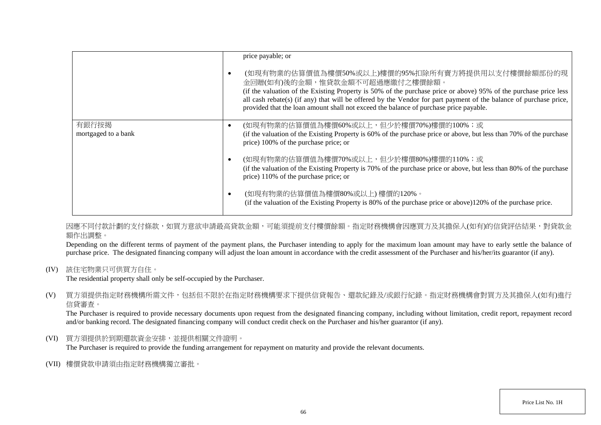|                              | price payable; or<br>(如現有物業的估算價值為樓價50%或以上)樓價的95%扣除所有賣方將提供用以支付樓價餘額部份的現<br>٠<br>金回贈(如有)後的金額,惟貸款金額不可超過應繳付之樓價餘額。<br>(if the valuation of the Existing Property is 50% of the purchase price or above) 95% of the purchase price less |
|------------------------------|----------------------------------------------------------------------------------------------------------------------------------------------------------------------------------------------------------------------------------|
|                              | all cash rebate(s) (if any) that will be offered by the Vendor for part payment of the balance of purchase price,<br>provided that the loan amount shall not exceed the balance of purchase price payable.                       |
| 有銀行按揭<br>mortgaged to a bank | (如現有物業的估算價值為樓價60%或以上,但少於樓價70%)樓價的100%;或<br>$\bullet$<br>(if the valuation of the Existing Property is 60% of the purchase price or above, but less than 70% of the purchase<br>price) 100% of the purchase price; or             |
|                              | (如現有物業的估算價值為樓價70%或以上,但少於樓價80%)樓價的110%;或<br>$\bullet$<br>(if the valuation of the Existing Property is 70% of the purchase price or above, but less than 80% of the purchase<br>price) 110% of the purchase price; or             |
|                              | (如現有物業的估算價值為樓價80%或以上)樓價的120%。<br>$\bullet$<br>(if the valuation of the Existing Property is 80% of the purchase price or above)120% of the purchase price.                                                                       |

因應不同付款計劃的支付條款,如買方意欲申請最高貸款金額,可能須提前支付樓價餘額。指定財務機構會因應買方及其擔保人(如有)的信貸評估結果,對貸款金 額作出調整。

Depending on the different terms of payment of the payment plans, the Purchaser intending to apply for the maximum loan amount may have to early settle the balance of purchase price. The designated financing company will adjust the loan amount in accordance with the credit assessment of the Purchaser and his/her/its guarantor (if any).

(IV) 該住宅物業只可供買方自住。

The residential property shall only be self-occupied by the Purchaser.

(V) 買方須提供指定財務機構所需文件,包括但不限於在指定財務機構要求下提供信貸報告、還款紀錄及/或銀行紀錄。指定財務機構會對買方及其擔保人(如有)進行 信貸審查。

The Purchaser is required to provide necessary documents upon request from the designated financing company, including without limitation, credit report, repayment record and/or banking record. The designated financing company will conduct credit check on the Purchaser and his/her guarantor (if any).

(VI) 買方須提供於到期還款資金安排,並提供相關文件證明。

The Purchaser is required to provide the funding arrangement for repayment on maturity and provide the relevant documents.

(VII) 樓價貸款申請須由指定財務機構獨立審批。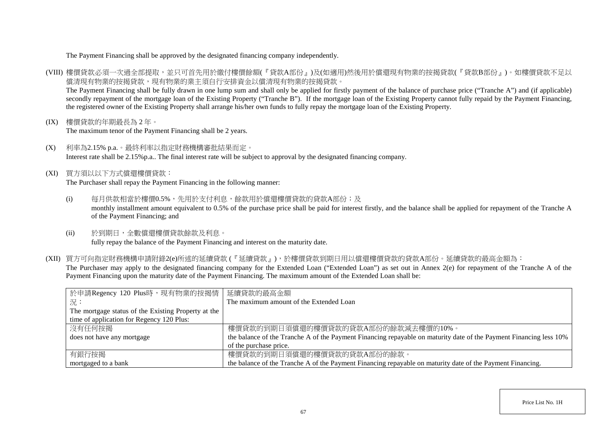#### The Payment Financing shall be approved by the designated financing company independently.

- (VIII) 樓價貸款必須一次過全部提取,並只可首先用於繳付樓價餘額(『貸款A部份』)及(如適用)然後用於償還現有物業的按揭貸款(『貸款B部份』)。如樓價貸款不足以 償清現有物業的按揭貸款,現有物業的業主須自行安排資金以償清現有物業的按揭貸款。 The Payment Financing shall be fully drawn in one lump sum and shall only be applied for firstly payment of the balance of purchase price ("Tranche A") and (if applicable) secondly repayment of the mortgage loan of the Existing Property ("Tranche B"). If the mortgage loan of the Existing Property cannot fully repaid by the Payment Financing, the registered owner of the Existing Property shall arrange his/her own funds to fully repay the mortgage loan of the Existing Property.
- (IX) 樓價貸款的年期最長為 2 年。 The maximum tenor of the Payment Financing shall be 2 years.
- (X) 利率為2.15% p.a.。最終利率以指定財務機構審批結果而定。 Interest rate shall be 2.15%p.a.. The final interest rate will be subject to approval by the designated financing company.
- (XI) 買方須以以下方式償還樓價貸款:

The Purchaser shall repay the Payment Financing in the following manner:

- (i) 每月供款相當於樓價0.5%,先用於支付利息,餘款用於償還樓價貸款的貸款A部份;及 monthly installment amount equivalent to 0.5% of the purchase price shall be paid for interest firstly, and the balance shall be applied for repayment of the Tranche A of the Payment Financing; and
- (ii) 於到期日,全數償還樓價貸款餘款及利息。 fully repay the balance of the Payment Financing and interest on the maturity date.
- (XII) 買方可向指定財務機構申請附錄2(e)所述的延續貸款 (『延續貸款』),於樓價貸款到期日用以償還樓價貸款的貸款A部份。延續貸款的最高金額為: The Purchaser may apply to the designated financing company for the Extended Loan ("Extended Loan") as set out in Annex 2(e) for repayment of the Tranche A of the Payment Financing upon the maturity date of the Payment Financing. The maximum amount of the Extended Loan shall be:

| 於申請Regency 120 Plus時,現有物業的按揭情 延續貸款的最高金額             |                                                                                                                    |
|-----------------------------------------------------|--------------------------------------------------------------------------------------------------------------------|
| 況:                                                  | The maximum amount of the Extended Loan                                                                            |
| The mortgage status of the Existing Property at the |                                                                                                                    |
| time of application for Regency 120 Plus:           |                                                                                                                    |
| 沒有任何按揭                                              | 樓價貸款的到期日須償還的樓價貸款的貸款A部份的餘款減去樓價的10%。                                                                                 |
| does not have any mortgage                          | the balance of the Tranche A of the Payment Financing repayable on maturity date of the Payment Financing less 10% |
|                                                     | of the purchase price.                                                                                             |
| 有銀行按揭                                               | 樓價貸款的到期日須償還的樓價貸款的貸款A部份的餘款。                                                                                         |
| mortgaged to a bank                                 | the balance of the Tranche A of the Payment Financing repayable on maturity date of the Payment Financing.         |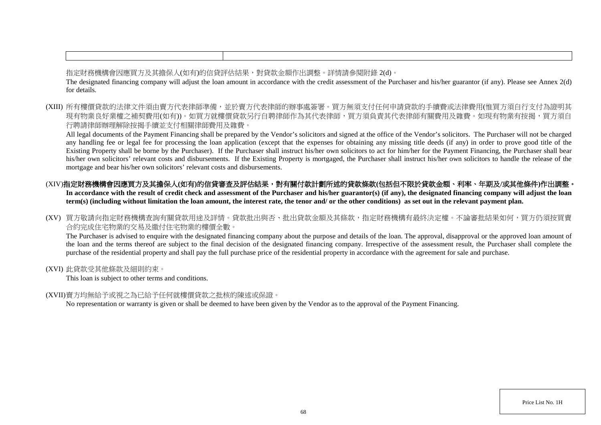指定財務機構會因應買方及其擔保人(如有)的信貸評估結果,對貸款金額作出調整。詳情請參閱附錄 2(d)。 The designated financing company will adjust the loan amount in accordance with the credit assessment of the Purchaser and his/her guarantor (if any). Please see Annex 2(d) for details.

(XIII) 所有樓價貸款的法律文件須由賣方代表律師準備,並於賣方代表律師的辦事處簽署。買方無須支付任何申請貸款的手續費或法律費用(惟買方須自行支付為證明其 現有物業良好業權之補契費用(如有))。如買方就樓價貸款另行自聘律師作為其代表律師,買方須負責其代表律師有關費用及雜費。如現有物業有按揭,買方須自 行聘請律師辦理解除按揭手續並支付相關律師費用及雜費。

All legal documents of the Payment Financing shall be prepared by the Vendor's solicitors and signed at the office of the Vendor's solicitors. The Purchaser will not be charged any handling fee or legal fee for processing the loan application (except that the expenses for obtaining any missing title deeds (if any) in order to prove good title of the Existing Property shall be borne by the Purchaser). If the Purchaser shall instruct his/her own solicitors to act for him/her for the Payment Financing, the Purchaser shall bear his/her own solicitors' relevant costs and disbursements. If the Existing Property is mortgaged, the Purchaser shall instruct his/her own solicitors to handle the release of the mortgage and bear his/her own solicitors' relevant costs and disbursements.

- (XIV)指定財務機構會因應買方及其擔保人(如有)的信貸審查及評估結果,對有關付款計劃所述的貸款條款(包括但不限於貸款金額、利率、年期及/或其他條件)作出調整。 In accordance with the result of credit check and assessment of the Purchaser and his/her guarantor(s) (if any), the designated financing company will adjust the loan **term(s) (including without limitation the loan amount, the interest rate, the tenor and/ or the other conditions) as set out in the relevant payment plan.**
- (XV) 買方敬請向指定財務機構查詢有關貸款用途及詳情。貸款批出與否、批出貸款金額及其條款,指定財務機構有最終決定權。不論審批結果如何,買方仍須按買賣 合約完成住宅物業的交易及繳付住宅物業的樓價全數。

The Purchaser is advised to enquire with the designated financing company about the purpose and details of the loan. The approval, disapproval or the approved loan amount of the loan and the terms thereof are subject to the final decision of the designated financing company. Irrespective of the assessment result, the Purchaser shall complete the purchase of the residential property and shall pay the full purchase price of the residential property in accordance with the agreement for sale and purchase.

(XVI) 此貸款受其他條款及細則約束。

This loan is subject to other terms and conditions.

(XVII)賣方均無給予或視之為已給予任何就樓價貸款之批核的陳述或保證。

No representation or warranty is given or shall be deemed to have been given by the Vendor as to the approval of the Payment Financing.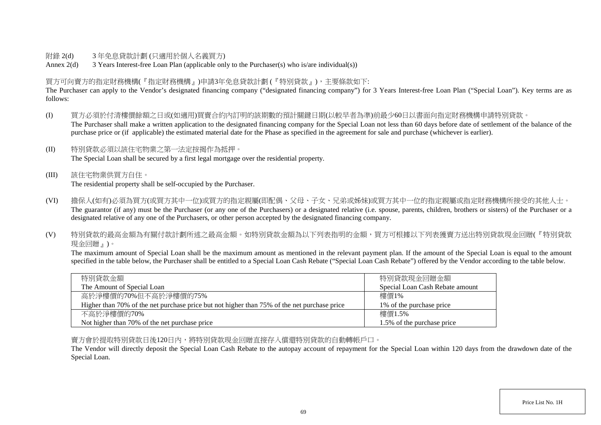## 附錄 2(d) 3 年免息貸款計劃 (只適用於個人名義買方)

Annex 2(d) 3 Years Interest-free Loan Plan (applicable only to the Purchaser(s) who is/are individual(s))

## 買方可向賣方的指定財務機構(『指定財務機構』)申請3年免息貸款計劃 (『特別貸款』),主要條款如下:

The Purchaser can apply to the Vendor's designated financing company ("designated financing company") for 3 Years Interest-free Loan Plan ("Special Loan"). Key terms are as follows:

- (I) 買方必須於付清樓價餘額之日或(如適用)買賣合約內訂明的該期數的預計關鍵日期(以較早者為準)前最少60日以書面向指定財務機構申請特別貸款。 The Purchaser shall make a written application to the designated financing company for the Special Loan not less than 60 days before date of settlement of the balance of the purchase price or (if applicable) the estimated material date for the Phase as specified in the agreement for sale and purchase (whichever is earlier).
- (II) 特別貸款必須以該住宅物業之第一法定按揭作為抵押。 The Special Loan shall be secured by a first legal mortgage over the residential property.
- (III) 該住宅物業供買方自住。 The residential property shall be self-occupied by the Purchaser.
- (VI) 擔保人(如有)必須為買方(或買方其中一位)或買方的指定親屬(即配偶、父母、子女、兄弟或姊妹)或買方其中一位的指定親屬或指定財務機構所接受的其他人士。 The guarantor (if any) must be the Purchaser (or any one of the Purchasers) or a designated relative (i.e. spouse, parents, children, brothers or sisters) of the Purchaser or a designated relative of any one of the Purchasers, or other person accepted by the designated financing company.
- (V) 特別貸款的最高金額為有關付款計劃所述之最高金額。如特別貸款金額為以下列表指明的金額,買方可根據以下列表獲賣方送出特別貸款現金回贈(『特別貸款 現金回贈』)。

The maximum amount of Special Loan shall be the maximum amount as mentioned in the relevant payment plan. If the amount of the Special Loan is equal to the amount specified in the table below, the Purchaser shall be entitled to a Special Loan Cash Rebate ("Special Loan Cash Rebate") offered by the Vendor according to the table below.

| 特別貸款金額                                                                                      | 特別貸款現金回贈金額                      |
|---------------------------------------------------------------------------------------------|---------------------------------|
| The Amount of Special Loan                                                                  | Special Loan Cash Rebate amount |
| 高於淨樓價的70%但不高於淨樓價的75%                                                                        | 樓價1%                            |
| Higher than 70% of the net purchase price but not higher than 75% of the net purchase price | 1\% of the purchase price       |
| 不高於淨樓價的70%                                                                                  | 樓價1.5%                          |
| Not higher than 70% of the net purchase price                                               | 1.5% of the purchase price      |

賣方會於提取特別貸款日後120日內,將特別貸款現金回贈直接存入償還特別貸款的自動轉帳戶口。

The Vendor will directly deposit the Special Loan Cash Rebate to the autopay account of repayment for the Special Loan within 120 days from the drawdown date of the Special Loan.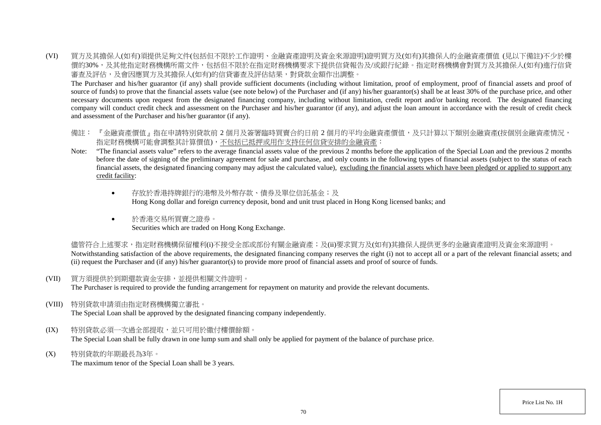(VI) 買方及其擔保人(如有)須提供足夠文件(包括但不限於工作證明、金融資產證明及資金來源證明)證明買方及(如有)其擔保人的金融資產價值 (見以下備註)不少於樓 價的30%,及其他指定財務機構所需文件,包括但不限於在指定財務機構要求下提供信貸報告及/或銀行紀錄。指定財務機構會對買方及其擔保人(如有)進行信貸 審查及評估,及會因應買方及其擔保人(如有)的信貸審查及評估結果,對貸款金額作出調整。

The Purchaser and his/her guarantor (if any) shall provide sufficient documents (including without limitation, proof of employment, proof of financial assets and proof of source of funds) to prove that the financial assets value (see note below) of the Purchaser and (if any) his/her guarantor(s) shall be at least 30% of the purchase price, and other necessary documents upon request from the designated financing company, including without limitation, credit report and/or banking record. The designated financing company will conduct credit check and assessment on the Purchaser and his/her guarantor (if any), and adjust the loan amount in accordance with the result of credit check and assessment of the Purchaser and his/her guarantor (if any).

- 備註: 『金融資產價值』指在申請特別貸款前 2 個月及簽署臨時買賣合約日前 2 個月的平均金融資產價值,及只計算以下類別金融資產(按個別金融資產情況, 指定財務機構可能會調整其計算價值),不包括已抵押或用作支持任何信貸安排的金融資產:
- Note: "The financial assets value" refers to the average financial assets value of the previous 2 months before the application of the Special Loan and the previous 2 months before the date of signing of the preliminary agreement for sale and purchase, and only counts in the following types of financial assets (subject to the status of each financial assets, the designated financing company may adjust the calculated value), excluding the financial assets which have been pledged or applied to support any credit facility:
	- 存放於香港持牌銀行的港幣及外幣存款、債券及單位信託基金;及 Hong Kong dollar and foreign currency deposit, bond and unit trust placed in Hong Kong licensed banks; and
	- 於香港交易所買賣之證券。 Securities which are traded on Hong Kong Exchange.

儘管符合上述要求,指定財務機構保留權利(i)不接受全部或部份有關金融資產;及(ii)要求買方及(如有)其擔保人提供更多的金融資產證明及資金來源證明。 Notwithstanding satisfaction of the above requirements, the designated financing company reserves the right (i) not to accept all or a part of the relevant financial assets; and (ii) request the Purchaser and (if any) his/her guarantor(s) to provide more proof of financial assets and proof of source of funds.

(VII) 買方須提供於到期還款資金安排,並提供相關文件證明。

The Purchaser is required to provide the funding arrangement for repayment on maturity and provide the relevant documents.

(VIII) 特別貸款申請須由指定財務機構獨立審批。

The Special Loan shall be approved by the designated financing company independently.

- (IX) 特別貸款必須一次過全部提取,並只可用於繳付樓價餘額。 The Special Loan shall be fully drawn in one lump sum and shall only be applied for payment of the balance of purchase price.
- (X) 特別貸款的年期最長為3年。

The maximum tenor of the Special Loan shall be 3 years.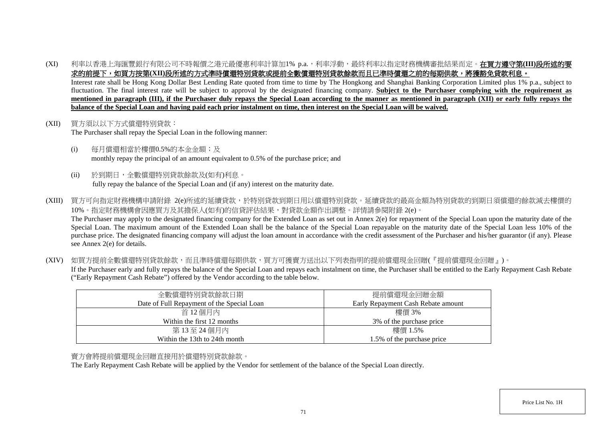(XI) 和率以香港上海匯豐銀行有限公司不時報價之港元最優惠利率計算加1% p.a.,利率浮動,最終利率以指定財務機構審批結果而定。**在買方遵守第(III)段所述的要** 求的前提下,如買方按第(XII)段所述的方式準時償還特別貸款或提前全數償還特別貸款餘款而且已準時償還之前的每期供款,將獲豁免貸款利息。 Interest rate shall be Hong Kong Dollar Best Lending Rate quoted from time to time by The Hongkong and Shanghai Banking Corporation Limited plus 1% p.a., subject to fluctuation. The final interest rate will be subject to approval by the designated financing company. Subject to the Purchaser complying with the requirement as **mentioned in paragraph (III), if the Purchaser duly repays the Special Loan according to the manner as mentioned in paragraph (XII) or early fully repays the** 

**balance of the Special Loan and having paid each prior instalment on time, then interest on the Special Loan will be waived.**

- (XII) 買方須以以下方式償還特別貸款: The Purchaser shall repay the Special Loan in the following manner:
	- (i) 每月償還相當於樓價0.5%的本金金額;及 monthly repay the principal of an amount equivalent to 0.5% of the purchase price; and
	- (ii) 於到期日,全數償還特別貸款餘款及(如有)利息。 fully repay the balance of the Special Loan and (if any) interest on the maturity date.
- (XIII) 買方可向指定財務機構申請附錄 2(e)所述的延續貸款,於特別貸款到期日用以償還特別貸款。延續貸款的最高金額為特別貸款的到期日須償還的餘款減去樓價的 10%。指定財務機構會因應買方及其擔保人(如有)的信貸評估結果,對貸款金額作出調整。詳情請參閱附錄 2(e)。 The Purchaser may apply to the designated financing company for the Extended Loan as set out in Annex 2(e) for repayment of the Special Loan upon the maturity date of the Special Loan. The maximum amount of the Extended Loan shall be the balance of the Special Loan repayable on the maturity date of the Special Loan less 10% of the purchase price. The designated financing company will adjust the loan amount in accordance with the credit assessment of the Purchaser and his/her guarantor (if any). Please see Annex 2(e) for details.
- (XIV) 如買方提前全數償還特別貸款餘款,而且準時償還每期供款,買方可獲賣方送出以下列表指明的提前償還現金回贈(『提前償還現金回贈』)。 If the Purchaser early and fully repays the balance of the Special Loan and repays each instalment on time, the Purchaser shall be entitled to the Early Repayment Cash Rebate ("Early Repayment Cash Rebate") offered by the Vendor according to the table below.

| 全數償還特別貸款餘款日期                               | 提前償還現金回贈金額                         |
|--------------------------------------------|------------------------------------|
| Date of Full Repayment of the Special Loan | Early Repayment Cash Rebate amount |
| 首 12 個月內                                   | 樓價 3%                              |
| Within the first 12 months                 | 3\% of the purchase price          |
| 第13至24個月內                                  | 樓價 1.5%                            |
| Within the 13th to 24th month              | 1.5% of the purchase price         |

#### 賣方會將提前償還現金回贈直接用於償還特別貸款餘款。

The Early Repayment Cash Rebate will be applied by the Vendor for settlement of the balance of the Special Loan directly.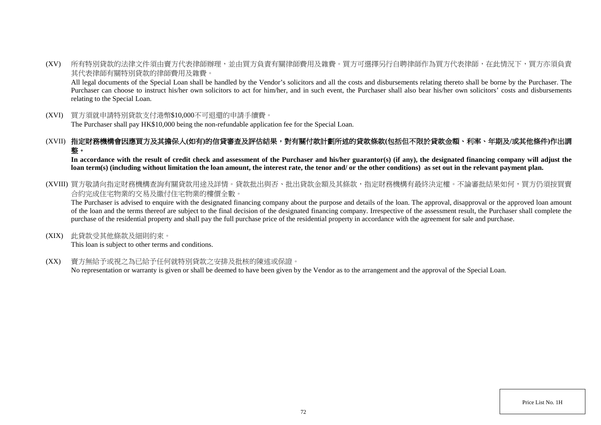(XV) 所有特別貸款的法律文件須由賣方代表律師辦理,並由買方負責有關律師費用及雜費。買方可選擇另行自聘律師作為買方代表律師,在此情況下,買方亦須負責 其代表律師有關特別貸款的律師費用及雜費。

All legal documents of the Special Loan shall be handled by the Vendor's solicitors and all the costs and disbursements relating thereto shall be borne by the Purchaser. The Purchaser can choose to instruct his/her own solicitors to act for him/her, and in such event, the Purchaser shall also bear his/her own solicitors' costs and disbursements relating to the Special Loan.

(XVI) 買方須就申請特別貸款支付港幣\$10,000不可退還的申請手續費。

The Purchaser shall pay HK\$10,000 being the non-refundable application fee for the Special Loan.

## (XVII) 指定財務機構會因應買方及其擔保人**(**如有**)**的信貸審查及評估結果,對有關付款計劃所述的貸款條款**(**包括但不限於貸款金額、利率、年期及**/**或其他條件**)**作出調 整。

**In accordance with the result of credit check and assessment of the Purchaser and his/her guarantor(s) (if any), the designated financing company will adjust the loan term(s) (including without limitation the loan amount, the interest rate, the tenor and/ or the other conditions) as set out in the relevant payment plan.**

(XVIII) 買方敬請向指定財務機構杳詢有關貸款用途及詳情。貸款批出與否、批出貸款金額及其條款,指定財務機構有最終決定權。不論審批結果如何,買方仍須按買賣 合約完成住宅物業的交易及繳付住宅物業的樓價全數。

The Purchaser is advised to enquire with the designated financing company about the purpose and details of the loan. The approval, disapproval or the approved loan amount of the loan and the terms thereof are subject to the final decision of the designated financing company. Irrespective of the assessment result, the Purchaser shall complete the purchase of the residential property and shall pay the full purchase price of the residential property in accordance with the agreement for sale and purchase.

(XIX) 此貸款受其他條款及細則約束。

This loan is subject to other terms and conditions.

(XX) 賣方無給予或視之為已給予任何就特別貸款之安排及批核的陳述或保證。

No representation or warranty is given or shall be deemed to have been given by the Vendor as to the arrangement and the approval of the Special Loan.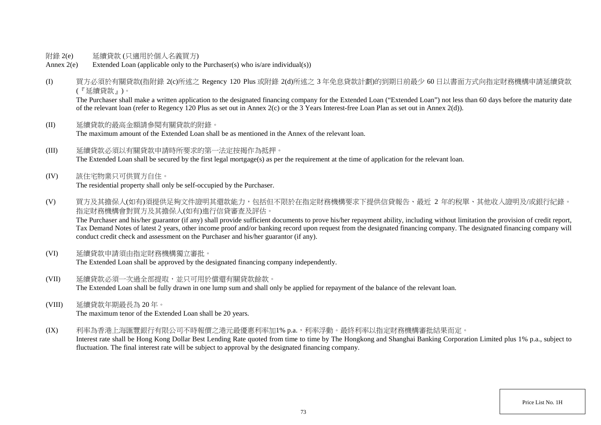- 附錄 2(e) 延續貸款 (只適用於個人名義買方)
- Annex 2(e) Extended Loan (applicable only to the Purchaser(s) who is/are individual(s))
- (I) 買方必須於有關貸款(指附錄 2(c)所述之 Regency 120 Plus 或附錄 2(d)所述之 3 年免息貸款計劃)的到期日前最少 60 日以書面方式向指定財務機構申請延續貸款 (『延續貸款』)。

The Purchaser shall make a written application to the designated financing company for the Extended Loan ("Extended Loan") not less than 60 days before the maturity date of the relevant loan (refer to Regency 120 Plus as set out in Annex 2(c) or the 3 Years Interest-free Loan Plan as set out in Annex 2(d)).

- (II) 延續貸款的最高金額請參閱有關貸款的附錄。 The maximum amount of the Extended Loan shall be as mentioned in the Annex of the relevant loan.
- (III) 延續貸款必須以有關貸款申請時所要求的第一法定按揭作為抵押。 The Extended Loan shall be secured by the first legal mortgage(s) as per the requirement at the time of application for the relevant loan.
- (IV) 該住宅物業只可供買方自住。

The residential property shall only be self-occupied by the Purchaser.

(V) 買方及其擔保人(如有)須提供足夠文件證明其還款能力,包括但不限於在指定財務機構要求下提供信貸報告、最近 2 年的稅單、其他收入證明及/或銀行紀錄。 指定財務機構會對買方及其擔保人(如有)進行信貸審查及評估。

The Purchaser and his/her guarantor (if any) shall provide sufficient documents to prove his/her repayment ability, including without limitation the provision of credit report, Tax Demand Notes of latest 2 years, other income proof and/or banking record upon request from the designated financing company. The designated financing company will conduct credit check and assessment on the Purchaser and his/her guarantor (if any).

- (VI) 延續貸款申請須由指定財務機構獨立審批。 The Extended Loan shall be approved by the designated financing company independently.
- (VII) 延續貸款必須一次過全部提取,並只可用於償還有關貸款餘款。 The Extended Loan shall be fully drawn in one lump sum and shall only be applied for repayment of the balance of the relevant loan.
- (VIII) 延續貸款年期最長為 20 年。 The maximum tenor of the Extended Loan shall be 20 years.
- (IX) 利率為香港上海匯豐銀行有限公司不時報價之港元最優惠利率加1% p.a.,利率浮動。最終利率以指定財務機構審批結果而定。

Interest rate shall be Hong Kong Dollar Best Lending Rate quoted from time to time by The Hongkong and Shanghai Banking Corporation Limited plus 1% p.a., subject to fluctuation. The final interest rate will be subject to approval by the designated financing company.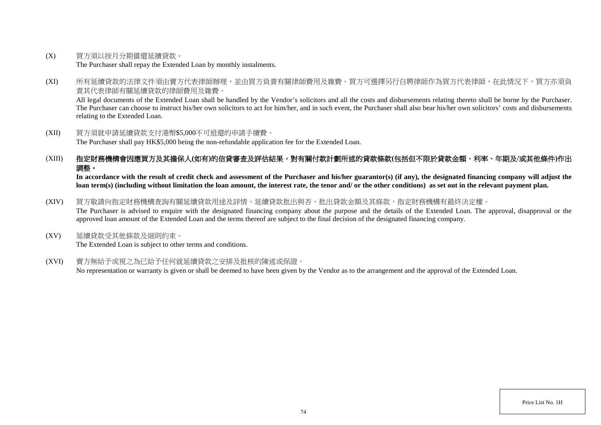(X) 買方須以按月分期償還延續貸款。

The Purchaser shall repay the Extended Loan by monthly instalments.

(XI) 所有延續貸款的法律文件須由賣方代表律師辦理,並由買方負責有關律師費用及雜費。買方可選擇另行自聘律師作為買方代表律師,在此情況下,買方亦須負 責其代表律師有關延續貸款的律師費用及雜費。

All legal documents of the Extended Loan shall be handled by the Vendor's solicitors and all the costs and disbursements relating thereto shall be borne by the Purchaser. The Purchaser can choose to instruct his/her own solicitors to act for him/her, and in such event, the Purchaser shall also bear his/her own solicitors' costs and disbursements relating to the Extended Loan.

(XII) 買方須就申請延續貸款支付港幣\$5,000不可退還的申請手續費。 The Purchaser shall pay HK\$5,000 being the non-refundable application fee for the Extended Loan.

## (XIII) 指定財務機構會因應買方及其擔保人**(**如有**)**的信貸審查及評估結果,對有關付款計劃所述的貸款條款**(**包括但不限於貸款金額、利率、年期及**/**或其他條件**)**作出 調整。

In accordance with the result of credit check and assessment of the Purchaser and his/her guarantor(s) (if any), the designated financing company will adjust the **loan term(s) (including without limitation the loan amount, the interest rate, the tenor and/ or the other conditions) as set out in the relevant payment plan.**

## (XIV) 買方敬請向指定財務機構查詢有關延續貸款用途及詳情。延續貸款批出與否、批出貸款金額及其條款,指定財務機構有最終決定權。

The Purchaser is advised to enquire with the designated financing company about the purpose and the details of the Extended Loan. The approval, disapproval or the approved loan amount of the Extended Loan and the terms thereof are subject to the final decision of the designated financing company.

(XV) 延續貸款受其他條款及細則約束。

The Extended Loan is subject to other terms and conditions.

(XVI) 賣方無給予或視之為已給予任何就延續貸款之安排及批核的陳述或保證。

No representation or warranty is given or shall be deemed to have been given by the Vendor as to the arrangement and the approval of the Extended Loan.